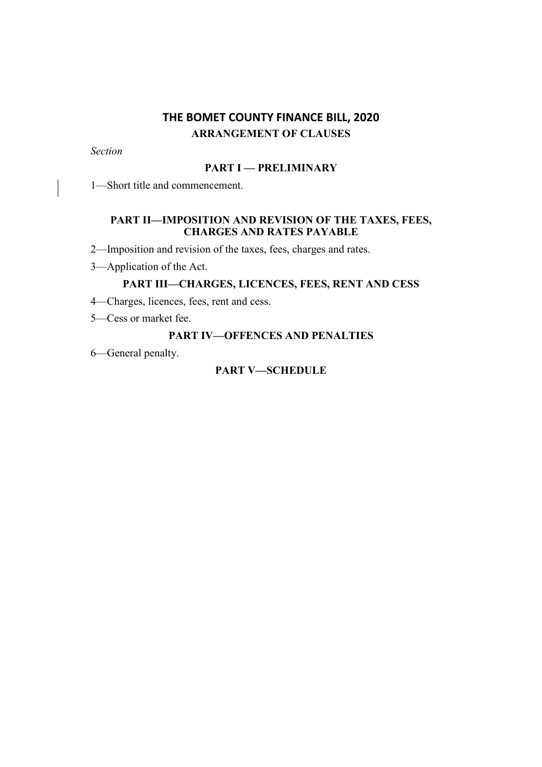# **THE BOMET COUNTY FINANCE BILL, 2020 ARRANGEMENT OF CLAUSES**

*Section*

# **PART I — PRELIMINARY**

1—Short title and commencement.

# **PART II—IMPOSITION AND REVISION OF THE TAXES, FEES, CHARGES AND RATES PAYABLE**

2—Imposition and revision of the taxes, fees, charges and rates.

3—Application of the Act.

## **PART III—CHARGES, LICENCES, FEES, RENT AND CESS**

4—Charges, licences, fees, rent and cess.

5—Cess or market fee.

### **PART IV—OFFENCES AND PENALTIES**

6—General penalty.

## **PART V—SCHEDULE**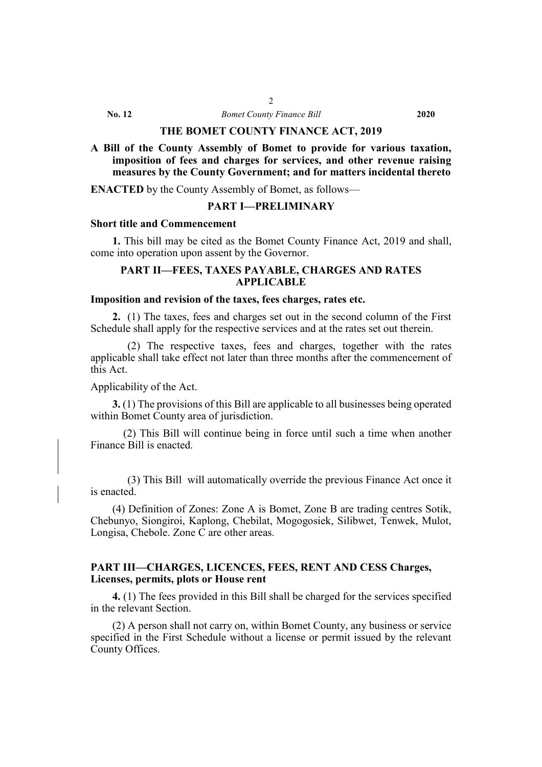**No. 12** *Bomet County Finance Bill* **2020**

### **THE BOMET COUNTY FINANCE ACT, 2019**

**A Bill of the County Assembly of Bomet to provide for various taxation, imposition of fees and charges for services, and other revenue raising measures by the County Government; and for matters incidental thereto**

**ENACTED** by the County Assembly of Bomet, as follows—

### **PART I—PRELIMINARY**

## **Short title and Commencement**

**1.** This bill may be cited as the Bomet County Finance Act, 2019 and shall, come into operation upon assent by the Governor.

### **PART II—FEES, TAXES PAYABLE, CHARGES AND RATES APPLICABLE**

### **Imposition and revision of the taxes, fees charges, rates etc.**

**2.** (1) The taxes, fees and charges set out in the second column of the First Schedule shall apply for the respective services and at the rates set out therein.

 (2) The respective taxes, fees and charges, together with the rates applicable shall take effect not later than three months after the commencement of this Act.

### Applicability of the Act.

**3.** (1) The provisions of this Bill are applicable to all businesses being operated within Bomet County area of jurisdiction.

 (2) This Bill will continue being in force until such a time when another Finance Bill is enacted.

(3) This Bill will automatically override the previous Finance Act once it is enacted.

(4) Definition of Zones: Zone A is Bomet, Zone B are trading centres Sotik, Chebunyo, Siongiroi, Kaplong, Chebilat, Mogogosiek, Silibwet, Tenwek, Mulot, Longisa, Chebole. Zone C are other areas.

### **PART III—CHARGES, LICENCES, FEES, RENT AND CESS Charges, Licenses, permits, plots or House rent**

**4.** (1) The fees provided in this Bill shall be charged for the services specified in the relevant Section.

(2) A person shall not carry on, within Bomet County, any business or service specified in the First Schedule without a license or permit issued by the relevant County Offices.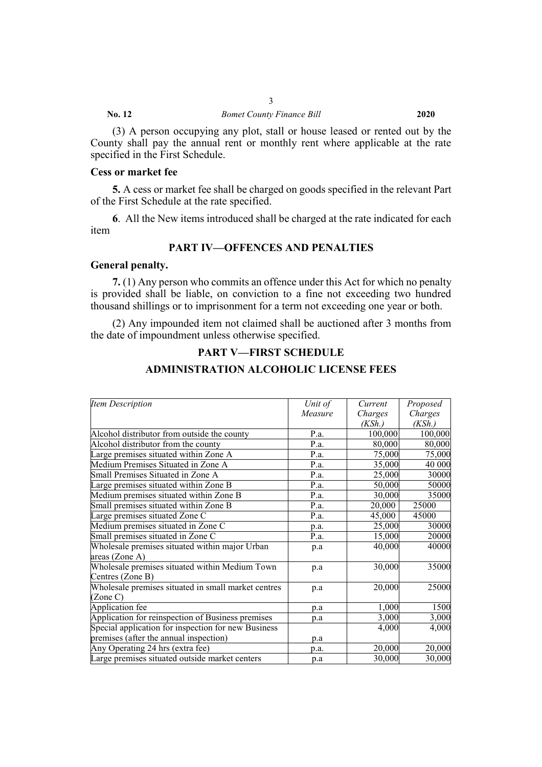(3) A person occupying any plot, stall or house leased or rented out by the County shall pay the annual rent or monthly rent where applicable at the rate specified in the First Schedule.

### **Cess or market fee**

**5.** A cess or market fee shall be charged on goods specified in the relevant Part of the First Schedule at the rate specified.

**6**. All the New items introduced shall be charged at the rate indicated for each item

# **PART IV—OFFENCES AND PENALTIES**

### **General penalty.**

**7.** (1) Any person who commits an offence under this Act for which no penalty is provided shall be liable, on conviction to a fine not exceeding two hundred thousand shillings or to imprisonment for a term not exceeding one year or both.

(2) Any impounded item not claimed shall be auctioned after 3 months from the date of impoundment unless otherwise specified.

## **PART V—FIRST SCHEDULE**

### **ADMINISTRATION ALCOHOLIC LICENSE FEES**

| <b>Item Description</b>                             | Unit of | Current | Proposed |
|-----------------------------------------------------|---------|---------|----------|
|                                                     | Measure | Charges | Charges  |
|                                                     |         | (KSh.)  | (KSh.)   |
| Alcohol distributor from outside the county         | P.a.    | 100,000 | 100,000  |
| Alcohol distributor from the county                 | P.a.    | 80,000  | 80,000   |
| Large premises situated within Zone A               | P.a.    | 75,000  | 75,000   |
| Medium Premises Situated in Zone A                  | P.a.    | 35,000  | 40 000   |
| Small Premises Situated in Zone A                   | P.a.    | 25,000  | 30000    |
| Large premises situated within Zone B               | P.a.    | 50,000  | 50000    |
| Medium premises situated within Zone B              | P.a.    | 30,000  | 35000    |
| Small premises situated within Zone B               | P.a.    | 20,000  | 25000    |
| Large premises situated Zone C                      | P.a.    | 45,000  | 45000    |
| Medium premises situated in Zone C                  | p.a.    | 25,000  | 30000    |
| Small premises situated in Zone C                   | P.a.    | 15,000  | 20000    |
| Wholesale premises situated within major Urban      | p.a     | 40,000  | 40000    |
| areas (Zone A)                                      |         |         |          |
| Wholesale premises situated within Medium Town      | p.a     | 30,000  | 35000    |
| Centres (Zone B)                                    |         |         |          |
| Wholesale premises situated in small market centres | p.a     | 20,000  | 25000    |
| (Zone C)                                            |         |         |          |
| Application fee                                     | p.a     | 1,000   | 1500     |
| Application for reinspection of Business premises   | p.a     | 3,000   | 3,000    |
| Special application for inspection for new Business |         | 4,000   | 4,000    |
| premises (after the annual inspection)              | p.a     |         |          |
| Any Operating 24 hrs (extra fee)                    | p.a.    | 20,000  | 20,000   |
| Large premises situated outside market centers      | p.a     | 30,000  | 30,000   |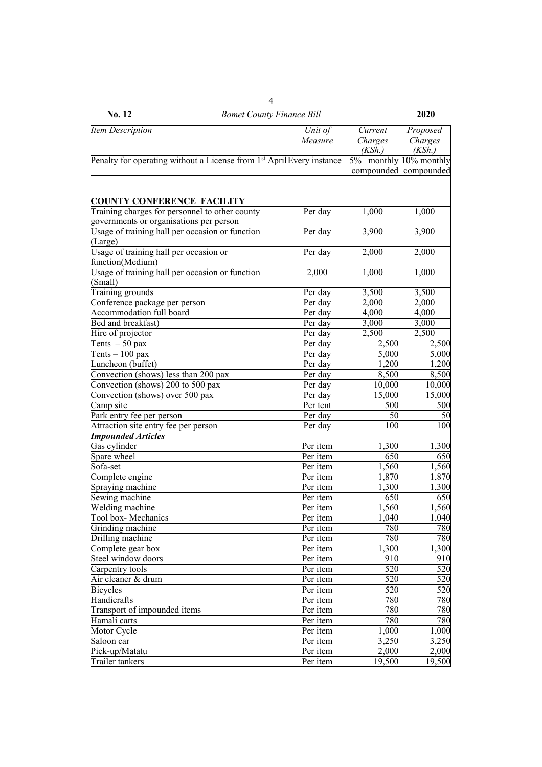| No. 12<br><b>Bomet County Finance Bill</b>                                        |                        |            | 2020                  |
|-----------------------------------------------------------------------------------|------------------------|------------|-----------------------|
| <b>Item Description</b>                                                           | Unit of                | Current    | Proposed              |
|                                                                                   | Measure                | Charges    | Charges               |
|                                                                                   |                        | (KSh.)     | (KSh.)                |
| Penalty for operating without a License from 1 <sup>st</sup> April Every instance |                        | 5% monthly | $10%$ monthly         |
|                                                                                   |                        |            | compounded compounded |
|                                                                                   |                        |            |                       |
| <b>COUNTY CONFERENCE FACILITY</b>                                                 |                        |            |                       |
| Training charges for personnel to other county                                    | Per day                | 1,000      | 1,000                 |
| governments or organisations per person                                           |                        |            |                       |
| Usage of training hall per occasion or function                                   | Per day                | 3,900      | 3,900                 |
| (Large)                                                                           |                        |            |                       |
| Usage of training hall per occasion or                                            | Per day                | 2,000      | 2,000                 |
| function(Medium)                                                                  |                        |            |                       |
| Usage of training hall per occasion or function                                   | 2,000                  | 1,000      | 1,000                 |
| (Small)                                                                           |                        |            |                       |
| Training grounds                                                                  | Per day                | 3,500      | 3,500                 |
| Conference package per person                                                     | Per day                | 2,000      | 2,000                 |
| Accommodation full board                                                          | Per day                | 4,000      | 4,000                 |
| Bed and breakfast)                                                                | Per day                | 3,000      | 3,000                 |
| Hire of projector                                                                 | Per day                | 2,500      | 2,500                 |
| Tents $-50$ pax                                                                   | Per day                | 2,500      | 2,500                 |
| Tents $-100$ pax                                                                  | Per day                | 5,000      | 5,000                 |
| Luncheon (buffet)                                                                 | Per day                | 1,200      | 1,200                 |
| Convection (shows) less than 200 pax                                              | Per day                | 8,500      | 8,500                 |
| Convection (shows) 200 to 500 pax                                                 | Per day                | 10,000     | 10,000                |
| Convection (shows) over 500 pax                                                   | Per day                | 15,000     | 15,000                |
| Camp site                                                                         | Per tent               | 500        | 500                   |
| Park entry fee per person                                                         | Per day                | 50         | 50                    |
| Attraction site entry fee per person                                              | Per day                | 100        | 100                   |
| <b>Impounded Articles</b>                                                         |                        |            |                       |
| Gas cylinder                                                                      | Per item               | 1,300      | 1,300                 |
| Spare wheel                                                                       | Per item               | 650        | 650                   |
| Sofa-set                                                                          | Per item               | 1,560      | 1,560                 |
| Complete engine                                                                   | Per item               | 1,870      | 1,870                 |
| Spraying machine                                                                  | Per item               | 1,300      | 1,300                 |
| Sewing machine                                                                    | Per item               | 650        | 650                   |
| Welding machine                                                                   | Per item               | 1,560      | 1,560                 |
| Tool box-Mechanics                                                                | Per item               | 1,040      | 1,040                 |
| Grinding machine                                                                  | Per item               | 780        | 780                   |
| Drilling machine                                                                  | Per item               | 780        | 780                   |
| Complete gear box                                                                 | Per item               | 1,300      | 1,300                 |
| Steel window doors                                                                | Per item               | 910        | 910                   |
| Carpentry tools                                                                   | Per item               | 520        | 520                   |
| Air cleaner & drum                                                                | Per item               | 520        | 520                   |
| <b>Bicycles</b>                                                                   | Per item               | 520        | 520                   |
| Handicrafts                                                                       | Per item               | 780        | 780                   |
| Transport of impounded items                                                      | Per item               | 780        | 780                   |
| Hamali carts                                                                      | Per item               | 780        | 780                   |
| Motor Cycle                                                                       | $\overline{P}$ er item | 1,000      | 1,000                 |
| Saloon car                                                                        | Per item               | 3,250      | 3,250                 |
| Pick-up/Matatu                                                                    | Per item               | 2,000      | 2,000                 |
| Trailer tankers                                                                   | Per item               | 19,500     | 19,500                |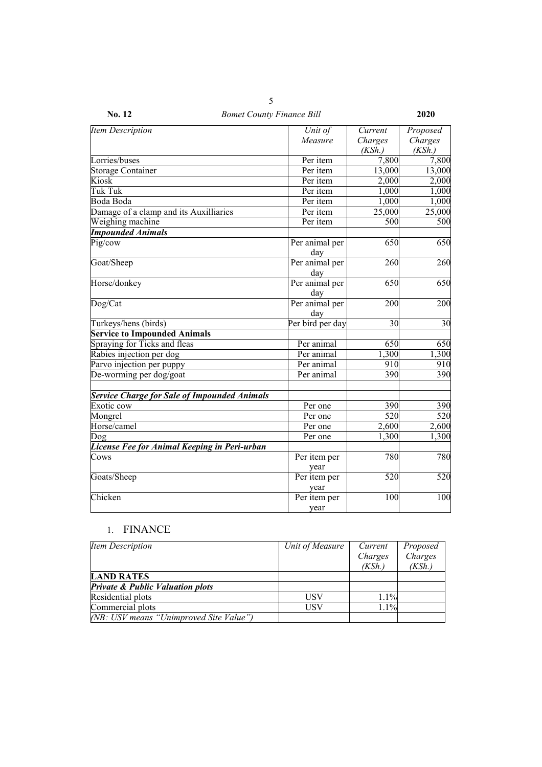| No. 12<br><b>Bomet County Finance Bill</b>          |                       |                    |                     |  |
|-----------------------------------------------------|-----------------------|--------------------|---------------------|--|
| <b>Item Description</b>                             | Unit of<br>Measure    | Current<br>Charges | Proposed<br>Charges |  |
|                                                     |                       | (KSh.)             | (KSh.)              |  |
| Lorries/buses                                       | Per item              | 7,800              | 7,800               |  |
| <b>Storage Container</b>                            | Per item              | 13,000             | 13,000              |  |
| Kiosk                                               | Per item              | 2,000              | 2,000               |  |
| Tuk Tuk                                             | Per item              | 1,000              | 1,000               |  |
| Boda Boda                                           | Per item              | 1,000              | 1,000               |  |
| Damage of a clamp and its Auxilliaries              | Per item              | 25,000             | 25,000              |  |
| Weighing machine                                    | Per item              | 500                | 500                 |  |
| <b>Impounded Animals</b>                            |                       |                    |                     |  |
| Pig/cow                                             | Per animal per<br>day | 650                | 650                 |  |
| Goat/Sheep                                          | Per animal per<br>day | 260                | 260                 |  |
| Horse/donkey                                        | Per animal per<br>day | 650                | 650                 |  |
| Dog/Cat                                             | Per animal per<br>day | 200                | 200                 |  |
| Turkeys/hens (birds)                                | Per bird per day      | 30                 | 30                  |  |
| <b>Service to Impounded Animals</b>                 |                       |                    |                     |  |
| Spraying for Ticks and fleas                        | Per animal            | 650                | 650                 |  |
| Rabies injection per dog                            | Per animal            | $\overline{1,300}$ | 1,300               |  |
| Parvo injection per puppy                           | Per animal            | 910                | 910                 |  |
| De-worming per dog/goat                             | Per animal            | 390                | 390                 |  |
| <b>Service Charge for Sale of Impounded Animals</b> |                       |                    |                     |  |
| Exotic cow                                          | Per one               | 390                | 390                 |  |
| Mongrel                                             | Per one               | 520                | 520                 |  |
| Horse/camel                                         | Per one               | 2,600              | 2,600               |  |
| Dog                                                 | Per one               | 1,300              | 1,300               |  |
| License Fee for Animal Keeping in Peri-urban        |                       |                    |                     |  |
| Cows                                                | Per item per<br>year  | 780                | 780                 |  |
| Goats/Sheep                                         | Per item per<br>year  | 520                | 520                 |  |
| Chicken                                             | Per item per<br>year  | 100                | 100                 |  |

# 1. FINANCE

| Item Description                            | Unit of Measure | Current | Proposed |
|---------------------------------------------|-----------------|---------|----------|
|                                             |                 | Charges | Charges  |
|                                             |                 | (KSh.)  | (KSh.)   |
| <b>LAND RATES</b>                           |                 |         |          |
| <b>Private &amp; Public Valuation plots</b> |                 |         |          |
| Residential plots                           | USV             | $1.1\%$ |          |
| Commercial plots                            | USV             | 1.1%    |          |
| (NB: USV means "Unimproved Site Value")     |                 |         |          |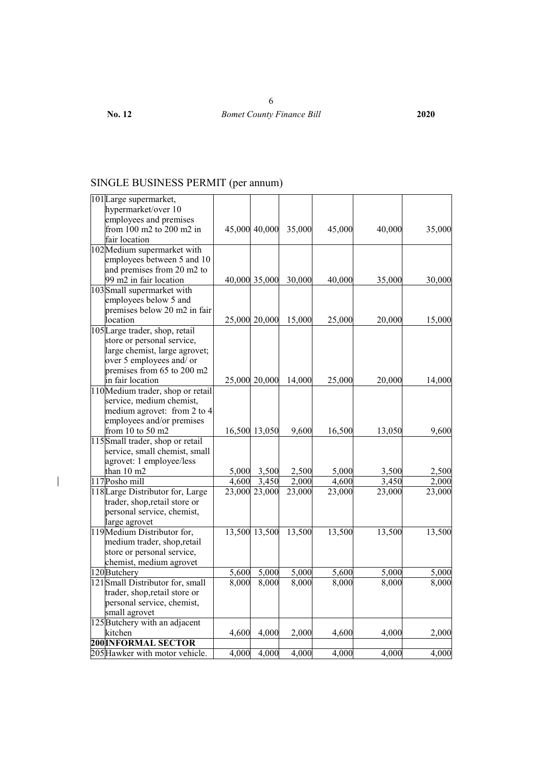# SINGLE BUSINESS PERMIT (per annum)

| 101 Large supermarket,            |       |               |        |        |        |        |
|-----------------------------------|-------|---------------|--------|--------|--------|--------|
| hypermarket/over 10               |       |               |        |        |        |        |
| employees and premises            |       |               |        |        |        |        |
| from 100 m2 to 200 m2 in          |       | 45,000 40,000 | 35,000 | 45,000 | 40,000 | 35,000 |
| fair location                     |       |               |        |        |        |        |
| 102 Medium supermarket with       |       |               |        |        |        |        |
| employees between 5 and 10        |       |               |        |        |        |        |
| and premises from 20 m2 to        |       |               |        |        |        |        |
| 99 m2 in fair location            |       | 40,000 35,000 | 30,000 | 40,000 | 35,000 | 30,000 |
| 103 Small supermarket with        |       |               |        |        |        |        |
| employees below 5 and             |       |               |        |        |        |        |
| premises below 20 m2 in fair      |       |               |        |        |        |        |
| location                          |       | 25,000 20,000 | 15,000 | 25,000 | 20,000 | 15,000 |
| 105 Large trader, shop, retail    |       |               |        |        |        |        |
| store or personal service,        |       |               |        |        |        |        |
| large chemist, large agrovet;     |       |               |        |        |        |        |
| over 5 employees and/ or          |       |               |        |        |        |        |
| premises from 65 to 200 m2        |       |               |        |        |        |        |
| in fair location                  |       | 25,000 20,000 | 14,000 | 25,000 | 20,000 | 14,000 |
| 110 Medium trader, shop or retail |       |               |        |        |        |        |
| service, medium chemist,          |       |               |        |        |        |        |
| medium agrovet: from 2 to 4       |       |               |        |        |        |        |
| employees and/or premises         |       |               |        |        |        |        |
| from 10 to 50 m2                  |       | 16,500 13,050 | 9,600  | 16,500 | 13,050 | 9,600  |
| 115 Small trader, shop or retail  |       |               |        |        |        |        |
| service, small chemist, small     |       |               |        |        |        |        |
| agrovet: 1 employee/less          |       |               |        |        |        |        |
| than 10 m2                        | 5,000 | 3,500         | 2,500  | 5,000  | 3,500  | 2,500  |
| 117Posho mill                     | 4,600 | 3,450         | 2,000  | 4,600  | 3,450  | 2,000  |
| 118 Large Distributor for, Large  |       | 23,000 23,000 | 23,000 | 23,000 | 23,000 | 23,000 |
| trader, shop, retail store or     |       |               |        |        |        |        |
| personal service, chemist,        |       |               |        |        |        |        |
| large agrovet                     |       |               |        |        |        |        |
| 119 Medium Distributor for,       |       | 13,500 13,500 | 13,500 | 13,500 | 13,500 | 13,500 |
| medium trader, shop, retail       |       |               |        |        |        |        |
| store or personal service,        |       |               |        |        |        |        |
| chemist, medium agrovet           |       |               |        |        |        |        |
| 120 Butchery                      | 5,600 | 5,000         | 5,000  | 5,600  | 5,000  | 5,000  |
| 121 Small Distributor for, small  | 8,000 | 8,000         | 8,000  | 8,000  | 8,000  | 8,000  |
| trader, shop, retail store or     |       |               |        |        |        |        |
| personal service, chemist,        |       |               |        |        |        |        |
| small agrovet                     |       |               |        |        |        |        |
| 125 Butchery with an adjacent     |       |               |        |        |        |        |
| kitchen                           | 4,600 | 4,000         | 2,000  | 4,600  | 4,000  | 2,000  |
| <b>200 INFORMAL SECTOR</b>        |       |               |        |        |        |        |
| 205 Hawker with motor vehicle.    | 4,000 | 4,000         | 4,000  | 4,000  | 4,000  | 4,000  |

 $\begin{array}{c} \hline \end{array}$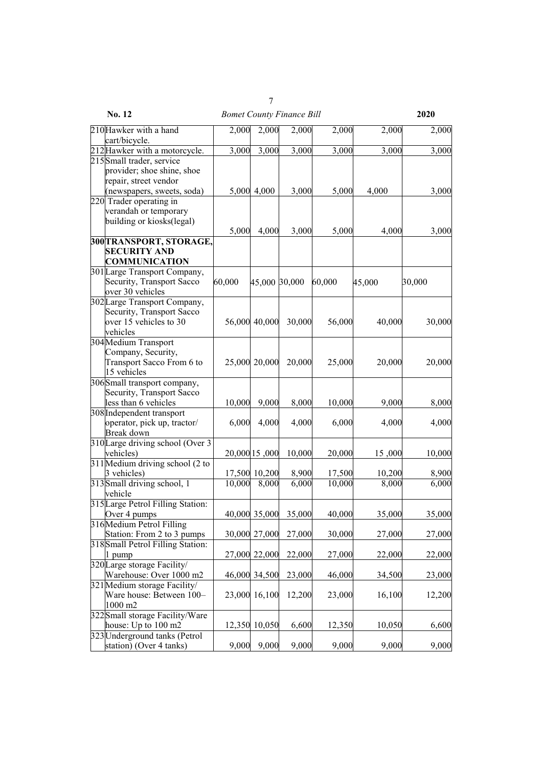|                                                                                                                                       |        | 7             |                                  |        |        |        |
|---------------------------------------------------------------------------------------------------------------------------------------|--------|---------------|----------------------------------|--------|--------|--------|
| No. 12                                                                                                                                |        |               | <b>Bomet County Finance Bill</b> |        |        | 2020   |
| 210 Hawker with a hand                                                                                                                | 2,000  | 2,000         | 2,000                            | 2,000  | 2,000  | 2,000  |
| cart/bicycle.                                                                                                                         |        |               |                                  |        |        |        |
| 212 Hawker with a motorcycle.                                                                                                         | 3,000  | 3,000         | 3,000                            | 3,000  | 3,000  | 3,000  |
| 215 Small trader, service                                                                                                             |        |               |                                  |        |        |        |
| provider; shoe shine, shoe<br>repair, street vendor<br>(newspapers, sweets, soda)<br>220 Trader operating in<br>verandah or temporary |        | 5,000 4,000   | 3,000                            | 5,000  | 4,000  | 3,000  |
| building or kiosks(legal)                                                                                                             | 5,000  | 4,000         | 3,000                            | 5,000  | 4,000  | 3,000  |
| 300 TRANSPORT, STORAGE,                                                                                                               |        |               |                                  |        |        |        |
| <b>SECURITY AND</b><br><b>COMMUNICATION</b>                                                                                           |        |               |                                  |        |        |        |
| 301 Large Transport Company,<br>Security, Transport Sacco<br>over 30 vehicles                                                         | 60,000 | 45,000 30,000 |                                  | 60,000 | 45,000 | 30,000 |
| 302 Large Transport Company,<br>Security, Transport Sacco<br>over 15 vehicles to 30<br>vehicles                                       |        | 56,000 40,000 | 30,000                           | 56,000 | 40,000 | 30,000 |
| 304 Medium Transport<br>Company, Security,<br>Transport Sacco From 6 to<br>15 vehicles                                                |        | 25,000 20,000 | 20,000                           | 25,000 | 20,000 | 20,000 |
| 306 Small transport company,                                                                                                          |        |               |                                  |        |        |        |
| Security, Transport Sacco                                                                                                             |        |               |                                  |        |        |        |
| less than 6 vehicles                                                                                                                  | 10,000 | 9,000         | 8,000                            | 10,000 | 9,000  | 8,000  |
| 308 Independent transport<br>operator, pick up, tractor/<br>Break down                                                                | 6,000  | 4,000         | 4,000                            | 6,000  | 4,000  | 4,000  |
| 310 Large driving school (Over 3                                                                                                      |        |               |                                  |        |        |        |
| vehicles)                                                                                                                             |        | 20,000 15,000 | 10,000                           | 20,000 | 15,000 | 10,000 |
| 311 Medium driving school (2 to                                                                                                       |        |               |                                  |        |        |        |
| 3 vehicles)                                                                                                                           |        | 17,500 10,200 | 8,900                            | 17,500 | 10,200 | 8,900  |
| 313 Small driving school, 1<br>vehicle                                                                                                | 10,000 | 8,000         | 6,000                            | 10,000 | 8,000  | 6,000  |
| 315 Large Petrol Filling Station:<br>Over 4 pumps                                                                                     |        | 40,000 35,000 | 35,000                           | 40,000 | 35,000 | 35,000 |
| 316 Medium Petrol Filling                                                                                                             |        |               |                                  |        |        |        |
| Station: From 2 to 3 pumps                                                                                                            | 30,000 | 27,000        | 27,000                           | 30,000 | 27,000 | 27,000 |
| 318 Small Petrol Filling Station:                                                                                                     |        |               |                                  |        |        |        |
| 1 pump                                                                                                                                | 27,000 | 22,000        | 22,000                           | 27,000 | 22,000 | 22,000 |
| 320 Large storage Facility/                                                                                                           |        |               |                                  |        |        |        |
| Warehouse: Over 1000 m2                                                                                                               |        | 46,000 34,500 | 23,000                           | 46,000 | 34,500 | 23,000 |
| 321 Medium storage Facility/<br>Ware house: Between 100-                                                                              |        | 23,000 16,100 | 12,200                           | 23,000 | 16,100 | 12,200 |
| 1000 m2                                                                                                                               |        |               |                                  |        |        |        |
| 322 Small storage Facility/Ware                                                                                                       |        |               |                                  |        |        |        |
| house: Up to 100 m2                                                                                                                   | 12,350 | 10,050        | 6,600                            | 12,350 | 10,050 | 6,600  |
| 323 Underground tanks (Petrol<br>station) (Over 4 tanks)                                                                              | 9,000  | 9,000         | 9,000                            | 9,000  | 9,000  | 9,000  |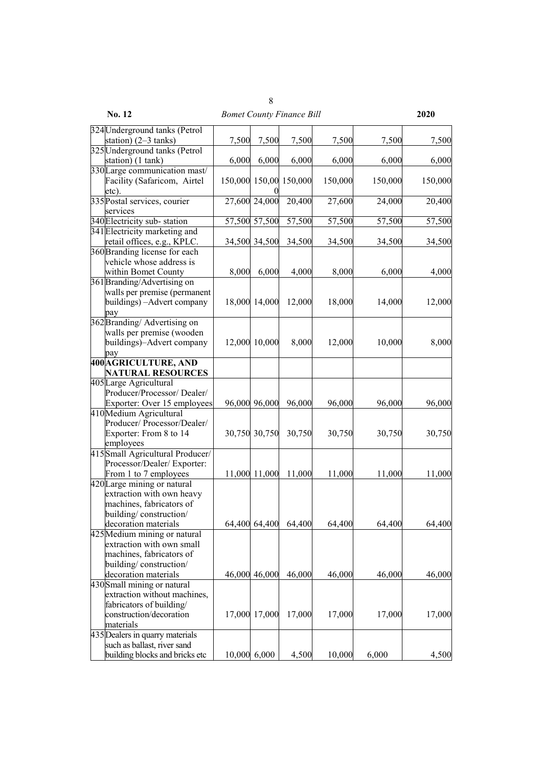| <b>No. 12</b>                    |       |               | <b>Bomet County Finance Bill</b> |         |         | 2020    |
|----------------------------------|-------|---------------|----------------------------------|---------|---------|---------|
| 324 Underground tanks (Petrol    |       |               |                                  |         |         |         |
| station) $(2-3 \tanh s)$         | 7,500 | 7,500         | 7,500                            | 7,500   | 7,500   | 7,500   |
| 325 Underground tanks (Petrol    |       |               |                                  |         |         |         |
| station) (1 tank)                | 6,000 | 6,000         | 6,000                            | 6,000   | 6,000   | 6,000   |
| 330 Large communication mast/    |       |               |                                  |         |         |         |
| Facility (Safaricom, Airtel      |       |               | 150,000 150,00 150,000           | 150,000 | 150,000 | 150,000 |
| etc).                            |       |               |                                  |         |         |         |
| 335 Postal services, courier     |       | 27,600 24,000 | 20,400                           | 27,600  | 24,000  | 20,400  |
| services                         |       |               |                                  |         |         |         |
| 340 Electricity sub-station      |       | 57,500 57,500 | 57,500                           | 57,500  | 57,500  | 57,500  |
| 341 Electricity marketing and    |       |               |                                  |         |         |         |
| retail offices, e.g., KPLC.      |       | 34,500 34,500 | 34,500                           | 34,500  | 34,500  | 34,500  |
| 360 Branding license for each    |       |               |                                  |         |         |         |
| vehicle whose address is         |       |               |                                  |         |         |         |
| within Bomet County              | 8,000 | 6,000         | 4,000                            | 8,000   | 6,000   | 4,000   |
| 361 Branding/Advertising on      |       |               |                                  |         |         |         |
| walls per premise (permanent     |       |               |                                  |         |         |         |
| buildings) - Advert company      |       | 18,000 14,000 | 12,000                           | 18,000  | 14,000  | 12,000  |
| pay                              |       |               |                                  |         |         |         |
| 362 Branding/Advertising on      |       |               |                                  |         |         |         |
| walls per premise (wooden        |       |               |                                  |         |         |         |
| buildings)-Advert company        |       | 12,000 10,000 | 8,000                            | 12,000  | 10,000  | 8,000   |
| pay                              |       |               |                                  |         |         |         |
| <b>400 AGRICULTURE, AND</b>      |       |               |                                  |         |         |         |
| <b>NATURAL RESOURCES</b>         |       |               |                                  |         |         |         |
| 405Large Agricultural            |       |               |                                  |         |         |         |
| Producer/Processor/ Dealer/      |       |               |                                  |         |         |         |
| Exporter: Over 15 employees      |       | 96,000 96,000 | 96,000                           | 96,000  | 96,000  | 96,000  |
| 410Medium Agricultural           |       |               |                                  |         |         |         |
| Producer/Processor/Dealer/       |       |               |                                  |         |         |         |
| Exporter: From 8 to 14           |       | 30,750 30,750 | 30,750                           | 30,750  | 30,750  | 30,750  |
| employees                        |       |               |                                  |         |         |         |
| 415 Small Agricultural Producer/ |       |               |                                  |         |         |         |
| Processor/Dealer/ Exporter:      |       |               |                                  |         |         |         |
| From 1 to 7 employees            |       | 11,000 11,000 | 11,000                           | 11,000  | 11,000  | 11,000  |
| 420 Large mining or natural      |       |               |                                  |         |         |         |
| extraction with own heavy        |       |               |                                  |         |         |         |
| machines, fabricators of         |       |               |                                  |         |         |         |
| building/construction/           |       |               |                                  |         |         |         |
| decoration materials             |       | 64,400 64,400 | 64,400                           | 64,400  | 64,400  | 64,400  |
| 425 Medium mining or natural     |       |               |                                  |         |         |         |
| extraction with own small        |       |               |                                  |         |         |         |
| machines, fabricators of         |       |               |                                  |         |         |         |
| building/construction/           |       |               |                                  |         |         |         |
| decoration materials             |       | 46,000 46,000 | 46,000                           | 46,000  | 46,000  | 46,000  |
| 430 Small mining or natural      |       |               |                                  |         |         |         |
| extraction without machines,     |       |               |                                  |         |         |         |
| fabricators of building/         |       |               |                                  |         |         |         |
| construction/decoration          |       | 17,000 17,000 | 17,000                           | 17,000  | 17,000  | 17,000  |
| materials                        |       |               |                                  |         |         |         |
| 435 Dealers in quarry materials  |       |               |                                  |         |         |         |
| such as ballast, river sand      |       |               |                                  |         |         |         |
| building blocks and bricks etc   |       | 10,000 6,000  | 4,500                            | 10,000  | 6,000   | 4,500   |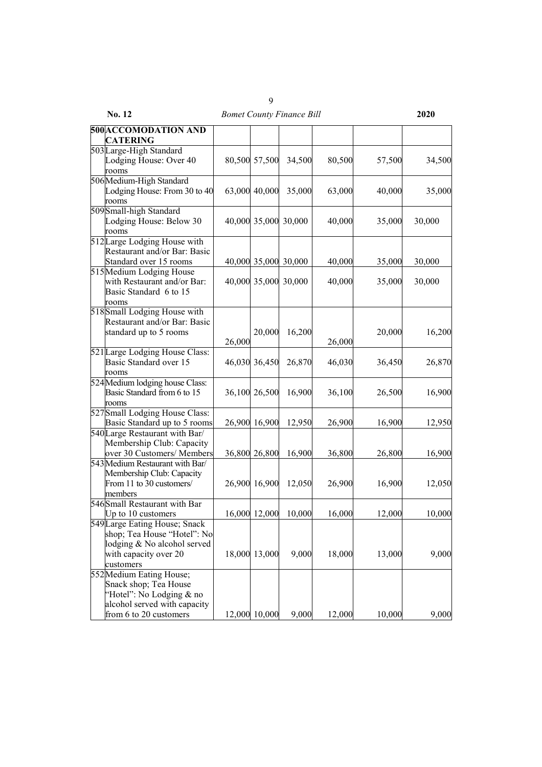| No. 12                                                                                                                                  |        |               | <b>Bomet County Finance Bill</b> |        |        | 2020   |
|-----------------------------------------------------------------------------------------------------------------------------------------|--------|---------------|----------------------------------|--------|--------|--------|
| 500 ACCOMODATION AND<br><b>CATERING</b>                                                                                                 |        |               |                                  |        |        |        |
| 503 Large-High Standard<br>Lodging House: Over 40<br>rooms                                                                              |        | 80,500 57,500 | 34,500                           | 80,500 | 57,500 | 34,500 |
| 506 Medium-High Standard<br>Lodging House: From 30 to 40<br>rooms                                                                       |        | 63,000 40,000 | 35,000                           | 63,000 | 40,000 | 35,000 |
| 509 Small-high Standard<br>Lodging House: Below 30<br>rooms                                                                             |        | 40,000 35,000 | 30,000                           | 40,000 | 35,000 | 30,000 |
| 512 Large Lodging House with<br>Restaurant and/or Bar: Basic<br>Standard over 15 rooms                                                  |        |               | 40,000 35,000 30,000             | 40,000 | 35,000 | 30,000 |
| 515 Medium Lodging House<br>with Restaurant and/or Bar:<br>Basic Standard 6 to 15<br>rooms                                              |        |               | 40,000 35,000 30,000             | 40,000 | 35,000 | 30,000 |
| 518 Small Lodging House with<br>Restaurant and/or Bar: Basic<br>standard up to 5 rooms                                                  | 26,000 | 20,000        | 16,200                           | 26,000 | 20,000 | 16,200 |
| 521 Large Lodging House Class:<br>Basic Standard over 15<br>rooms                                                                       |        | 46,030 36,450 | 26,870                           | 46,030 | 36,450 | 26,870 |
| 524 Medium lodging house Class:<br>Basic Standard from 6 to 15<br>rooms                                                                 |        | 36,100 26,500 | 16,900                           | 36,100 | 26,500 | 16,900 |
| 527 Small Lodging House Class:<br>Basic Standard up to 5 rooms                                                                          |        | 26,900 16,900 | 12,950                           | 26,900 | 16,900 | 12,950 |
| 540 Large Restaurant with Bar/<br>Membership Club: Capacity<br>over 30 Customers/ Members                                               |        | 36,800 26,800 | 16,900                           | 36,800 | 26,800 | 16,900 |
| 543 Medium Restaurant with Bar/<br>Membership Club: Capacity<br>From 11 to 30 customers/<br>members                                     |        | 26,900 16,900 | 12,050                           | 26,900 | 16,900 | 12,050 |
| 546 Small Restaurant with Bar<br>Up to 10 customers                                                                                     |        | 16,000 12,000 | 10,000                           | 16,000 | 12,000 | 10,000 |
| 549 Large Eating House; Snack<br>shop; Tea House "Hotel": No<br>lodging & No alcohol served<br>with capacity over 20<br>customers       |        | 18,000 13,000 | 9,000                            | 18,000 | 13,000 | 9,000  |
| 552 Medium Eating House;<br>Snack shop; Tea House<br>"Hotel": No Lodging & no<br>alcohol served with capacity<br>from 6 to 20 customers |        | 12,000 10,000 | 9,000                            | 12,000 | 10,000 | 9,000  |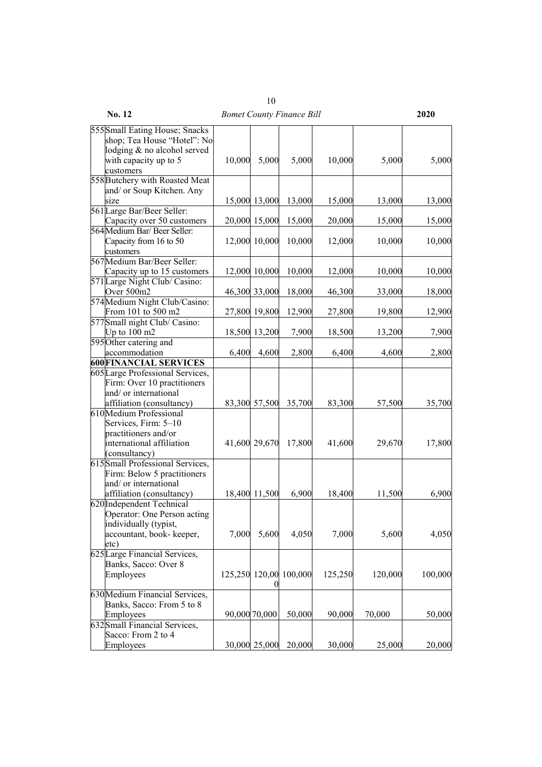|                                                                                                                                    |        |               | <i>bomet county I mance bin</i> |         |         |         |
|------------------------------------------------------------------------------------------------------------------------------------|--------|---------------|---------------------------------|---------|---------|---------|
| 555 Small Eating House; Snacks<br>shop; Tea House "Hotel": No<br>lodging & no alcohol served<br>with capacity up to 5<br>customers | 10,000 | 5,000         | 5,000                           | 10,000  | 5,000   | 5,000   |
| 558 Butchery with Roasted Meat                                                                                                     |        |               |                                 |         |         |         |
| and/ or Soup Kitchen. Any                                                                                                          |        |               |                                 |         |         |         |
| size                                                                                                                               |        | 15,000 13,000 | 13,000                          | 15,000  | 13,000  | 13,000  |
| 561 Large Bar/Beer Seller:                                                                                                         |        |               |                                 |         |         |         |
| Capacity over 50 customers                                                                                                         |        | 20,000 15,000 | 15,000                          | 20,000  | 15,000  | 15,000  |
| 564 Medium Bar/ Beer Seller:<br>Capacity from 16 to 50<br>customers                                                                |        | 12,000 10,000 | 10,000                          | 12,000  | 10,000  | 10,000  |
| 567 Medium Bar/Beer Seller:                                                                                                        |        |               |                                 |         |         |         |
| Capacity up to 15 customers                                                                                                        |        | 12,000 10,000 | 10,000                          | 12,000  | 10,000  | 10,000  |
| 571 Large Night Club/ Casino:                                                                                                      |        |               |                                 |         |         |         |
| Over 500m2                                                                                                                         |        | 46,300 33,000 | 18,000                          | 46,300  | 33,000  | 18,000  |
| 574 Medium Night Club/Casino:                                                                                                      |        |               |                                 |         |         |         |
| From 101 to 500 m2                                                                                                                 |        | 27,800 19,800 | 12,900                          | 27,800  | 19,800  | 12,900  |
| 577 Small night Club/ Casino:                                                                                                      |        |               |                                 |         |         |         |
| Up to $100 \text{ m2}$                                                                                                             |        | 18,500 13,200 | 7,900                           | 18,500  | 13,200  | 7,900   |
| 595 Other catering and                                                                                                             |        |               |                                 |         |         |         |
| accommodation                                                                                                                      | 6,400  | 4,600         | 2,800                           | 6,400   | 4,600   | 2,800   |
| <b>600 FINANCIAL SERVICES</b>                                                                                                      |        |               |                                 |         |         |         |
| 605 Large Professional Services,<br>Firm: Over 10 practitioners<br>and/ or international                                           |        |               |                                 |         |         |         |
| affiliation (consultancy)                                                                                                          |        | 83,300 57,500 | 35,700                          | 83,300  | 57,500  | 35,700  |
| 610 Medium Professional<br>Services, Firm: 5-10<br>practitioners and/or<br>international affiliation<br>(consultancy)              |        | 41,600 29,670 | 17,800                          | 41,600  | 29,670  | 17,800  |
| 615 Small Professional Services,<br>Firm: Below 5 practitioners<br>and/ or international<br>affiliation (consultancy)              |        | 18,400 11,500 | 6,900                           | 18,400  | 11,500  | 6,900   |
| 620 Independent Technical<br>Operator: One Person acting<br>individually (typist,<br>accountant, book- keeper,<br>etc)             | 7,000  | 5,600         | 4,050                           | 7,000   | 5,600   | 4,050   |
| 625 Large Financial Services,<br>Banks, Sacco: Over 8<br>Employees                                                                 |        | 0             | 125,250 120,00 100,000          | 125,250 | 120,000 | 100,000 |
| 630 Medium Financial Services,<br>Banks, Sacco: From 5 to 8<br>Employees<br>632 Small Financial Services,                          |        | 90,000 70,000 | 50,000                          | 90,000  | 70,000  | 50,000  |
| Sacco: From 2 to 4<br>Employees                                                                                                    |        | 30,000 25,000 | 20,000                          | 30,000  | 25,000  | 20,000  |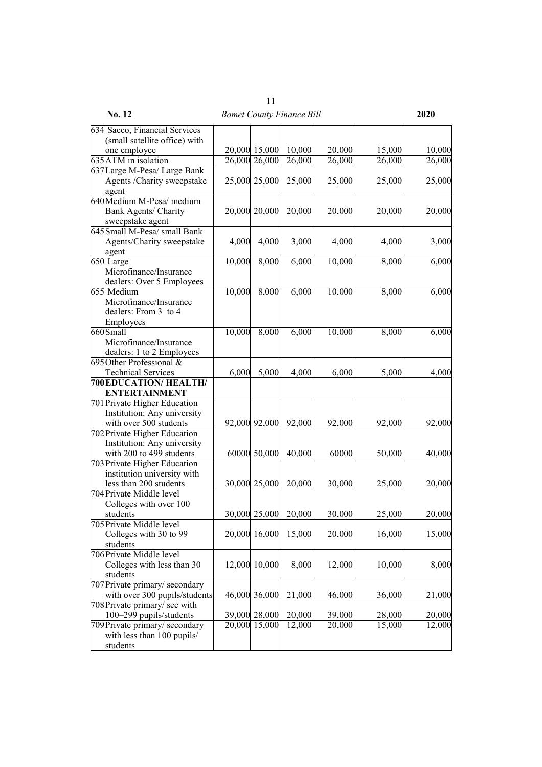| No. 12                        |        |               | <b>Bomet County Finance Bill</b> |        |        | 2020   |
|-------------------------------|--------|---------------|----------------------------------|--------|--------|--------|
| 634 Sacco, Financial Services |        |               |                                  |        |        |        |
| (small satellite office) with |        |               |                                  |        |        |        |
| one employee                  |        | 20,000 15,000 | 10,000                           | 20,000 | 15,000 | 10,000 |
| 635 ATM in isolation          |        | 26,000 26,000 | 26,000                           | 26,000 | 26,000 | 26,000 |
| 637 Large M-Pesa/ Large Bank  |        |               |                                  |        |        |        |
| Agents / Charity sweepstake   |        | 25,000 25,000 | 25,000                           | 25,000 | 25,000 | 25,000 |
| agent                         |        |               |                                  |        |        |        |
| 640 Medium M-Pesa/ medium     |        |               |                                  |        |        |        |
| <b>Bank Agents/ Charity</b>   |        | 20,000 20,000 | 20,000                           | 20,000 | 20,000 | 20,000 |
| sweepstake agent              |        |               |                                  |        |        |        |
| 645 Small M-Pesa/ small Bank  |        |               |                                  |        |        |        |
| Agents/Charity sweepstake     | 4,000  | 4,000         | 3,000                            | 4,000  | 4,000  | 3,000  |
| agent                         |        |               |                                  |        |        |        |
| 650 Large                     | 10,000 | 8,000         | 6,000                            | 10,000 | 8,000  | 6,000  |
| Microfinance/Insurance        |        |               |                                  |        |        |        |
| dealers: Over 5 Employees     |        |               |                                  |        |        |        |
| 655 Medium                    | 10,000 | 8,000         | 6,000                            | 10,000 | 8,000  | 6,000  |
| Microfinance/Insurance        |        |               |                                  |        |        |        |
| dealers: From 3 to 4          |        |               |                                  |        |        |        |
| Employees                     |        |               |                                  |        |        |        |
| 660Small                      | 10,000 | 8,000         | 6,000                            | 10,000 | 8,000  | 6,000  |
| Microfinance/Insurance        |        |               |                                  |        |        |        |
| dealers: 1 to 2 Employees     |        |               |                                  |        |        |        |
| 695 Other Professional $\&$   |        |               |                                  |        |        |        |
| <b>Technical Services</b>     | 6,000  | 5,000         | 4,000                            | 6,000  | 5,000  | 4,000  |
| 700EDUCATION/HEALTH/          |        |               |                                  |        |        |        |
| <b>ENTERTAINMENT</b>          |        |               |                                  |        |        |        |
| 701 Private Higher Education  |        |               |                                  |        |        |        |
| Institution: Any university   |        |               |                                  |        |        |        |
| with over 500 students        |        | 92,000 92,000 | 92,000                           | 92,000 | 92,000 | 92,000 |
| 702 Private Higher Education  |        |               |                                  |        |        |        |
| Institution: Any university   |        |               |                                  |        |        |        |
| with 200 to 499 students      |        | 60000 50,000  | 40,000                           | 60000  | 50,000 | 40,000 |
| 703 Private Higher Education  |        |               |                                  |        |        |        |
| institution university with   |        |               |                                  |        |        |        |
| less than 200 students        |        | 30,000 25,000 | 20,000                           | 30,000 | 25,000 | 20,000 |
| 704 Private Middle level      |        |               |                                  |        |        |        |
| Colleges with over 100        |        |               |                                  |        |        |        |
| students                      |        | 30,000 25,000 | 20,000                           | 30,000 | 25,000 | 20,000 |
| 705 Private Middle level      |        |               |                                  |        |        |        |
| Colleges with 30 to 99        |        | 20,000 16,000 | 15,000                           | 20,000 | 16,000 | 15,000 |
| students                      |        |               |                                  |        |        |        |
| 706 Private Middle level      |        |               |                                  |        |        |        |
| Colleges with less than 30    | 12,000 | 10,000        | 8,000                            | 12,000 | 10,000 | 8,000  |
| students                      |        |               |                                  |        |        |        |
| 707 Private primary/secondary |        |               |                                  |        |        |        |
| with over 300 pupils/students |        | 46,000 36,000 | 21,000                           | 46,000 | 36,000 | 21,000 |
| 708 Private primary/ sec with |        |               |                                  |        |        |        |
| 100-299 pupils/students       | 39,000 | 28,000        | 20,000                           | 39,000 | 28,000 | 20,000 |
| 709 Private primary/secondary | 20,000 | 15,000        | 12,000                           | 20,000 | 15,000 | 12,000 |
| with less than 100 pupils/    |        |               |                                  |        |        |        |
| students                      |        |               |                                  |        |        |        |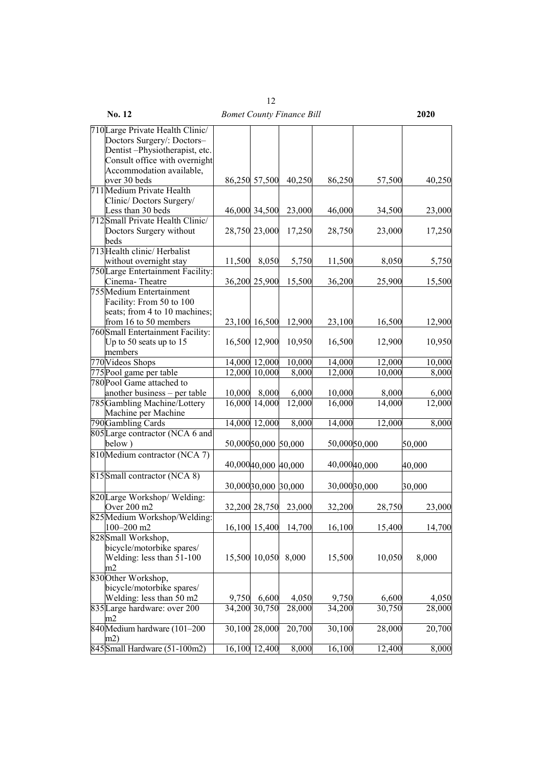| 710 Large Private Health Clinic/                    |        |                      |                      |        |              |        |
|-----------------------------------------------------|--------|----------------------|----------------------|--------|--------------|--------|
| Doctors Surgery/: Doctors-                          |        |                      |                      |        |              |        |
| Dentist-Physiotherapist, etc.                       |        |                      |                      |        |              |        |
| Consult office with overnight                       |        |                      |                      |        |              |        |
| Accommodation available,<br>over 30 beds            |        | 86,250 57,500        | 40,250               | 86,250 | 57,500       | 40,250 |
| 711 Medium Private Health                           |        |                      |                      |        |              |        |
| Clinic/Doctors Surgery/                             |        |                      |                      |        |              |        |
| Less than 30 beds                                   |        | 46,000 34,500        | 23,000               | 46,000 | 34,500       | 23,000 |
| 712 Small Private Health Clinic/                    |        |                      |                      |        |              |        |
| Doctors Surgery without                             |        | 28,750 23,000        | 17,250               | 28,750 | 23,000       | 17,250 |
| beds                                                |        |                      |                      |        |              |        |
| 713 Health clinic/ Herbalist                        |        |                      |                      |        |              |        |
| without overnight stay                              | 11,500 | 8,050                | 5,750                | 11,500 | 8,050        | 5,750  |
| 750 Large Entertainment Facility:<br>Cinema-Theatre |        |                      |                      |        |              |        |
| 755 Medium Entertainment                            |        | 36,200 25,900        | 15,500               | 36,200 | 25,900       | 15,500 |
| Facility: From 50 to 100                            |        |                      |                      |        |              |        |
| seats; from 4 to 10 machines;                       |        |                      |                      |        |              |        |
| from 16 to 50 members                               |        | 23,100 16,500        | 12,900               | 23,100 | 16,500       | 12,900 |
| 760 Small Entertainment Facility:                   |        |                      |                      |        |              |        |
| Up to 50 seats up to 15                             |        | 16,500 12,900        | 10,950               | 16,500 | 12,900       | 10,950 |
| members                                             |        |                      |                      |        |              |        |
| 770 Videos Shops                                    |        | 14,000 12,000        | 10,000               | 14,000 | 12,000       | 10,000 |
| 775 Pool game per table                             |        | 12,000 10,000        | 8,000                | 12,000 | 10,000       | 8,000  |
| 780 Pool Game attached to                           |        |                      |                      |        |              |        |
| another business - per table                        | 10,000 | 8,000                | 6,000                | 10,000 | 8,000        | 6,000  |
| 785 Gambling Machine/Lottery                        |        | 16,000 14,000        | 12,000               | 16,000 | 14,000       | 12,000 |
| Machine per Machine                                 |        |                      |                      |        |              |        |
| 790 Gambling Cards                                  |        | 14,000 12,000        | $\sqrt{8,000}$       | 14,000 | 12,000       | 8,000  |
| 805 Large contractor (NCA 6 and                     |        |                      |                      |        |              |        |
| below)                                              |        | 50,000 50,000 50,000 |                      |        | 50,00050,000 | 50,000 |
| 810 Medium contractor (NCA 7)                       |        |                      |                      |        |              |        |
|                                                     |        | 40,000 40,000 40,000 |                      |        | 40,00040,000 | 40,000 |
| 815 Small contractor (NCA 8)                        |        |                      |                      |        |              |        |
|                                                     |        |                      | 30,000 30,000 30,000 |        | 30,00030,000 | 30,000 |
| 820 Large Workshop/Welding:                         |        |                      |                      |        |              |        |
| Over 200 m2                                         |        | 32,200 28,750        | 23,000               | 32,200 | 28,750       | 23,000 |
| 825 Medium Workshop/Welding:                        |        |                      |                      |        |              |        |
| $100 - 200$ m2                                      |        |                      | 16,100 15,400 14,700 | 16,100 | 15,400       | 14,700 |
| 828 Small Workshop,                                 |        |                      |                      |        |              |        |
| bicycle/motorbike spares/                           |        |                      |                      |        |              |        |
| Welding: less than 51-100                           |        | 15,500 10,050        | 8,000                | 15,500 | 10,050       | 8,000  |
| m2                                                  |        |                      |                      |        |              |        |
| 830 Other Workshop,                                 |        |                      |                      |        |              |        |
| bicycle/motorbike spares/                           |        |                      |                      |        |              |        |
| Welding: less than 50 m2                            | 9,750  | 6,600                | 4,050                | 9,750  | 6,600        | 4,050  |
| 835 Large hardware: over 200                        | 34,200 | 30,750               | 28,000               | 34,200 | 30,750       | 28,000 |
| m2                                                  |        |                      |                      |        |              |        |
| 840 Medium hardware (101-200                        |        | 30,100 28,000        | 20,700               | 30,100 | 28,000       | 20,700 |
| m2)<br>845 Small Hardware (51-100m2)                |        |                      |                      |        |              |        |
|                                                     |        | 16,100 12,400        | 8,000                | 16,100 | 12,400       | 8,000  |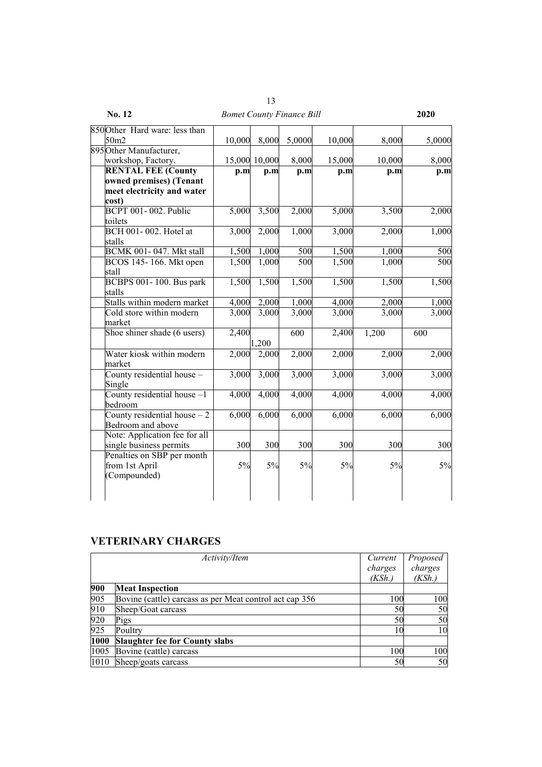| No. 12                                             |                    |               | <b>Bomet County Finance Bill</b> |                    |        | 2020   |
|----------------------------------------------------|--------------------|---------------|----------------------------------|--------------------|--------|--------|
| 850 Other Hard ware: less than                     |                    |               |                                  |                    |        |        |
| 50m2                                               | 10,000             | 8,000         | 5,0000                           | 10,000             | 8,000  | 5,0000 |
| 895 Other Manufacturer,                            |                    |               |                                  |                    |        |        |
| workshop, Factory.                                 |                    | 15,000 10,000 | 8,000                            | 15,000             | 10,000 | 8,000  |
| <b>RENTAL FEE (County</b>                          | p.m                | p.m           | p.m                              | p.m                | p.m    | p.m    |
| owned premises) (Tenant                            |                    |               |                                  |                    |        |        |
| meet electricity and water                         |                    |               |                                  |                    |        |        |
| cost)                                              |                    |               |                                  |                    |        |        |
| <b>BCPT 001-002. Public</b>                        | 5,000              | 3,500         | 2,000                            | 5,000              | 3,500  | 2,000  |
| toilets                                            |                    |               |                                  |                    |        |        |
| BCH 001-002. Hotel at                              | 3,000              | 2,000         | 1,000                            | 3,000              | 2,000  | 1,000  |
| stalls                                             |                    |               |                                  |                    |        |        |
| <b>BCMK 001-047. Mkt stall</b>                     | 1,500              | 1,000         | 500                              | 1,500              | 1,000  | 500    |
| BCOS 145-166. Mkt open<br>stall                    | 1,500              | 1,000         | 500                              | 1,500              | 1,000  | 500    |
| BCBPS 001-100. Bus park<br>stalls                  | 1,500              | 1,500         | 1,500                            | 1,500              | 1,500  | 1,500  |
| Stalls within modern market                        | 4,000              | 2,000         | 1,000                            | 4,000              | 2,000  | 1,000  |
| Cold store within modern<br>market                 | $\overline{3,000}$ | 3,000         | 3,000                            | 3,000              | 3,000  | 3,000  |
| Shoe shiner shade (6 users)                        | 2,400              |               | $\overline{600}$                 | $\overline{2,400}$ | 1,200  | 600    |
|                                                    |                    | 1,200         |                                  |                    |        |        |
| Water kiosk within modern<br>market                | 2,000              | 2,000         | 2,000                            | $\overline{2,000}$ | 2,000  | 2,000  |
| County residential house -<br>Single               | 3,000              | 3,000         | 3,000                            | 3,000              | 3,000  | 3,000  |
| County residential house -1<br>bedroom             | 4,000              | 4,000         | 4,000                            | 4,000              | 4,000  | 4,000  |
| County residential house $-2$<br>Bedroom and above | 6,000              | 6,000         | 6,000                            | 6,000              | 6,000  | 6,000  |
| Note: Application fee for all                      |                    |               |                                  |                    |        |        |
| single business permits                            | 300                | 300           | 300                              | 300                | 300    | 300    |
| Penalties on SBP per month                         |                    |               |                                  |                    |        |        |
| from 1st April                                     | 5%                 | 5%            | 5%                               | 5%                 | 5%     | 5%     |
| (Compounded)                                       |                    |               |                                  |                    |        |        |

## **VETERINARY CHARGES**

|      | Activity/Item                                           |         | Proposed |
|------|---------------------------------------------------------|---------|----------|
|      |                                                         | charges | charges  |
|      |                                                         | (KSh.)  | (KSh.)   |
| 900  | <b>Meat Inspection</b>                                  |         |          |
| 905  | Bovine (cattle) carcass as per Meat control act cap 356 | 100     | 100      |
| 910  | Sheep/Goat carcass                                      | 50      | 50       |
| 920  | Pigs                                                    | 50      | 50       |
| 925  | Poultry                                                 | 10      | 10       |
| 1000 | <b>Slaughter fee for County slabs</b>                   |         |          |
| 1005 | Bovine (cattle) carcass                                 | 100     | 100      |
| 1010 | Sheep/goats carcass                                     | 50      | 50       |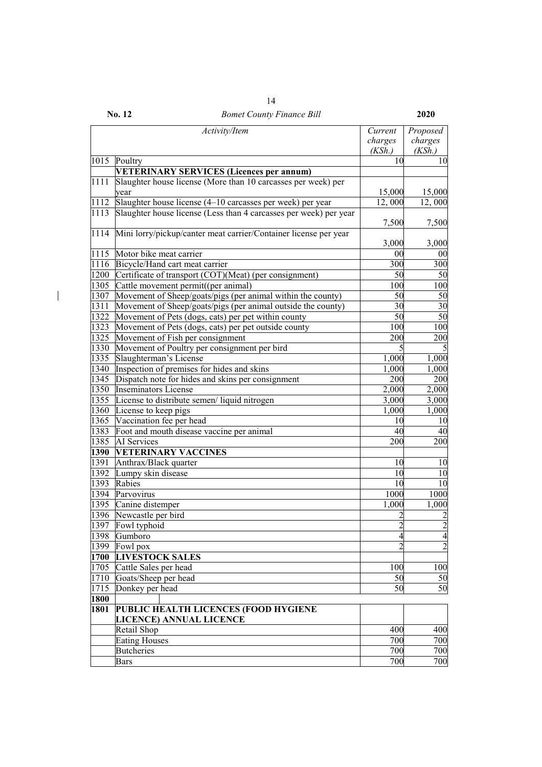|      | Activity/Item                                                     | Current        | Proposed        |
|------|-------------------------------------------------------------------|----------------|-----------------|
|      |                                                                   | charges        | charges         |
|      |                                                                   | (KSh.)         | (KSh.)          |
| 1015 | Poultry                                                           | 10             | 10              |
|      | <b>VETERINARY SERVICES (Licences per annum)</b>                   |                |                 |
| 1111 | Slaughter house license (More than 10 carcasses per week) per     |                |                 |
|      | vear                                                              | 15,000         | 15,000          |
| 1112 | Slaughter house license (4-10 carcasses per week) per year        | 12,000         | 12,000          |
| 1113 | Slaughter house license (Less than 4 carcasses per week) per year |                |                 |
|      |                                                                   | 7,500          | 7,500           |
| 1114 | Mini lorry/pickup/canter meat carrier/Container license per year  |                |                 |
|      |                                                                   | 3,000          | 3,000           |
| 1115 | Motor bike meat carrier                                           | 00             | 00              |
| 1116 | Bicycle/Hand cart meat carrier                                    | 300            | 300             |
| 1200 | Certificate of transport (COT)(Meat) (per consignment)            | 50             | 50              |
| 1305 | Cattle movement permit((per animal)                               | 100            | 100             |
| 1307 | Movement of Sheep/goats/pigs (per animal within the county)       | 50             | $\overline{50}$ |
| 1311 | Movement of Sheep/goats/pigs (per animal outside the county)      | 30             | $\overline{30}$ |
| 1322 | Movement of Pets (dogs, cats) per pet within county               | 50             | 50              |
| 1323 | Movement of Pets (dogs, cats) per pet outside county              | 100            | 100             |
| 1325 | Movement of Fish per consignment                                  | 200            | 200             |
| 1330 | Movement of Poultry per consignment per bird                      | 5              |                 |
| 1335 | Slaughterman's License                                            | 1,000          | 1,000           |
| 1340 | Inspection of premises for hides and skins                        | 1,000          | 1,000           |
| 1345 | Dispatch note for hides and skins per consignment                 | 200            | 200             |
| 1350 | <b>Inseminators License</b>                                       | 2,000          | 2,000           |
| 1355 | License to distribute semen/liquid nitrogen                       | 3,000          | 3,000           |
| 1360 | License to keep pigs                                              | 1,000          | 1,000           |
| 1365 | Vaccination fee per head                                          | 10             | 10              |
| 1383 | Foot and mouth disease vaccine per animal                         | 40             | 40              |
| 1385 | AI Services                                                       | 200            | 200             |
| 1390 | <b>VETERINARY VACCINES</b>                                        |                |                 |
| 1391 | Anthrax/Black quarter                                             | 10             | 10              |
| 1392 | Lumpy skin disease                                                | 10             | 10              |
| 1393 | Rabies                                                            | 10             | 10              |
| 1394 | Parvovirus                                                        | 1000           | 1000            |
| 1395 | Canine distemper                                                  | 1,000          | 1,000           |
| 1396 | Newcastle per bird                                                |                | $\overline{c}$  |
| 1397 | Fowl typhoid                                                      | $\overline{2}$ | $\overline{2}$  |
| 1398 | Gumboro                                                           | $\overline{4}$ | $\overline{a}$  |
| 1399 | Fowl pox                                                          | $\overline{2}$ | $\overline{2}$  |
| 1700 | <b>LIVESTOCK SALES</b>                                            |                |                 |
| 1705 | Cattle Sales per head                                             | 100            | 100             |
| 1710 | Goats/Sheep per head                                              | 50             | 50              |
| 1715 | Donkey per head                                                   | 50             | 50              |
| 1800 |                                                                   |                |                 |
| 1801 | PUBLIC HEALTH LICENCES (FOOD HYGIENE                              |                |                 |
|      | LICENCE) ANNUAL LICENCE                                           |                |                 |
|      | Retail Shop                                                       | 400            | 400             |
|      | <b>Eating Houses</b>                                              | 700            | 700             |
|      | <b>Butcheries</b>                                                 | 700            | 700             |
|      | Bars                                                              | 700            | 700             |

 $\begin{array}{c} \hline \end{array}$ 

**No. 12** *Bomet County Finance Bill* **2020**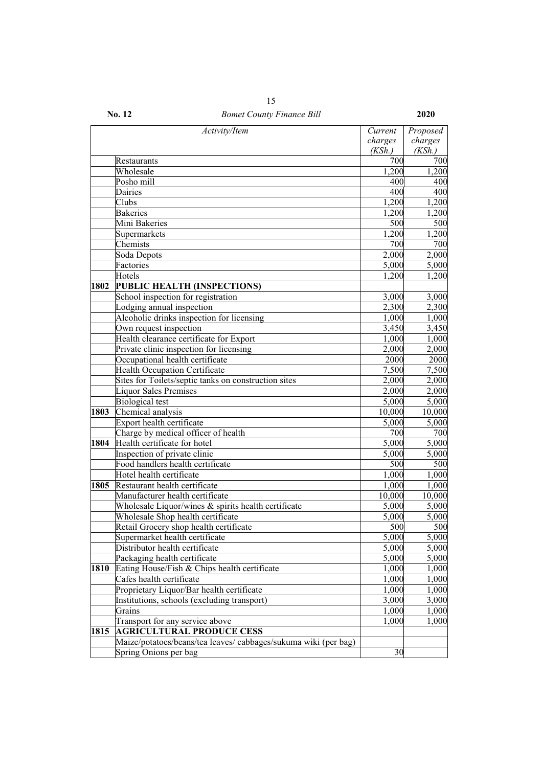| 15        |   |
|-----------|---|
| ╭<br>$-4$ | 1 |

|      | Activity/Item                                                  | Current | Proposed           |
|------|----------------------------------------------------------------|---------|--------------------|
|      |                                                                | charges | charges            |
|      |                                                                | (KSh.)  | (KSh.)             |
|      | Restaurants                                                    | 700     | 700                |
|      | Wholesale                                                      | 1,200   | 1,200              |
|      | Posho mill                                                     | 400     | 400                |
|      | Dairies                                                        | 400     | 400                |
|      | Clubs                                                          | 1,200   | 1,200              |
|      | <b>Bakeries</b>                                                | 1,200   | 1,200              |
|      | Mini Bakeries                                                  | 500     | 500                |
|      | Supermarkets                                                   | 1,200   | 1,200              |
|      | Chemists                                                       | 700     | 700                |
|      | Soda Depots                                                    | 2,000   | 2,000              |
|      | Factories                                                      | 5,000   | 5,000              |
|      | Hotels                                                         | 1,200   | 1,200              |
| 1802 | PUBLIC HEALTH (INSPECTIONS)                                    |         |                    |
|      | School inspection for registration                             | 3,000   | 3,000              |
|      | Lodging annual inspection                                      | 2,300   | $\overline{2,300}$ |
|      | Alcoholic drinks inspection for licensing                      | 1,000   | 1,000              |
|      | Own request inspection                                         | 3,450   | 3,450              |
|      | Health clearance certificate for Export                        | 1,000   | 1,000              |
|      | Private clinic inspection for licensing                        | 2,000   | 2,000              |
|      | Occupational health certificate                                | 2000    | 2000               |
|      | <b>Health Occupation Certificate</b>                           | 7,500   | 7,500              |
|      | Sites for Toilets/septic tanks on construction sites           | 2,000   | 2,000              |
|      | <b>Liquor Sales Premises</b>                                   | 2,000   | 2,000              |
|      | <b>Biological test</b>                                         | 5,000   | 5,000              |
| 1803 | Chemical analysis                                              | 10,000  | 10,000             |
|      | Export health certificate                                      | 5,000   | 5,000              |
|      | Charge by medical officer of health                            | 700     | 700                |
| 1804 | Health certificate for hotel                                   | 5,000   | 5,000              |
|      | Inspection of private clinic                                   | 5,000   | 5,000              |
|      | Food handlers health certificate                               | 500     | 500                |
|      | Hotel health certificate                                       | 1,000   | 1,000              |
| 1805 | Restaurant health certificate                                  | 1,000   | 1,000              |
|      | Manufacturer health certificate                                | 10,000  | 10,000             |
|      | Wholesale Liquor/wines & spirits health certificate            | 5,000   | 5,000              |
|      | Wholesale Shop health certificate                              | 5,000   | 5,000              |
|      | Retail Grocery shop health certificate                         | 500     | 500                |
|      | Supermarket health certificate                                 | 5,000   | 5,000              |
|      | Distributor health certificate                                 | 5,000   | 5,000              |
|      | Packaging health certificate                                   | 5,000   | 5,000              |
| 1810 | Eating House/Fish & Chips health certificate                   | 1,000   | 1,000              |
|      | Cafes health certificate                                       | 1,000   | 1,000              |
|      | Proprietary Liquor/Bar health certificate                      | 1,000   | 1,000              |
|      | Institutions, schools (excluding transport)                    | 3,000   | 3,000              |
|      | Grains                                                         | 1,000   | 1,000              |
|      | Transport for any service above                                | 1,000   | 1,000              |
| 1815 | <b>AGRICULTURAL PRODUCE CESS</b>                               |         |                    |
|      | Maize/potatoes/beans/tea leaves/cabbages/sukuma wiki (per bag) |         |                    |
|      | Spring Onions per bag                                          | 30      |                    |
|      |                                                                |         |                    |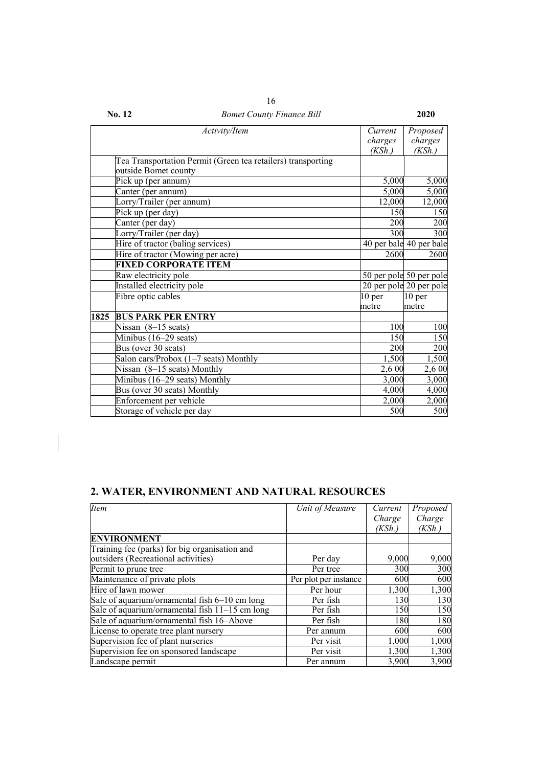|      | Activity/Item                                                | Current           | Proposed                |
|------|--------------------------------------------------------------|-------------------|-------------------------|
|      |                                                              | charges           | charges                 |
|      |                                                              | (KSh.)            | (KSh.)                  |
|      | Tea Transportation Permit (Green tea retailers) transporting |                   |                         |
|      | outside Bomet county                                         |                   |                         |
|      | Pick up (per annum)                                          | 5,000             | 5,000                   |
|      | Canter (per annum)                                           | 5,000             | 5,000                   |
|      | Lorry/Trailer (per annum)                                    | 12,000            | 12,000                  |
|      | Pick up (per day)                                            | 150               | 150                     |
|      | Canter (per day)                                             | <b>200</b>        | 200                     |
|      | Lorry/Trailer (per day)                                      | 300               | 300                     |
|      | Hire of tractor (baling services)                            |                   | 40 per bale 40 per bale |
|      | Hire of tractor (Mowing per acre)                            | 2600              | 2600                    |
|      | <b>FIXED CORPORATE ITEM</b>                                  |                   |                         |
|      | Raw electricity pole                                         |                   | 50 per pole 50 per pole |
|      | Installed electricity pole                                   |                   | 20 per pole 20 per pole |
|      | Fibre optic cables                                           | 10 <sub>per</sub> | 10 <sub>per</sub>       |
|      |                                                              | metre             | metre                   |
| 1825 | <b>BUS PARK PER ENTRY</b>                                    |                   |                         |
|      | Nissan $(8-15$ seats)                                        | 100               | 100                     |
|      | Minibus (16–29 seats)                                        | 150               | 150                     |
|      | Bus (over 30 seats)                                          | 200               | 200                     |
|      | Salon cars/Probox (1-7 seats) Monthly                        | 1,500             | 1,500                   |
|      | Nissan (8-15 seats) Monthly                                  | 2,6 00            | 2,6 00                  |
|      | Minibus (16-29 seats) Monthly                                | 3,000             | 3,000                   |
|      | Bus (over 30 seats) Monthly                                  | 4,000             | 4,000                   |
|      | Enforcement per vehicle                                      | 2,000             | 2,000                   |
|      | Storage of vehicle per day                                   | 500               | 500                     |

16

# **2. WATER, ENVIRONMENT AND NATURAL RESOURCES**

| <b>Item</b>                                    | Unit of Measure       | Current | Proposed |
|------------------------------------------------|-----------------------|---------|----------|
|                                                |                       | Charge  | Charge   |
|                                                |                       | (KSh.)  | (KSh.)   |
| <b>ENVIRONMENT</b>                             |                       |         |          |
| Training fee (parks) for big organisation and  |                       |         |          |
| outsiders (Recreational activities)            | Per day               | 9,000   | 9,000    |
| Permit to prune tree                           | Per tree              | 300     | 300      |
| Maintenance of private plots                   | Per plot per instance | 600     | 600      |
| Hire of lawn mower                             | Per hour              | 1,300   | 1,300    |
| Sale of aquarium/ornamental fish 6-10 cm long  | Per fish              | 130     | 130      |
| Sale of aquarium/ornamental fish 11-15 cm long | Per fish              | 150     | 150      |
| Sale of aquarium/ornamental fish 16-Above      | Per fish              | 180     | 180      |
| License to operate tree plant nursery          | Per annum             | 600     | 600      |
| Supervision fee of plant nurseries             | Per visit             | 1,000   | 1,000    |
| Supervision fee on sponsored landscape         | Per visit             | 1,300   | 1,300    |
| Landscape permit                               | Per annum             | 3,900   | 3,900    |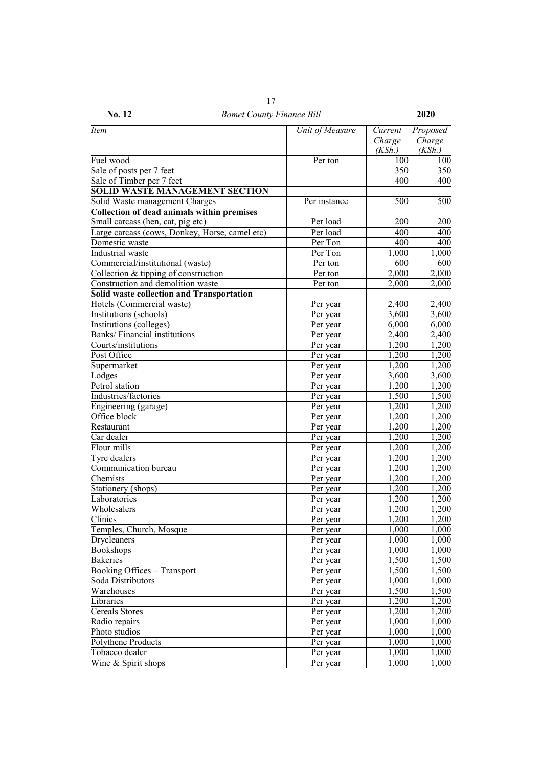| <b>Item</b>                                       | Unit of Measure | Current | Proposed       |
|---------------------------------------------------|-----------------|---------|----------------|
|                                                   |                 | Charge  | Charge         |
|                                                   |                 | (KSh.)  | (KSh.)         |
| Fuel wood                                         | Per ton         | 100     | 100            |
| Sale of posts per 7 feet                          |                 | 350     | 350            |
| Sale of Timber per 7 feet                         |                 | 400     | 400            |
| <b>SOLID WASTE MANAGEMENT SECTION</b>             |                 |         |                |
| Solid Waste management Charges                    | Per instance    | 500     | 500            |
| <b>Collection of dead animals within premises</b> |                 |         |                |
| Small carcass (hen, cat, pig etc)                 | Per load        | 200     | 200            |
| Large carcass (cows, Donkey, Horse, camel etc)    | Per load        | 400     | 400            |
| Domestic waste                                    | Per Ton         | 400     | 400            |
| Industrial waste                                  | Per Ton         | 1,000   | 1,000          |
| Commercial/institutional (waste)                  | Per ton         | 600     | 600            |
| Collection & tipping of construction              | Per ton         | 2,000   | 2,000          |
| Construction and demolition waste                 | Per ton         | 2,000   | 2,000          |
| <b>Solid waste collection and Transportation</b>  |                 |         |                |
| Hotels (Commercial waste)                         | Per year        | 2,400   | 2,400          |
| Institutions (schools)                            | Per year        | 3,600   | 3,600          |
| Institutions (colleges)                           | Per year        | 6,000   | 6,000          |
| <b>Banks/Financial institutions</b>               | Per year        | 2,400   | 2,400          |
| Courts/institutions                               | Per year        | 1,200   | 1,200          |
| Post Office                                       | Per year        | 1,200   | 1,200          |
| Supermarket                                       | Per year        | 1,200   | 1,200          |
| Lodges                                            | Per year        | 3,600   | 3,600          |
| Petrol station                                    | Per year        | 1,200   | 1,200          |
| Industries/factories                              | Per year        | 1,500   | 1,500          |
| Engineering (garage)                              | Per year        | 1,200   | 1,200          |
| Office block                                      | Per year        | 1,200   | 1,200          |
| Restaurant                                        | Per year        | 1,200   | 1,200          |
| Car dealer                                        | Per year        | 1,200   | 1,200          |
| Flour mills                                       | Per year        | 1,200   | 1,200          |
| Tyre dealers                                      | Per year        | 1,200   | 1,200          |
| Communication bureau                              | Per year        | 1,200   | 1,200          |
| Chemists                                          | Per year        | 1,200   | 1,200          |
| Stationery (shops)                                | Per year        | 1,200   | 1,200          |
| Laboratories                                      | Per year        | 1,200   | 1,200          |
| Wholesalers                                       | Per year        | 1,200   | 1,200          |
| Clinics                                           | Per year        | 1,200   | 1,200          |
| Temples, Church, Mosque                           | Per year        | 1,000   | 1,000          |
| Drycleaners                                       | Per year        | 1,000   | 1,000          |
| <b>Bookshops</b>                                  | Per year        | 1,000   | 1,000          |
| <b>Bakeries</b>                                   | Per year        | 1,500   | 1,500          |
| <b>Booking Offices - Transport</b>                | Per year        | 1,500   | 1,500          |
| Soda Distributors                                 | Per year        | 1,000   | 1,000          |
|                                                   |                 | 1,500   |                |
| Warehouses<br>Libraries                           | Per year        | 1,200   | 1,500<br>1,200 |
| <b>Cereals Stores</b>                             | Per year        | 1,200   | 1,200          |
|                                                   | Per year        |         |                |
| Radio repairs                                     | Per year        | 1,000   | 1,000          |
| Photo studios<br>Polythene Products               | Per year        | 1,000   | 1,000          |
|                                                   | Per year        | 1,000   | 1,000          |
| Tobacco dealer                                    | Per year        | 1,000   | 1,000          |
| Wine & Spirit shops                               | Per year        | 1,000   | 1,000          |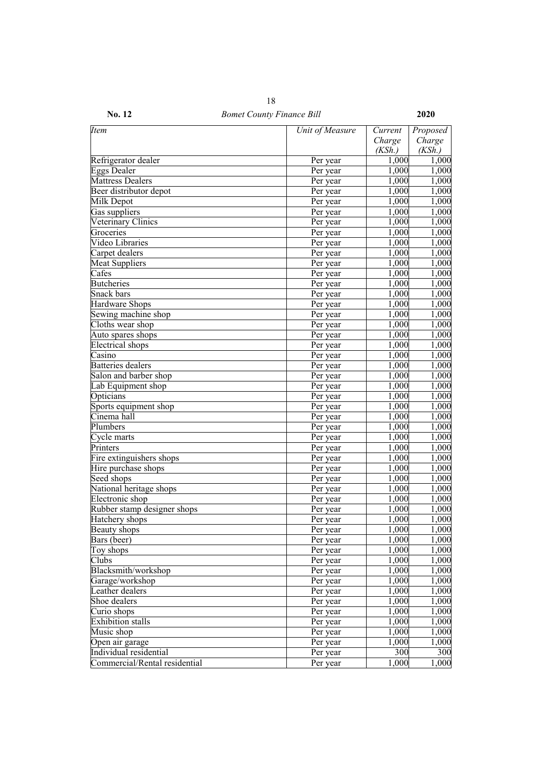| <b>Item</b>                   | Unit of Measure | Current | Proposed |
|-------------------------------|-----------------|---------|----------|
|                               |                 | Charge  | Charge   |
|                               |                 | (KSh.)  | (KSh.)   |
| Refrigerator dealer           | Per year        | 1,000   | 1,000    |
| Eggs Dealer                   | Per year        | 1,000   | 1,000    |
| <b>Mattress Dealers</b>       | Per year        | 1,000   | 1,000    |
| Beer distributor depot        | Per year        | 1,000   | 1,000    |
| Milk Depot                    | Per year        | 1,000   | 1,000    |
| Gas suppliers                 | Per year        | 1,000   | 1,000    |
| Veterinary Clinics            | Per year        | 1,000   | 1,000    |
| Groceries                     | Per year        | 1,000   | 1,000    |
| Video Libraries               | Per year        | 1,000   | 1,000    |
| Carpet dealers                | Per year        | 1,000   | 1,000    |
| <b>Meat Suppliers</b>         | Per year        | 1,000   | 1,000    |
| Cafes                         | Per year        | 1,000   | 1,000    |
| <b>Butcheries</b>             | Per year        | 1,000   | 1,000    |
| Snack bars                    | Per year        | 1,000   | 1,000    |
| <b>Hardware Shops</b>         | Per year        | 1,000   | 1,000    |
| Sewing machine shop           | Per year        | 1,000   | 1,000    |
| Cloths wear shop              | Per year        | 1,000   | 1,000    |
| Auto spares shops             | Per year        | 1,000   | 1,000    |
| <b>Electrical</b> shops       | Per year        | 1,000   | 1,000    |
| Casino                        | Per year        | 1,000   | 1,000    |
| <b>Batteries</b> dealers      | Per year        | 1,000   | 1,000    |
| Salon and barber shop         | Per year        | 1,000   | 1,000    |
| Lab Equipment shop            | Per year        | 1,000   | 1,000    |
| Opticians                     | Per year        | 1,000   | 1,000    |
| Sports equipment shop         | Per year        | 1,000   | 1,000    |
| Cinema hall                   | Per year        | 1,000   | 1,000    |
| Plumbers                      | Per year        | 1,000   | 1,000    |
| Cycle marts                   | Per year        | 1,000   | 1,000    |
| Printers                      | Per year        | 1,000   | 1,000    |
| Fire extinguishers shops      | Per year        | 1,000   | 1,000    |
| Hire purchase shops           | Per year        | 1,000   | 1,000    |
| Seed shops                    | Per year        | 1,000   | 1,000    |
| National heritage shops       | Per year        | 1,000   | 1,000    |
| Electronic shop               | Per year        | 1,000   | 1,000    |
| Rubber stamp designer shops   | Per year        | 1,000   | 1,000    |
| Hatchery shops                | Per year        | 1,000   | 1,000    |
| Beauty shops                  | Per year        | 1,000   | 1,000    |
| Bars (beer)                   | Per year        | 1,000   | 1,000    |
| Toy shops                     | Per year        | 1,000   | 1,000    |
| Clubs                         | Per year        | 1,000   | 1,000    |
| Blacksmith/workshop           | Per year        | 1,000   | 1,000    |
| Garage/workshop               | Per year        | 1,000   | 1,000    |
| Leather dealers               | Per year        | 1,000   | 1,000    |
| Shoe dealers                  | Per year        | 1,000   | 1,000    |
|                               |                 |         |          |
| Curio shops                   | Per year        | 1,000   | 1,000    |
| <b>Exhibition</b> stalls      | Per year        | 1,000   | 1,000    |
| Music shop                    | Per year        | 1,000   | 1,000    |
| Open air garage               | Per year        | 1,000   | 1,000    |
| Individual residential        | Per year        | 300     | 300      |
| Commercial/Rental residential | Per year        | 1,000   | 1,000    |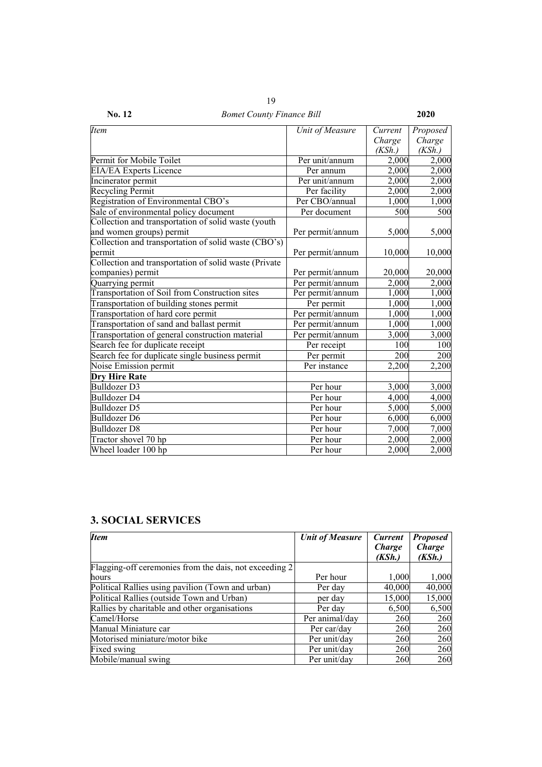| <b>Item</b>                                           | Unit of Measure  | Current | Proposed |
|-------------------------------------------------------|------------------|---------|----------|
|                                                       |                  | Charge  | Charge   |
|                                                       |                  | (KSh.)  | (KSh.)   |
| Permit for Mobile Toilet                              | Per unit/annum   | 2,000   | 2,000    |
| <b>EIA/EA Experts Licence</b>                         | Per annum        | 2,000   | 2,000    |
| Incinerator permit                                    | Per unit/annum   | 2,000   | 2,000    |
| <b>Recycling Permit</b>                               | Per facility     | 2,000   | 2,000    |
| Registration of Environmental CBO's                   | Per CBO/annual   | 1,000   | 1,000    |
| Sale of environmental policy document                 | Per document     | 500     | 500      |
| Collection and transportation of solid waste (youth   |                  |         |          |
| and women groups) permit                              | Per permit/annum | 5,000   | 5,000    |
| Collection and transportation of solid waste (CBO's)  |                  |         |          |
| permit                                                | Per permit/annum | 10,000  | 10,000   |
| Collection and transportation of solid waste (Private |                  |         |          |
| companies) permit                                     | Per permit/annum | 20,000  | 20,000   |
| Quarrying permit                                      | Per permit/annum | 2,000   | 2,000    |
| Transportation of Soil from Construction sites        | Per permit/annum | 1,000   | 1,000    |
| Transportation of building stones permit              | Per permit       | 1,000   | 1,000    |
| Transportation of hard core permit                    | Per permit/annum | 1,000   | 1,000    |
| Transportation of sand and ballast permit             | Per permit/annum | 1,000   | 1,000    |
| Transportation of general construction material       | Per permit/annum | 3,000   | 3,000    |
| Search fee for duplicate receipt                      | Per receipt      | 100     | 100      |
| Search fee for duplicate single business permit       | Per permit       | 200     | 200      |
| Noise Emission permit                                 | Per instance     | 2,200   | 2,200    |
| <b>Dry Hire Rate</b>                                  |                  |         |          |
| <b>Bulldozer D3</b>                                   | Per hour         | 3,000   | 3,000    |
| Bulldozer D4                                          | Per hour         | 4,000   | 4,000    |
| Bulldozer D5                                          | Per hour         | 5,000   | 5,000    |
| <b>Bulldozer D6</b>                                   | Per hour         | 6,000   | 6,000    |
| <b>Bulldozer D8</b>                                   | Per hour         | 7,000   | 7,000    |
| Tractor shovel 70 hp                                  | Per hour         | 2,000   | 2,000    |
| Wheel loader 100 hp                                   | Per hour         | 2,000   | 2,000    |

## **3. SOCIAL SERVICES**

| <b>Item</b>                                            | <b>Unit of Measure</b> | <b>Current</b> | <b>Proposed</b> |
|--------------------------------------------------------|------------------------|----------------|-----------------|
|                                                        |                        | Charge         | Charge          |
|                                                        |                        | (KSh.)         | (KSh.)          |
| Flagging-off ceremonies from the dais, not exceeding 2 |                        |                |                 |
| hours                                                  | Per hour               | 1,000          | 1,000           |
| Political Rallies using pavilion (Town and urban)      | Per day                | 40,000         | 40,000          |
| Political Rallies (outside Town and Urban)             | per day                | 15,000         | 15,000          |
| Rallies by charitable and other organisations          | Per day                | 6,500          | 6,500           |
| Camel/Horse                                            | Per animal/day         | 260            | 260             |
| Manual Miniature car                                   | Per car/day            | 260            | 260             |
| Motorised miniature/motor bike                         | Per unit/day           | 260            | 260             |
| Fixed swing                                            | Per unit/day           | 260            | 260             |
| Mobile/manual swing                                    | Per unit/day           | 260            | 260             |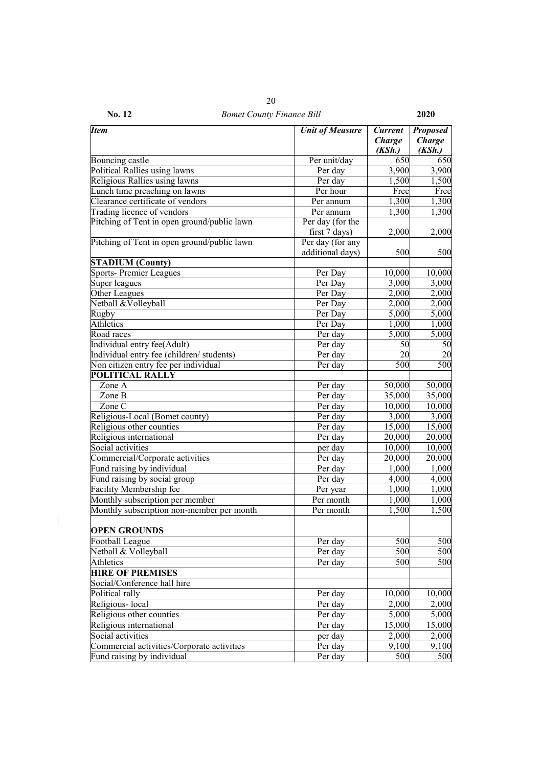| No. 12 | <b>Bomet County Finance Bill</b> | <b>2020</b> |
|--------|----------------------------------|-------------|

| <b>Item</b>                                 | <b>Unit of Measure</b> | <b>Current</b>          | <b>Proposed</b>         |
|---------------------------------------------|------------------------|-------------------------|-------------------------|
|                                             |                        | <b>Charge</b><br>(KSh.) | <b>Charge</b><br>(KSh.) |
| Bouncing castle                             | Per unit/day           | 650                     | 650                     |
| Political Rallies using lawns               | Per day                | 3,900                   | 3,900                   |
| Religious Rallies using lawns               | Per day                | 1,500                   | 1,500                   |
| Lunch time preaching on lawns               | Per hour               | Free                    | Free                    |
| Clearance certificate of vendors            | Per annum              | 1,300                   | 1,300                   |
| Trading licence of vendors                  | Per annum              | 1,300                   | 1,300                   |
| Pitching of Tent in open ground/public lawn | Per day (for the       |                         |                         |
|                                             | first 7 days)          | 2,000                   | 2,000                   |
| Pitching of Tent in open ground/public lawn | Per day (for any       |                         |                         |
|                                             | additional days)       | 500                     | 500                     |
| <b>STADIUM (County)</b>                     |                        |                         |                         |
| Sports-Premier Leagues                      | Per Day                | 10,000                  | 10,000                  |
| Super leagues                               | Per Day                | 3,000                   | 3,000                   |
| Other Leagues                               | Per Day                | 2,000                   | 2,000                   |
| Netball &Volleyball                         | Per Day                | 2,000                   | 2,000                   |
| Rugby                                       | Per Day                | 5,000                   | 5,000                   |
| <b>Athletics</b>                            | Per Day                | 1,000                   | 1,000                   |
| Road races                                  | Per day                | 5,000                   | 5,000                   |
| Individual entry fee(Adult)                 | Per day                | 50                      | 50                      |
| Individual entry fee (children/ students)   | Per day                | 20                      | 20                      |
| Non citizen entry fee per individual        | Per day                | 500                     | 500                     |
| <b>POLITICAL RALLY</b>                      |                        |                         |                         |
| Zone A                                      | Per day                | 50,000                  | 50,000                  |
| Zone B                                      | Per day                | 35,000                  | 35,000                  |
| Zone C                                      | Per day                | 10,000                  | 10,000                  |
| Religious-Local (Bomet county)              | Per day                | 3,000                   | 3,000                   |
| Religious other counties                    | Per day                | 15,000                  | 15,000                  |
| Religious international                     | Per day                | 20,000                  | 20,000                  |
| Social activities                           | per day                | 10,000                  | 10,000                  |
| Commercial/Corporate activities             | Per day                | 20,000                  | 20,000                  |
| Fund raising by individual                  | Per day                | 1,000                   | 1,000                   |
|                                             | Per day                | 4,000                   |                         |
| Fund raising by social group                |                        |                         | 4,000                   |
| Facility Membership fee                     | Per year               | 1,000                   | 1,000                   |
| Monthly subscription per member             | Per month              | 1,000                   | 1,000                   |
| Monthly subscription non-member per month   | Per month              | 1,500                   | 1,500                   |
| <b>OPEN GROUNDS</b>                         |                        |                         |                         |
| <b>Football League</b>                      | Per day                | 500                     | 500                     |
| Netball & Volleyball                        | Per day                | 500                     | 500                     |
| Athletics                                   | Per day                | 500                     | 500                     |
| <b>HIRE OF PREMISES</b>                     |                        |                         |                         |
| Social/Conference hall hire                 |                        |                         |                         |
| Political rally                             | Per day                | 10,000                  | 10,000                  |
| Religious-local                             | Per day                | 2,000                   | 2,000                   |
| Religious other counties                    | Per day                | 5,000                   | 5,000                   |
| Religious international                     | Per day                | 15,000                  | 15,000                  |
| Social activities                           | per day                | 2,000                   | 2,000                   |
| Commercial activities/Corporate activities  | Per day                | $\overline{9,100}$      | 9,100                   |
| Fund raising by individual                  | Per day                | 500                     | 500                     |
|                                             |                        |                         |                         |

 $\begin{array}{c} \hline \end{array}$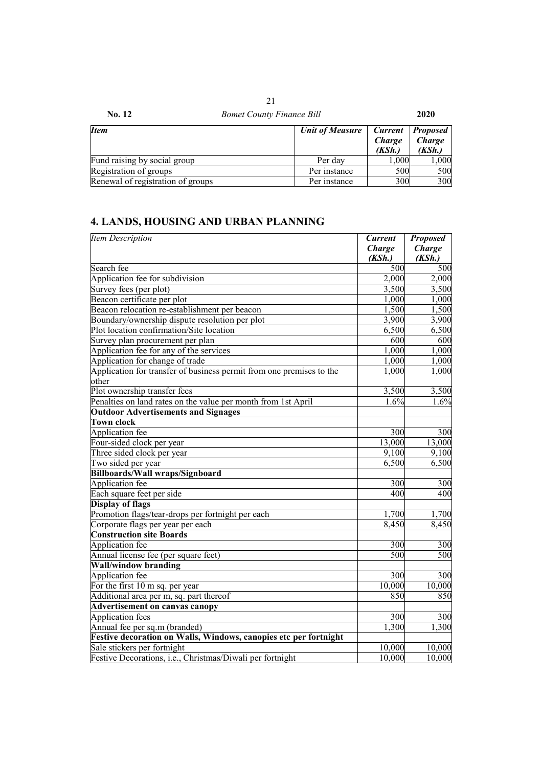| No. 12                            | <b>Bomet County Finance Bill</b> |                                           | 2020                                       |  |
|-----------------------------------|----------------------------------|-------------------------------------------|--------------------------------------------|--|
| <b>Item</b>                       | <b>Unit of Measure</b>           | <b>Current</b><br><b>Charge</b><br>(KSh.) | <b>Proposed</b><br><b>Charge</b><br>(KSh.) |  |
| Fund raising by social group      | Per day                          | 1,000                                     | 1,000                                      |  |
| Registration of groups            | Per instance                     | 500                                       | 500                                        |  |
| Renewal of registration of groups | Per instance                     | 300                                       | 300                                        |  |

# **4. LANDS, HOUSING AND URBAN PLANNING**

| <b>Item Description</b>                                                       | <b>Current</b><br><b>Charge</b> | <b>Proposed</b><br><b>Charge</b> |
|-------------------------------------------------------------------------------|---------------------------------|----------------------------------|
|                                                                               | (KSh.)                          | (KSh.)                           |
| Search fee                                                                    | 500                             | 500                              |
| Application fee for subdivision                                               | 2,000                           | 2,000                            |
| Survey fees (per plot)                                                        | 3,500                           | 3,500                            |
| Beacon certificate per plot                                                   | 1,000                           | 1,000                            |
| Beacon relocation re-establishment per beacon                                 | 1,500                           | 1,500                            |
| Boundary/ownership dispute resolution per plot                                | 3,900                           | 3,900                            |
| Plot location confirmation/Site location                                      | 6,500                           | 6,500                            |
| Survey plan procurement per plan                                              | 600                             | 600                              |
| Application fee for any of the services                                       | 1,000                           | 1,000                            |
| Application for change of trade                                               | 1,000                           | 1,000                            |
| Application for transfer of business permit from one premises to the<br>other | 1,000                           | 1,000                            |
| Plot ownership transfer fees                                                  | 3,500                           | 3,500                            |
| Penalties on land rates on the value per month from 1st April                 | 1.6%                            | 1.6%                             |
| <b>Outdoor Advertisements and Signages</b>                                    |                                 |                                  |
| <b>Town clock</b>                                                             |                                 |                                  |
| Application fee                                                               | 300                             | 300                              |
| Four-sided clock per year                                                     | 13,000                          | 13,000                           |
| Three sided clock per year                                                    | 9,100                           | 9,100                            |
| Two sided per year                                                            | 6,500                           | 6,500                            |
| <b>Billboards/Wall wraps/Signboard</b>                                        |                                 |                                  |
| Application fee                                                               | 300                             | 300                              |
| Each square feet per side                                                     | 400                             | 400                              |
| <b>Display of flags</b>                                                       |                                 |                                  |
| Promotion flags/tear-drops per fortnight per each                             | 1,700                           | 1,700                            |
| Corporate flags per year per each                                             | 8,450                           | 8,450                            |
| <b>Construction site Boards</b>                                               |                                 |                                  |
| Application fee                                                               | 300                             | 300                              |
| Annual license fee (per square feet)                                          | 500                             | 500                              |
| <b>Wall/window branding</b>                                                   |                                 |                                  |
| Application fee                                                               | 300                             | 300                              |
| For the first 10 m sq. per year                                               | 10,000                          | 10,000                           |
| Additional area per m, sq. part thereof                                       | 850                             | 850                              |
| Advertisement on canvas canopy                                                |                                 |                                  |
| <b>Application fees</b>                                                       | 300                             | 300                              |
| Annual fee per sq.m (branded)                                                 | 1,300                           | 1,300                            |
| Festive decoration on Walls, Windows, canopies etc per fortnight              |                                 |                                  |
| Sale stickers per fortnight                                                   | 10,000                          | 10,000                           |
| Festive Decorations, i.e., Christmas/Diwali per fortnight                     | 10,000                          | 10,000                           |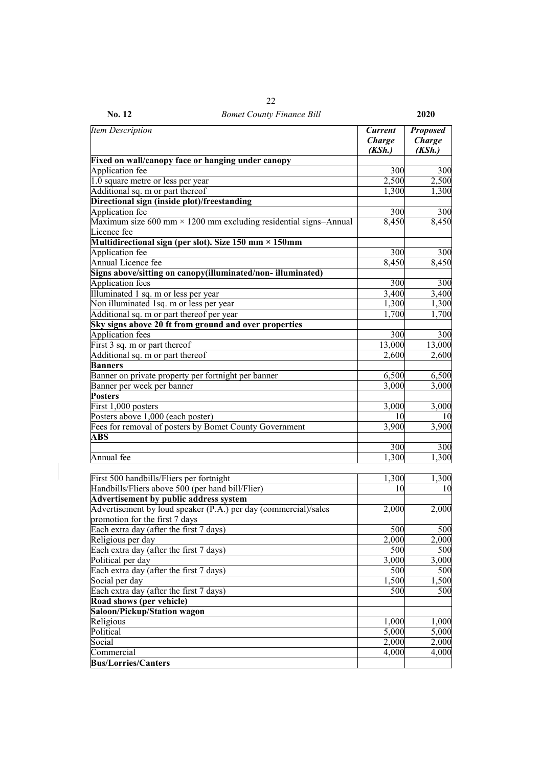| Item Description                                                                       | <b>Current</b><br><b>Charge</b><br>(KSh.) | <b>Proposed</b><br><b>Charge</b><br>(KSh.) |
|----------------------------------------------------------------------------------------|-------------------------------------------|--------------------------------------------|
| Fixed on wall/canopy face or hanging under canopy                                      |                                           |                                            |
| Application fee                                                                        | 300                                       | 300                                        |
| 1.0 square metre or less per year                                                      | 2,500                                     | 2,500                                      |
| Additional sq. m or part thereof                                                       | 1,300                                     | 1,300                                      |
| Directional sign (inside plot)/freestanding                                            |                                           |                                            |
| Application fee                                                                        | 300                                       | 300                                        |
| Maximum size 600 mm $\times$ 1200 mm excluding residential signs-Annual<br>Licence fee | 8,450                                     | 8,450                                      |
| Multidirectional sign (per slot). Size $150$ mm $\times$ $150$ mm                      |                                           |                                            |
| Application fee                                                                        | 300                                       | 300                                        |
| Annual Licence fee                                                                     | 8,450                                     | 8,450                                      |
| Signs above/sitting on canopy(illuminated/non-illuminated)                             |                                           |                                            |
| Application fees                                                                       | 300                                       | 300                                        |
| Illuminated 1 sq. m or less per year                                                   | 3,400                                     | 3,400                                      |
| Non illuminated 1sq. m or less per year                                                | 1,300                                     | 1,300                                      |
| Additional sq. m or part thereof per year                                              | 1,700                                     | 1,700                                      |
| Sky signs above 20 ft from ground and over properties                                  |                                           |                                            |
| Application fees                                                                       | 300                                       | 300                                        |
| First 3 sq. m or part thereof                                                          | 13,000                                    | 13,000                                     |
| Additional sq. m or part thereof                                                       | 2,600                                     | 2,600                                      |
| <b>Banners</b>                                                                         |                                           |                                            |
| Banner on private property per fortnight per banner                                    | 6,500                                     | 6,500                                      |
| Banner per week per banner                                                             | 3,000                                     | 3,000                                      |
| <b>Posters</b>                                                                         |                                           |                                            |
| First 1,000 posters                                                                    | 3,000                                     | 3,000                                      |
| Posters above 1,000 (each poster)                                                      | 10                                        | 10                                         |
| Fees for removal of posters by Bomet County Government                                 | 3,900                                     | 3,900                                      |
| <b>ABS</b>                                                                             |                                           |                                            |
|                                                                                        | 300                                       | 300                                        |
| Annual fee                                                                             | 1,300                                     | 1,300                                      |
|                                                                                        |                                           |                                            |
| First 500 handbills/Fliers per fortnight                                               | 1,300                                     | 1,300                                      |
| Handbills/Fliers above 500 (per hand bill/Flier)                                       | 10                                        | 10                                         |
| Advertisement by public address system                                                 |                                           |                                            |
| Advertisement by loud speaker (P.A.) per day (commercial)/sales                        | 2,000                                     | 2,000                                      |
| promotion for the first 7 days                                                         |                                           |                                            |
| Each extra day (after the first 7 days)                                                | 500                                       | 500                                        |
| Religious per day                                                                      | 2,000                                     | 2,000                                      |
| Each extra day (after the first 7 days)                                                | 500                                       | 500                                        |
| Political per day                                                                      | 3,000                                     | 3,000                                      |
| Each extra day (after the first 7 days)                                                | 500                                       | 500                                        |
| Social per day                                                                         | 1,500                                     | 1,500                                      |
| Each extra day (after the first 7 days)                                                | 500                                       | 500                                        |
| Road shows (per vehicle)                                                               |                                           |                                            |
| Saloon/Pickup/Station wagon                                                            |                                           |                                            |
| Religious                                                                              | 1,000                                     | 1,000                                      |
| Political                                                                              | 5,000                                     | 5,000                                      |
| Social                                                                                 | 2,000                                     | 2,000                                      |
| Commercial                                                                             | 4,000                                     | 4,000                                      |

**Bus/Lorries/Canters**

### **No. 12** *Bomet County Finance Bill* **2020**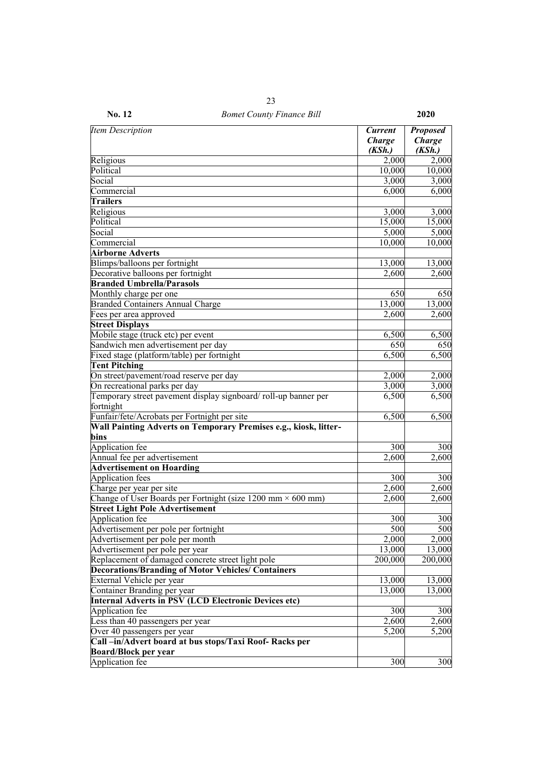| No. 12 | <b>Bomet County Finance Bill</b> | 2020 |
|--------|----------------------------------|------|

| <b>Item Description</b>                                                              | <b>Current</b><br><b>Charge</b><br>(KSh.) | <b>Proposed</b><br>Charge<br>(KSh.) |
|--------------------------------------------------------------------------------------|-------------------------------------------|-------------------------------------|
| Religious                                                                            | 2,000                                     | 2,000                               |
| Political                                                                            | 10,000                                    | 10,000                              |
| Social                                                                               | 3,000                                     | 3,000                               |
| Commercial                                                                           | 6,000                                     | 6,000                               |
| <b>Trailers</b>                                                                      |                                           |                                     |
| Religious                                                                            | 3,000                                     | 3,000                               |
| Political                                                                            | 15,000                                    | 15,000                              |
| Social                                                                               | 5,000                                     | 5,000                               |
| Commercial                                                                           | 10,000                                    | 10,000                              |
| <b>Airborne Adverts</b>                                                              |                                           |                                     |
| Blimps/balloons per fortnight                                                        | 13,000                                    | 13,000                              |
| Decorative balloons per fortnight                                                    | 2,600                                     | 2,600                               |
| <b>Branded Umbrella/Parasols</b>                                                     |                                           |                                     |
| Monthly charge per one                                                               | 650                                       | 650                                 |
| <b>Branded Containers Annual Charge</b>                                              | 13,000                                    | 13,000                              |
| Fees per area approved                                                               | 2,600                                     | 2,600                               |
| <b>Street Displays</b>                                                               |                                           |                                     |
| Mobile stage (truck etc) per event                                                   | 6,500                                     | 6,500                               |
| Sandwich men advertisement per day                                                   | 650                                       | 650                                 |
| Fixed stage (platform/table) per fortnight                                           | 6,500                                     | 6,500                               |
| <b>Tent Pitching</b>                                                                 |                                           |                                     |
| On street/pavement/road reserve per day                                              | 2,000                                     | 2,000                               |
| On recreational parks per day                                                        | 3,000                                     | 3,000                               |
| Temporary street pavement display signboard/roll-up banner per                       | 6,500                                     | 6,500                               |
| fortnight                                                                            |                                           |                                     |
| Funfair/fete/Acrobats per Fortnight per site                                         | 6,500                                     | 6,500                               |
| Wall Painting Adverts on Temporary Premises e.g., kiosk, litter-                     |                                           |                                     |
| bins                                                                                 |                                           |                                     |
| Application fee                                                                      | 300                                       | 300                                 |
| Annual fee per advertisement                                                         | 2,600                                     | 2,600                               |
| <b>Advertisement on Hoarding</b>                                                     |                                           |                                     |
| <b>Application</b> fees                                                              | 300                                       | 300                                 |
| Charge per year per site                                                             | 2,600                                     | 2,600                               |
| Change of User Boards per Fortnight (size $1200$ mm $\times$ 600 mm)                 | 2,600                                     | 2,600                               |
| <b>Street Light Pole Advertisement</b>                                               |                                           |                                     |
| Application fee                                                                      | 300                                       | 300                                 |
| Advertisement per pole per fortnight                                                 | 500                                       | 500                                 |
| Advertisement per pole per month                                                     | 2,000                                     | 2,000                               |
| Advertisement per pole per year                                                      | 13,000                                    | 13,000                              |
| Replacement of damaged concrete street light pole                                    | 200,000                                   | 200,000                             |
| <b>Decorations/Branding of Motor Vehicles/ Containers</b>                            |                                           |                                     |
| External Vehicle per year                                                            | 13,000                                    | 13,000                              |
| Container Branding per year                                                          | 13,000                                    | 13,000                              |
| <b>Internal Adverts in PSV (LCD Electronic Devices etc)</b>                          |                                           |                                     |
| Application fee                                                                      | 300                                       | 300                                 |
| Less than 40 passengers per year                                                     | 2,600                                     | 2,600                               |
| Over 40 passengers per year<br>Call-in/Advert board at bus stops/Taxi Roof-Racks per | 5,200                                     | 5,200                               |
| <b>Board/Block per year</b>                                                          |                                           |                                     |
| Application fee                                                                      | 300                                       | 300                                 |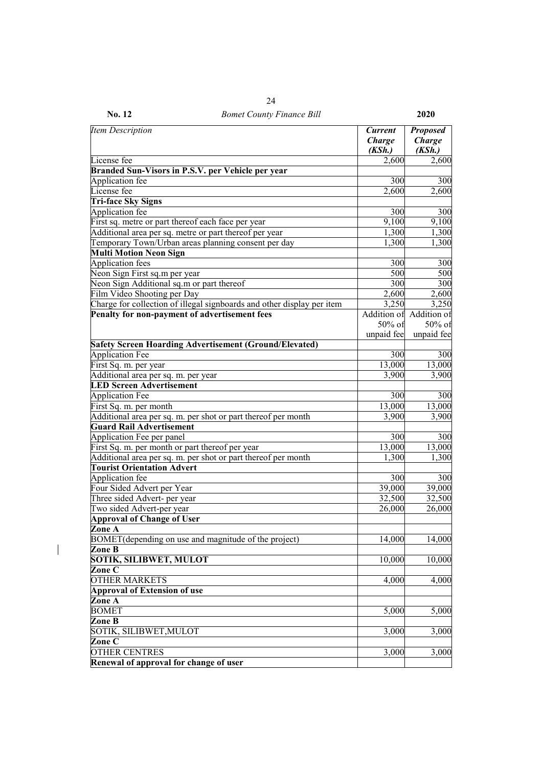| <b>Item Description</b>                                                                            | <b>Current</b><br><b>Charge</b><br>(KSh.) | <b>Proposed</b><br>Charge<br>(KSh.) |
|----------------------------------------------------------------------------------------------------|-------------------------------------------|-------------------------------------|
| License fee                                                                                        | 2,600                                     | 2,600                               |
| Branded Sun-Visors in P.S.V. per Vehicle per year                                                  |                                           |                                     |
| Application fee                                                                                    | 300                                       | 300                                 |
| License fee                                                                                        | 2,600                                     | 2,600                               |
| <b>Tri-face Sky Signs</b>                                                                          |                                           |                                     |
| Application fee                                                                                    | 300                                       | 300                                 |
| First sq. metre or part thereof each face per year                                                 | 9,100                                     | 9,100                               |
| Additional area per sq. metre or part thereof per year                                             | 1,300                                     | 1,300                               |
| Temporary Town/Urban areas planning consent per day                                                | 1,300                                     | 1,300                               |
| <b>Multi Motion Neon Sign</b>                                                                      |                                           |                                     |
| Application fees                                                                                   | 300                                       | 300                                 |
| Neon Sign First sq.m per year                                                                      | 500                                       | 500                                 |
| Neon Sign Additional sq.m or part thereof                                                          | 300                                       | 300                                 |
| Film Video Shooting per Day                                                                        | 2,600                                     | 2,600                               |
| Charge for collection of illegal signboards and other display per item                             | 3,250                                     | 3,250                               |
| Penalty for non-payment of advertisement fees                                                      | Addition of                               | Addition of                         |
|                                                                                                    | 50% of                                    | 50% of                              |
|                                                                                                    | unpaid fee                                | unpaid fee                          |
| <b>Safety Screen Hoarding Advertisement (Ground/Elevated)</b>                                      |                                           |                                     |
| <b>Application Fee</b>                                                                             | 300                                       | 300                                 |
| First Sq. m. per year                                                                              | 13,000                                    | 13,000                              |
| Additional area per sq. m. per year                                                                | 3,900                                     | 3,900                               |
| <b>LED Screen Advertisement</b>                                                                    |                                           |                                     |
| <b>Application Fee</b>                                                                             | 300                                       | 300                                 |
| First Sq. m. per month                                                                             | 13,000                                    | 13,000                              |
| Additional area per sq. m. per shot or part thereof per month                                      | 3,900                                     | 3,900                               |
| <b>Guard Rail Advertisement</b>                                                                    |                                           |                                     |
| Application Fee per panel                                                                          | 300                                       | 300                                 |
| First Sq. m. per month or part thereof per year                                                    | 13,000                                    | 13,000                              |
|                                                                                                    |                                           |                                     |
| Additional area per sq. m. per shot or part thereof per month<br><b>Tourist Orientation Advert</b> | 1,300                                     | 1,300                               |
|                                                                                                    |                                           |                                     |
| <b>Application</b> fee                                                                             | 300                                       | 300                                 |
| Four Sided Advert per Year                                                                         | 39,000                                    | 39,000                              |
| Three sided Advert- per year                                                                       | 32,500                                    | 32,500                              |
| Two sided Advert-per year                                                                          | 26,000                                    | 26,000                              |
| <b>Approval of Change of User</b>                                                                  |                                           |                                     |
| Zone A                                                                                             |                                           |                                     |
| BOMET (depending on use and magnitude of the project)                                              | 14,000                                    | 14,000                              |
| Zone B<br><b>SOTIK, SILIBWET, MULOT</b>                                                            | 10,000                                    |                                     |
|                                                                                                    |                                           | 10,000                              |
| Zone C                                                                                             |                                           |                                     |
| <b>OTHER MARKETS</b>                                                                               | 4,000                                     | 4,000                               |
| <b>Approval of Extension of use</b>                                                                |                                           |                                     |
| Zone A                                                                                             |                                           |                                     |
| <b>BOMET</b>                                                                                       | 5,000                                     | 5,000                               |
| Zone B                                                                                             |                                           |                                     |
| SOTIK, SILIBWET, MULOT                                                                             | 3,000                                     | 3,000                               |
| Zone C                                                                                             |                                           |                                     |
| <b>OTHER CENTRES</b>                                                                               | 3,000                                     | 3,000                               |
| Renewal of approval for change of user                                                             |                                           |                                     |

 $\overline{\phantom{a}}$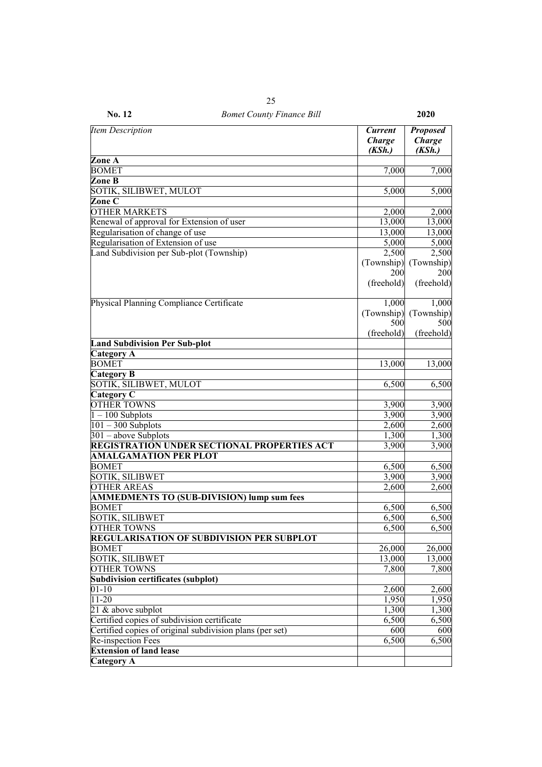| No. 12 | <b>Bomet County Finance Bill</b> |  |
|--------|----------------------------------|--|

| <b>Item Description</b>                                  | <b>Current</b><br><b>Charge</b><br>(KSh.) | <b>Proposed</b><br><b>Charge</b><br>(KSh.) |
|----------------------------------------------------------|-------------------------------------------|--------------------------------------------|
| Zone A                                                   |                                           |                                            |
| <b>BOMET</b>                                             | 7,000                                     | 7,000                                      |
| Zone B                                                   |                                           |                                            |
| SOTIK, SILIBWET, MULOT                                   | 5,000                                     | 5,000                                      |
| Zone C                                                   |                                           |                                            |
| <b>OTHER MARKETS</b>                                     | 2,000                                     | 2,000                                      |
| Renewal of approval for Extension of user                | 13,000                                    | 13,000                                     |
| Regularisation of change of use                          | 13,000                                    | 13,000                                     |
| Regularisation of Extension of use                       | 5,000                                     | 5,000                                      |
| Land Subdivision per Sub-plot (Township)                 | 2,500                                     | 2,500                                      |
|                                                          | (Township)                                | (Township)                                 |
|                                                          | 200                                       | 200                                        |
|                                                          | (freehold)                                | (freehold)                                 |
|                                                          |                                           |                                            |
| Physical Planning Compliance Certificate                 | 1,000                                     | 1,000                                      |
|                                                          | (Township)                                | (Township)                                 |
|                                                          | 500                                       | 500                                        |
|                                                          | (freehold)                                | (freehold)                                 |
| <b>Land Subdivision Per Sub-plot</b>                     |                                           |                                            |
| <b>Category A</b>                                        |                                           |                                            |
| <b>BOMET</b>                                             | 13,000                                    | 13,000                                     |
| Category B                                               |                                           |                                            |
| SOTIK, SILIBWET, MULOT                                   | 6,500                                     | 6,500                                      |
| Category C                                               |                                           |                                            |
| <b>OTHER TOWNS</b>                                       | 3,900                                     | 3,900                                      |
| $1 - 100$ Subplots                                       | 3,900                                     | 3,900                                      |
| $101 - 300$ Subplots                                     | 2,600                                     | 2,600                                      |
| $301$ – above Subplots                                   | 1,300                                     | 1,300                                      |
| REGISTRATION UNDER SECTIONAL PROPERTIES ACT              | 3,900                                     | 3,900                                      |
| <b>AMALGAMATION PER PLOT</b>                             |                                           |                                            |
| <b>BOMET</b>                                             | 6,500                                     | 6,500                                      |
| <b>SOTIK, SILIBWET</b>                                   | 3,900                                     | 3,900                                      |
| <b>OTHER AREAS</b>                                       | 2,600                                     | 2,600                                      |
| <b>AMMEDMENTS TO (SUB-DIVISION) lump sum fees</b>        |                                           |                                            |
| <b>BOMET</b>                                             | 6,500                                     | 6,500                                      |
| <b>SOTIK, SILIBWET</b>                                   | 6,500                                     | 6,500                                      |
| <b>OTHER TOWNS</b>                                       | 6,500                                     | 6,500                                      |
| <b>REGULARISATION OF SUBDIVISION PER SUBPLOT</b>         |                                           |                                            |
| <b>BOMET</b>                                             | 26,000                                    | 26,000                                     |
| <b>SOTIK, SILIBWET</b>                                   | 13,000                                    | 13,000                                     |
| <b>OTHER TOWNS</b>                                       | 7,800                                     | 7,800                                      |
| Subdivision certificates (subplot)                       |                                           |                                            |
| $01 - 10$                                                | 2,600                                     | 2,600                                      |
| $11 - 20$                                                | 1,950                                     | 1,950                                      |
| 21 & above subplot                                       | 1,300                                     | 1,300                                      |
| Certified copies of subdivision certificate              | 6,500                                     | 6,500                                      |
| Certified copies of original subdivision plans (per set) | 600                                       | 600                                        |
| Re-inspection Fees                                       | 6,500                                     | 6,500                                      |
| <b>Extension of land lease</b>                           |                                           |                                            |
| Category A                                               |                                           |                                            |
|                                                          |                                           |                                            |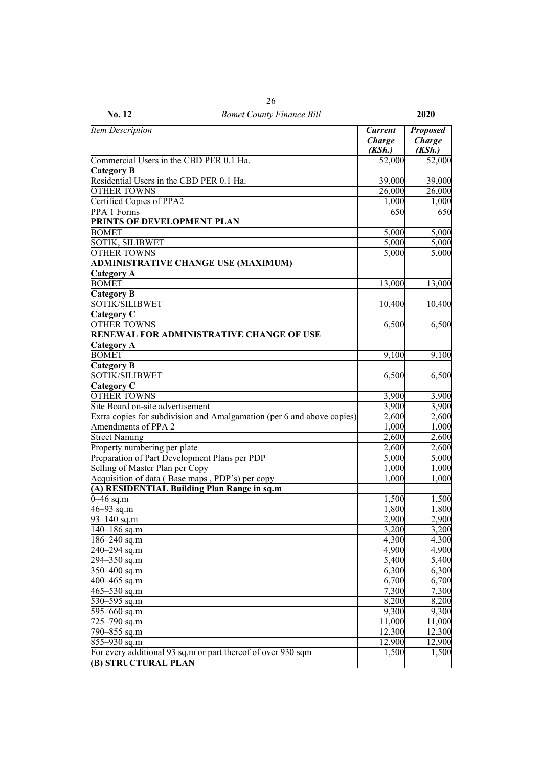| No. 12<br><b>Bomet County Finance Bill</b>                                   |                                    | 2020                                       |
|------------------------------------------------------------------------------|------------------------------------|--------------------------------------------|
| <b>Item Description</b>                                                      | <b>Current</b><br>Charge<br>(KSh.) | <b>Proposed</b><br><b>Charge</b><br>(KSh.) |
| Commercial Users in the CBD PER 0.1 Ha.                                      | 52,000                             | 52,000                                     |
| <b>Category B</b>                                                            |                                    |                                            |
| Residential Users in the CBD PER 0.1 Ha.                                     | 39,000                             | 39,000                                     |
| <b>OTHER TOWNS</b>                                                           | $\overline{26,000}$                | $\overline{26,000}$                        |
| Certified Copies of PPA2                                                     | 1,000                              | 1,000                                      |
| PPA 1 Forms                                                                  | 650                                | 650                                        |
| PRINTS OF DEVELOPMENT PLAN                                                   |                                    |                                            |
| <b>BOMET</b>                                                                 | 5,000                              | 5,000                                      |
| <b>SOTIK, SILIBWET</b>                                                       | 5,000                              | 5,000                                      |
| <b>OTHER TOWNS</b>                                                           | 5,000                              | 5,000                                      |
| <b>ADMINISTRATIVE CHANGE USE (MAXIMUM)</b>                                   |                                    |                                            |
| <b>Category A</b>                                                            |                                    |                                            |
| <b>BOMET</b>                                                                 | 13,000                             | 13,000                                     |
| <b>Category B</b>                                                            |                                    |                                            |
| <b>SOTIK/SILIBWET</b>                                                        | 10,400                             | 10,400                                     |
| Category C                                                                   |                                    |                                            |
| <b>OTHER TOWNS</b>                                                           | 6,500                              | 6,500                                      |
| <b>RENEWAL FOR ADMINISTRATIVE CHANGE OF USE</b>                              |                                    |                                            |
| <b>Category A</b>                                                            |                                    |                                            |
| <b>BOMET</b>                                                                 | 9,100                              | 9,100                                      |
| <b>Category B</b>                                                            |                                    |                                            |
| SOTIK/SILIBWET                                                               | 6,500                              | 6,500                                      |
| Category C                                                                   |                                    |                                            |
| <b>OTHER TOWNS</b>                                                           | 3,900                              | 3,900                                      |
| Site Board on-site advertisement                                             | 3,900                              | 3,900                                      |
| Extra copies for subdivision and Amalgamation (per 6 and above copies)       | 2,600                              | 2,600                                      |
| Amendments of PPA 2                                                          | 1,000                              | 1,000                                      |
| <b>Street Naming</b>                                                         | 2,600                              | 2,600                                      |
| Property numbering per plate                                                 | 2,600                              | 2,600                                      |
| Preparation of Part Development Plans per PDP                                | 5,000                              | 5,000                                      |
| Selling of Master Plan per Copy                                              | 1,000                              | 1,000                                      |
| Acquisition of data (Base maps, PDP's) per copy                              | 1,000                              | 1,000                                      |
| (A) RESIDENTIAL Building Plan Range in sq.m                                  |                                    |                                            |
| $0 - 46$ sq.m                                                                | 1,500                              | 1,500                                      |
| $46 - 93$ sq.m                                                               | 1,800                              | 1,800                                      |
| $93 - 140$ sq.m                                                              | 2,900                              | 2,900                                      |
| $\sqrt{140} - 186$ sq.m                                                      | 3,200                              | 3,200                                      |
| $186 - 240$ sq.m                                                             | 4,300                              | 4,300                                      |
| 240–294 sq.m                                                                 | 4,900                              | 4,900                                      |
| 294–350 sq.m                                                                 | 5,400                              | 5,400                                      |
| $350 - 400$ sq.m                                                             | 6,300                              | 6,300                                      |
| 400-465 sq.m                                                                 | 6,700                              | 6,700                                      |
| 465-530 sq.m                                                                 | 7,300                              | 7,300                                      |
| 530-595 sq.m                                                                 | 8,200                              | 8,200                                      |
| 595-660 sq.m                                                                 | 9,300                              | 9,300                                      |
| 725-790 sq.m                                                                 | 11,000                             | 11,000                                     |
| 790–855 sq.m                                                                 | 12,300                             | 12,300                                     |
| 855-930 sq.m<br>For every additional 93 sq.m or part thereof of over 930 sqm | 12,900<br>1,500                    | 12,900<br>1,500                            |
| <b>(B) STRUCTURAL PLAN</b>                                                   |                                    |                                            |

26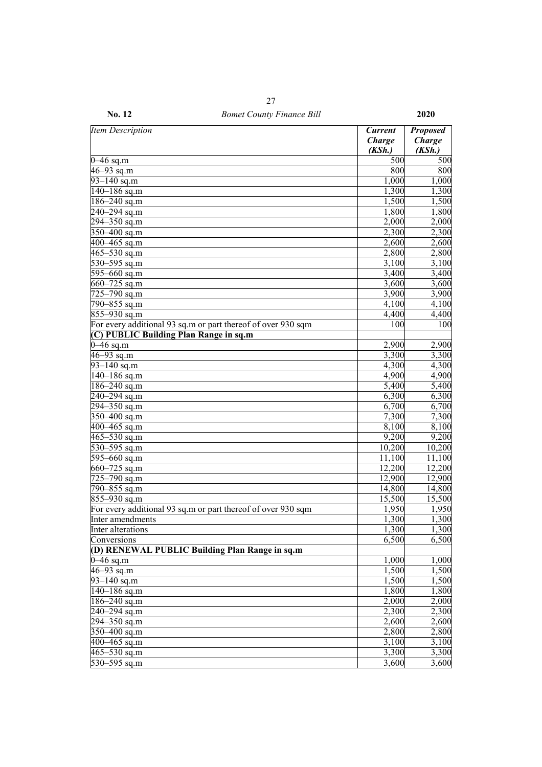| <b>Item Description</b>                                      | <b>Current</b><br><b>Charge</b><br>(KSh.) | <b>Proposed</b><br><b>Charge</b><br>(KSh.) |
|--------------------------------------------------------------|-------------------------------------------|--------------------------------------------|
| $0 - 46$ sq.m                                                | 500                                       | 500                                        |
| $46 - 93$ sq.m                                               | 800                                       | 800                                        |
| $93 - 140$ sq.m                                              | 1,000                                     | 1,000                                      |
| $140 - 186$ sq.m                                             | 1,300                                     | 1,300                                      |
| 186-240 sq.m                                                 | 1,500                                     | 1,500                                      |
| 240-294 sq.m                                                 | 1,800                                     | 1,800                                      |
| $294 - 350$ sq.m                                             | 2,000                                     | 2,000                                      |
| $350 - 400$ sq.m                                             | 2,300                                     | 2,300                                      |
| 400 $-465$ sq.m                                              | 2,600                                     | 2,600                                      |
| $465 - 530$ sq.m                                             | 2,800                                     | 2,800                                      |
| 530-595 sq.m                                                 | 3,100                                     | 3,100                                      |
| 595-660 sq.m                                                 | 3,400                                     | 3,400                                      |
| $660 - 725$ sq.m                                             | 3,600                                     | 3,600                                      |
| $725 - 790$ sq.m                                             | 3,900                                     | 3,900                                      |
| 790-855 sq.m                                                 | 4,100                                     | 4,100                                      |
| $855 - 930$ sq.m                                             | 4,400                                     | 4,400                                      |
| For every additional 93 sq.m or part thereof of over 930 sqm | 100                                       | 100                                        |
| (C) PUBLIC Building Plan Range in sq.m                       |                                           |                                            |
| $0 - 46$ sq.m                                                | 2,900                                     | 2,900                                      |
| $46 - 93$ sq.m                                               | 3,300                                     | 3,300                                      |
| $93 - 140$ sq.m                                              | 4,300                                     | 4,300                                      |
| $140 - 186$ sq.m                                             | 4,900                                     | 4,900                                      |
| 186-240 sq.m                                                 | 5,400                                     | 5,400                                      |
| 240-294 sq.m                                                 | 6,300                                     | 6,300                                      |
| 294-350 sq.m                                                 | 6,700                                     | 6,700                                      |
| $350 - 400$ sq.m                                             | 7,300                                     | 7,300                                      |
| 400 $-465$ sq.m                                              | 8,100                                     | 8,100                                      |
| $465 - 530$ sq.m                                             | 9,200                                     | 9,200                                      |
| 530-595 sq.m                                                 | 10,200                                    | 10,200                                     |
| 595-660 sq.m                                                 | 11,100                                    | 11,100                                     |
| $660 - 725$ sq.m                                             | 12,200                                    | 12,200                                     |
| 725-790 sq.m                                                 | 12,900                                    | 12,900                                     |
| 790-855 sq.m                                                 | 14,800                                    | 14,800                                     |
| 855-930 sq.m                                                 | 15,500                                    | 15,500                                     |
| For every additional 93 sq.m or part thereof of over 930 sqm | 1,950                                     | 1,950                                      |
| Inter amendments                                             | 1,300                                     | 1,300                                      |
| Inter alterations                                            | 1,300                                     | 1,300                                      |
| Conversions                                                  | 6,500                                     | 6,500                                      |
| (D) RENEWAL PUBLIC Building Plan Range in sq.m               |                                           |                                            |
| $0-46$ sq.m                                                  | 1,000                                     | 1,000                                      |
| $46 - 93$ sq.m                                               | 1,500                                     | 1,500                                      |
| $93 - 140$ sq.m                                              | 1,500                                     | 1,500                                      |
| $140 - 186$ sq.m                                             | 1,800                                     | 1,800                                      |
| $186 - 240$ sq.m                                             | 2,000                                     | 2,000                                      |
| 240-294 sq.m                                                 | 2,300                                     | 2,300                                      |
| $294 - 350$ sq.m                                             | 2,600                                     | 2,600                                      |
| $350 - 400$ sq.m                                             | 2,800                                     | 2,800                                      |
| $400 - 465$ sq.m                                             | 3,100                                     | 3,100                                      |
| $465 - 530$ sq.m                                             | 3,300                                     | 3,300                                      |
| 530-595 sq.m                                                 | 3,600                                     | 3,600                                      |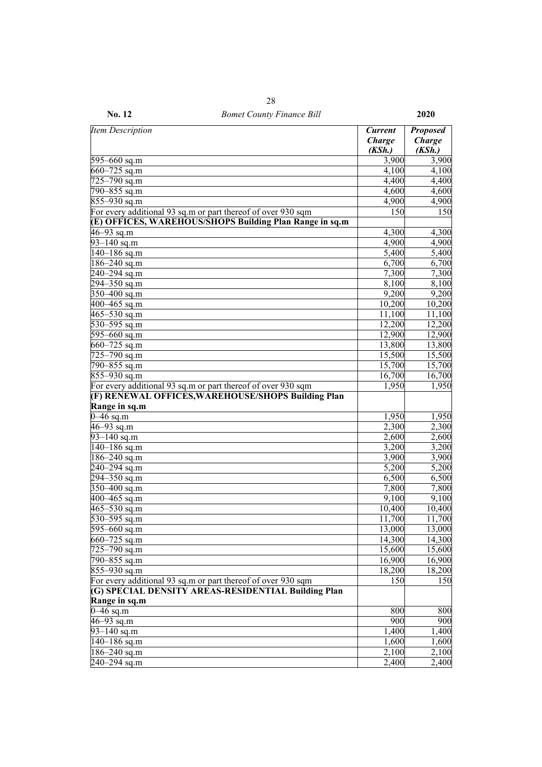| <b>Item Description</b>                                                   | <b>Current</b><br><b>Charge</b> | <b>Proposed</b><br><b>Charge</b> |
|---------------------------------------------------------------------------|---------------------------------|----------------------------------|
| 595-660 sq.m                                                              | (KSh.)<br>3,900                 | (KSh.)<br>3,900                  |
| $660 - 725$ sq.m                                                          | 4,100                           | 4,100                            |
| 725-790 sq.m                                                              | 4,400                           | 4,400                            |
| $\sqrt{790} - 855$ sq.m                                                   |                                 |                                  |
|                                                                           | 4,600                           | 4,600                            |
| 855-930 sq.m                                                              | 4,900                           | 4,900                            |
| For every additional 93 sq.m or part thereof of over 930 sqm              | 150                             | 150                              |
| (E) OFFICES, WAREHOUS/SHOPS Building Plan Range in sq.m<br>$46 - 93$ sq.m | 4,300                           | 4,300                            |
| $93 - 140$ sq.m                                                           | 4,900                           | 4,900                            |
| $\sqrt{140} - 186$ sq.m                                                   | 5,400                           | 5,400                            |
| $186 - 240$ sq.m                                                          |                                 |                                  |
|                                                                           | 6,700                           | 6,700                            |
| 240-294 sq.m                                                              | 7,300                           | 7,300                            |
| 294-350 sq.m                                                              | 8,100                           | 8,100                            |
| $350 - 400$ sq.m                                                          | 9,200                           | 9,200                            |
| 400-465 sq.m                                                              | 10,200                          | 10,200                           |
| $465 - 530$ sq.m                                                          | 11,100                          | 11,100                           |
| $530 - 595$ sq.m                                                          | 12,200                          | 12,200                           |
| $595 - 660$ sq.m                                                          | 12,900                          | 12,900                           |
| 660-725 sq.m                                                              | 13,800                          | 13,800                           |
| $\sqrt{725-790}$ sq.m                                                     | 15,500                          | 15,500                           |
| 790-855 sq.m                                                              | 15,700                          | 15,700                           |
| 855-930 sq.m                                                              | 16,700                          | 16,700                           |
| For every additional 93 sq.m or part thereof of over 930 sqm              | 1,950                           | 1,950                            |
| (F) RENEWAL OFFICES, WAREHOUSE/SHOPS Building Plan                        |                                 |                                  |
| Range in sq.m                                                             |                                 |                                  |
| $0 - 46$ sq.m                                                             | 1,950                           | 1,950                            |
| $46 - 93$ sq.m                                                            | 2,300                           | 2,300                            |
| $93 - 140$ sq.m                                                           | 2,600                           | 2,600                            |
| $140 - 186$ sq.m                                                          | 3,200                           | 3,200                            |
| 186-240 sq.m                                                              | 3,900                           | 3,900                            |
| 240-294 sq.m                                                              | 5,200                           | 5,200                            |
| 294-350 sq.m                                                              | 6,500                           | 6,500                            |
| $350 - 400$ sq.m                                                          | 7,800                           | 7,800                            |
| $400 - 465$ sq.m                                                          | 9,100                           | 9,100                            |
| $465 - 530$ sq.m                                                          | 10,400                          | 10,400                           |
| 530-595 sq.m                                                              | 11,700                          | 11,700                           |
| 595–660 sq.m                                                              | 13,000                          | 13,000                           |
| $660 - 725$ sq.m                                                          | 14,300                          | 14,300                           |
| 725-790 sq.m                                                              | 15,600                          | 15,600                           |
| 790-855 sq.m                                                              | 16,900                          | 16,900                           |
| $855 - 930$ sq.m                                                          | 18,200                          | 18,200                           |
| For every additional 93 sq.m or part thereof of over 930 sqm              | 150                             | 150                              |
| (G) SPECIAL DENSITY AREAS-RESIDENTIAL Building Plan                       |                                 |                                  |
| Range in sq.m<br>$0 - 46$ sq.m                                            |                                 |                                  |
| $46 - 93$ sq.m                                                            | 800<br>900                      | 800<br>900                       |
|                                                                           | 1,400                           |                                  |
| $93 - 140$ sq.m                                                           |                                 | 1,400                            |
| 140-186 sq.m                                                              | 1,600<br>2,100                  | 1,600                            |
| $186 - 240$ sq.m                                                          | 2,400                           | 2,100                            |
| 240-294 sq.m                                                              |                                 | 2,400                            |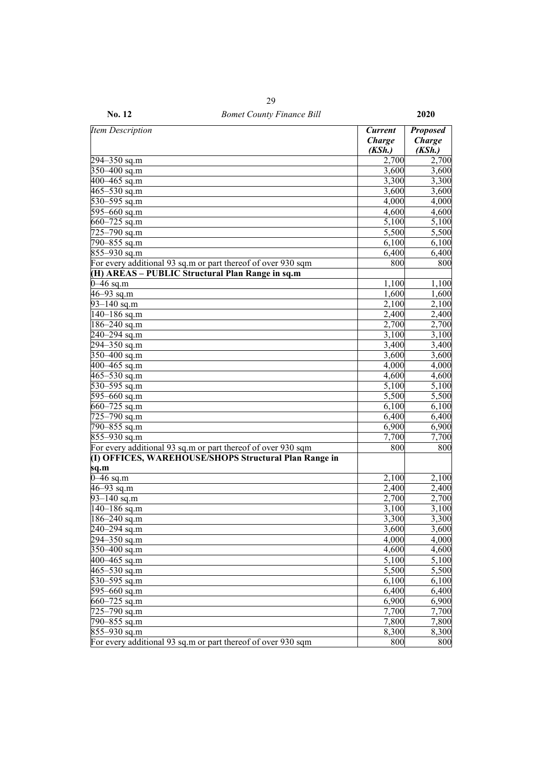| No. 12                                                                                                                | <b>Bomet County Finance Bill</b> |                                           | 2020                                |
|-----------------------------------------------------------------------------------------------------------------------|----------------------------------|-------------------------------------------|-------------------------------------|
| <b>Item Description</b>                                                                                               |                                  | <b>Current</b><br><b>Charge</b><br>(KSh.) | <b>Proposed</b><br>Charge<br>(KSh.) |
| $294 - 350$ sq.m                                                                                                      |                                  | 2,700                                     | 2,700                               |
| $350 - 400$ sq.m                                                                                                      |                                  | 3,600                                     | 3,600                               |
| $400 - 465$ sq.m                                                                                                      |                                  | 3,300                                     | 3,300                               |
| $465 - 530$ sq.m                                                                                                      |                                  | 3,600                                     | 3,600                               |
| 530-595 sq.m                                                                                                          |                                  | 4,000                                     | 4,000                               |
| $595 - 660$ sq.m                                                                                                      |                                  | 4,600                                     | 4,600                               |
| $660 - 725$ sq.m                                                                                                      |                                  | 5,100                                     | 5,100                               |
| $\sqrt{725-790}$ sq.m                                                                                                 |                                  | 5,500                                     | 5,500                               |
| $\sqrt{790} - 855$ sq.m                                                                                               |                                  | 6,100                                     | 6,100                               |
| 855-930 sq.m                                                                                                          |                                  | 6,400                                     | 6,400                               |
| For every additional 93 sq.m or part thereof of over 930 sqm                                                          |                                  | 800                                       | 800                                 |
| (H) AREAS - PUBLIC Structural Plan Range in sq.m                                                                      |                                  |                                           |                                     |
| $0 - 46$ sq.m                                                                                                         |                                  | 1,100                                     | 1,100                               |
| $46 - 93$ sq.m                                                                                                        |                                  | 1,600                                     | 1,600                               |
|                                                                                                                       |                                  | 2,100                                     |                                     |
| $93 - 140$ sq.m                                                                                                       |                                  |                                           | 2,100                               |
| $\frac{1}{140}$ –186 sq.m                                                                                             |                                  | 2,400                                     | 2,400                               |
| $186 - 240$ sq.m                                                                                                      |                                  | 2,700                                     | 2,700                               |
| $240 - 294$ sq.m                                                                                                      |                                  | 3,100                                     | 3,100                               |
| 294-350 sq.m                                                                                                          |                                  | 3,400                                     | 3,400                               |
| $350 - 400$ sq.m                                                                                                      |                                  | 3,600                                     | 3,600                               |
| $400 - 465$ sq.m                                                                                                      |                                  | 4,000                                     | 4,000                               |
| $465 - 530$ sq.m                                                                                                      |                                  | 4,600                                     | 4,600                               |
| 530–595 sq.m                                                                                                          |                                  | 5,100                                     | 5,100                               |
| $595 - 660$ sq.m                                                                                                      |                                  | 5,500                                     | 5,500                               |
| $660 - 725$ sq.m                                                                                                      |                                  | 6,100                                     | 6,100                               |
| 725-790 sq.m                                                                                                          |                                  | 6,400                                     | 6,400                               |
| $\sqrt{790} - 855$ sq.m                                                                                               |                                  | 6,900                                     | 6,900                               |
| 855-930 sq.m                                                                                                          |                                  | 7,700                                     | 7,700                               |
| For every additional 93 sq.m or part thereof of over 930 sqm<br>(I) OFFICES, WAREHOUSE/SHOPS Structural Plan Range in |                                  | 800                                       | 800                                 |
| sq.m                                                                                                                  |                                  |                                           |                                     |
| $\overline{0-46}$ sq.m                                                                                                |                                  | 2,100                                     | 2,100                               |
| $46 - 93$ sq.m                                                                                                        |                                  | 2,400                                     | 2,400                               |
| $93 - 140$ sq.m                                                                                                       |                                  | 2,700                                     | 2,700                               |
| $140 - 186$ sq.m                                                                                                      |                                  | 3,100                                     | 3,100                               |
| $\sqrt{186} - 240$ sq.m                                                                                               |                                  | 3,300                                     | 3,300                               |
| 240–294 sq.m                                                                                                          |                                  | 3,600                                     | 3,600                               |
| 294–350 sq.m                                                                                                          |                                  | 4,000                                     | 4,000                               |
| 350-400 sq.m                                                                                                          |                                  | 4,600                                     | 4,600                               |
| 400-465 sq.m                                                                                                          |                                  | 5,100                                     | 5,100                               |
| $465 - 530$ sq.m                                                                                                      |                                  | 5,500                                     | 5,500                               |
| 530–595 sq.m                                                                                                          |                                  | 6,100                                     | 6,100                               |
| 595–660 sq.m                                                                                                          |                                  | 6,400                                     | 6,400                               |
| $660 - 725$ sq.m                                                                                                      |                                  | 6,900                                     | 6,900                               |
| 725–790 sq.m                                                                                                          |                                  | 7,700                                     | 7,700                               |
| 790–855 sq.m                                                                                                          |                                  | 7,800                                     | 7,800                               |
| 855-930 sq.m                                                                                                          |                                  | 8,300                                     | 8,300                               |
| For every additional 93 sq.m or part thereof of over 930 sqm                                                          |                                  | 800                                       | 800                                 |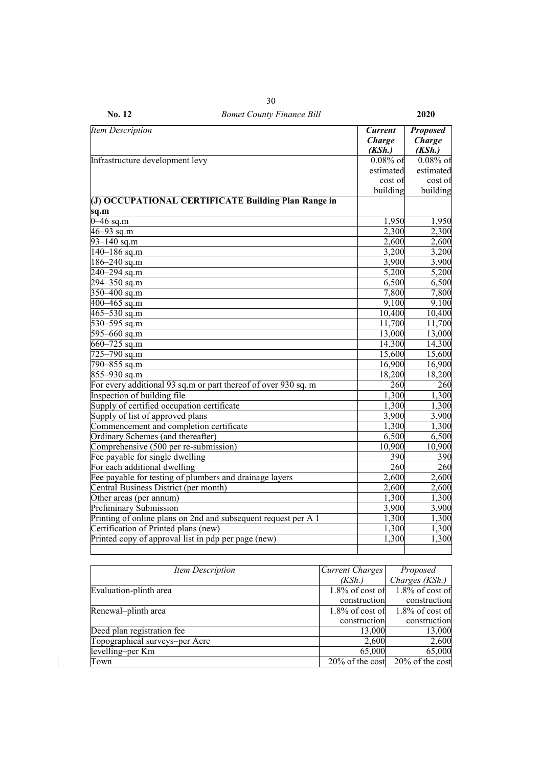| No. 12                                     | <b>Bomet County Finance Bill</b>                               |                                           | 2020                                       |
|--------------------------------------------|----------------------------------------------------------------|-------------------------------------------|--------------------------------------------|
| <b>Item Description</b>                    |                                                                | <b>Current</b><br><b>Charge</b><br>(KSh.) | <b>Proposed</b><br><b>Charge</b><br>(KSh.) |
| Infrastructure development levy            |                                                                | $0.08\%$ of                               | $0.08\%$ of                                |
|                                            |                                                                | estimated                                 | estimated                                  |
|                                            |                                                                | cost of                                   | cost of                                    |
|                                            |                                                                | building                                  | building                                   |
|                                            | (J) OCCUPATIONAL CERTIFICATE Building Plan Range in            |                                           |                                            |
| sq.m                                       |                                                                |                                           |                                            |
| $0-46$ sq.m                                |                                                                | 1,950                                     | 1,950                                      |
| $46 - 93$ sq.m                             |                                                                | 2,300                                     | 2,300                                      |
| $93 - 140$ sq.m                            |                                                                | 2,600                                     | 2,600                                      |
| $140 - 186$ sq.m                           |                                                                | 3,200                                     | 3,200                                      |
| 186-240 sq.m                               |                                                                | 3,900                                     | 3,900                                      |
| $240 - 294$ sq.m                           |                                                                | 5,200                                     | 5,200                                      |
| 294-350 sq.m                               |                                                                | 6,500                                     | 6,500                                      |
| 350 $-400$ sq.m                            |                                                                | 7,800                                     | 7,800                                      |
| $400 - 465$ sq.m                           |                                                                | 9,100                                     | 9,100                                      |
| $\frac{465-530}{9}$ sq.m                   |                                                                | 10,400                                    | 10,400                                     |
| 530-595 sq.m                               |                                                                | 11,700                                    | 11,700                                     |
| 595 $-660$ sq.m                            |                                                                | 13,000                                    | 13,000                                     |
| 660 $-725$ sq.m                            |                                                                | 14,300                                    | 14,300                                     |
| $725 - 790$ sq.m                           |                                                                | 15,600                                    | 15,600                                     |
| 790-855 sq.m                               |                                                                | 16,900                                    | 16,900                                     |
| 855-930 sq.m                               |                                                                | 18,200                                    | 18,200                                     |
|                                            | For every additional 93 sq.m or part thereof of over 930 sq.m  | 260                                       | 260                                        |
| Inspection of building file                |                                                                | 1,300                                     | 1,300                                      |
| Supply of certified occupation certificate |                                                                | 1,300                                     | 1,300                                      |
| Supply of list of approved plans           |                                                                | 3,900                                     | 3,900                                      |
| Commencement and completion certificate    |                                                                | 1,300                                     | 1,300                                      |
| Ordinary Schemes (and thereafter)          |                                                                | 6,500                                     | 6,500                                      |
| Comprehensive (500 per re-submission)      |                                                                | 10,900                                    | 10,900                                     |
| Fee payable for single dwelling            |                                                                | 390                                       | 390                                        |
| For each additional dwelling               |                                                                | 260                                       | 260                                        |
|                                            | Fee payable for testing of plumbers and drainage layers        | 2,600                                     | 2,600                                      |
| Central Business District (per month)      |                                                                | 2,600                                     | 2,600                                      |
| Other areas (per annum)                    |                                                                | 1,300                                     | 1,300                                      |
| <b>Preliminary Submission</b>              |                                                                | 3,900                                     | 3,900                                      |
|                                            | Printing of online plans on 2nd and subsequent request per A 1 | 1,300                                     | 1,300                                      |
| Certification of Printed plans (new)       |                                                                | 1,300                                     | 1,300                                      |
|                                            | Printed copy of approval list in pdp per page (new)            | 1,300                                     | 1,300                                      |
|                                            |                                                                |                                           |                                            |

| Item Description               | Current Charges    | Proposed                              |
|--------------------------------|--------------------|---------------------------------------|
|                                | (KSh.)             | Charges (KSh.)                        |
| Evaluation-plinth area         | $1.8\%$ of cost of | $1.8\%$ of cost of                    |
|                                | construction       | construction                          |
| Renewal-plinth area            | $1.8\%$ of cost of | $1.8\%$ of cost of                    |
|                                | construction       | construction                          |
| Deed plan registration fee     | 13,000             | 13,000                                |
| Topographical surveys-per Acre | 2,600              | 2,600                                 |
| levelling–per Km               | 65,000             | 65,000                                |
| Town                           |                    | $20\%$ of the cost $20\%$ of the cost |

 $\overline{\phantom{a}}$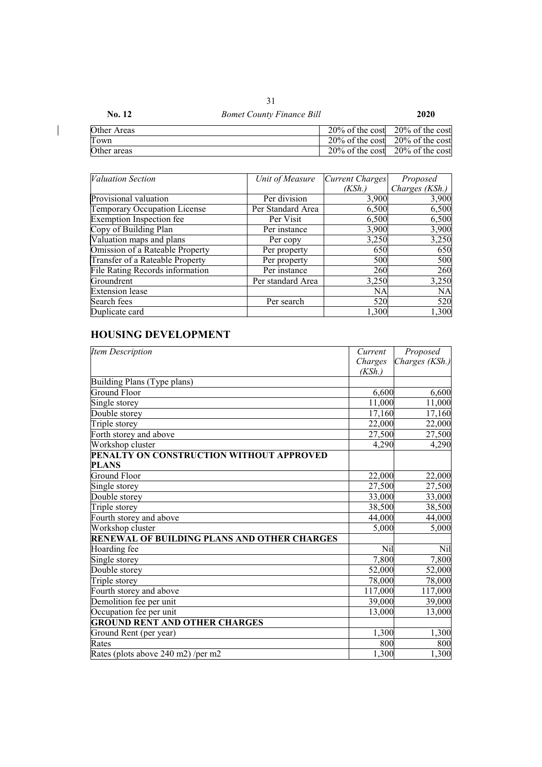| No. 12      | <b>Bomet County Finance Bill</b> | 2020                                  |
|-------------|----------------------------------|---------------------------------------|
| Other Areas |                                  | $20\%$ of the cost $20\%$ of the cost |
| Town        |                                  | $20\%$ of the cost 20% of the cost    |
| Other areas |                                  | $20\%$ of the cost $20\%$ of the cost |

| <b>Valuation Section</b>        | Unit of Measure   | Current Charges | Proposed       |
|---------------------------------|-------------------|-----------------|----------------|
|                                 |                   | (KSh.)          | Charges (KSh.) |
| Provisional valuation           | Per division      | 3,900           | 3,900          |
| Temporary Occupation License    | Per Standard Area | 6,500           | 6,500          |
| Exemption Inspection fee        | Per Visit         | 6,500           | 6,500          |
| Copy of Building Plan           | Per instance      | 3,900           | 3,900          |
| Valuation maps and plans        | Per copy          | 3,250           | 3,250          |
| Omission of a Rateable Property | Per property      | 650             | 650            |
| Transfer of a Rateable Property | Per property      | 500             | 500            |
| File Rating Records information | Per instance      | 260             | 260            |
| Groundrent                      | Per standard Area | 3,250           | 3,250          |
| <b>Extension</b> lease          |                   | NA              | <b>NA</b>      |
| Search fees                     | Per search        | 520             | 520            |
| Duplicate card                  |                   | 1,300           | 1,300          |

# **HOUSING DEVELOPMENT**

 $\begin{array}{c} \hline \end{array}$ 

| Item Description                                   | Current | Proposed       |
|----------------------------------------------------|---------|----------------|
|                                                    | Charges | Charges (KSh.) |
|                                                    | (KSh.)  |                |
| Building Plans (Type plans)                        |         |                |
| Ground Floor                                       | 6,600   | 6,600          |
| Single storey                                      | 11,000  | 11,000         |
| Double storey                                      | 17,160  | 17,160         |
| Triple storey                                      | 22,000  | 22,000         |
| Forth storey and above                             | 27,500  | 27,500         |
| Workshop cluster                                   | 4,290   | 4,290          |
| PENALTY ON CONSTRUCTION WITHOUT APPROVED           |         |                |
| <b>PLANS</b>                                       |         |                |
| <b>Ground Floor</b>                                | 22,000  | 22,000         |
| Single storey                                      | 27,500  | 27,500         |
| Double storey                                      | 33,000  | 33,000         |
| Triple storey                                      | 38,500  | 38,500         |
| Fourth storey and above                            | 44,000  | 44,000         |
| Workshop cluster                                   | 5,000   | 5,000          |
| <b>RENEWAL OF BUILDING PLANS AND OTHER CHARGES</b> |         |                |
| Hoarding fee                                       | Nil     | Nil            |
| Single storey                                      | 7,800   | 7,800          |
| Double storey                                      | 52,000  | 52,000         |
| Triple storey                                      | 78,000  | 78,000         |
| Fourth storey and above                            | 117,000 | 117,000        |
| Demolition fee per unit                            | 39,000  | 39,000         |
| Occupation fee per unit                            | 13,000  | 13,000         |
| <b>GROUND RENT AND OTHER CHARGES</b>               |         |                |
| Ground Rent (per year)                             | 1,300   | 1,300          |
| Rates                                              | 800     | 800            |
| Rates (plots above 240 m2) /per m2                 | 1,300   | 1,300          |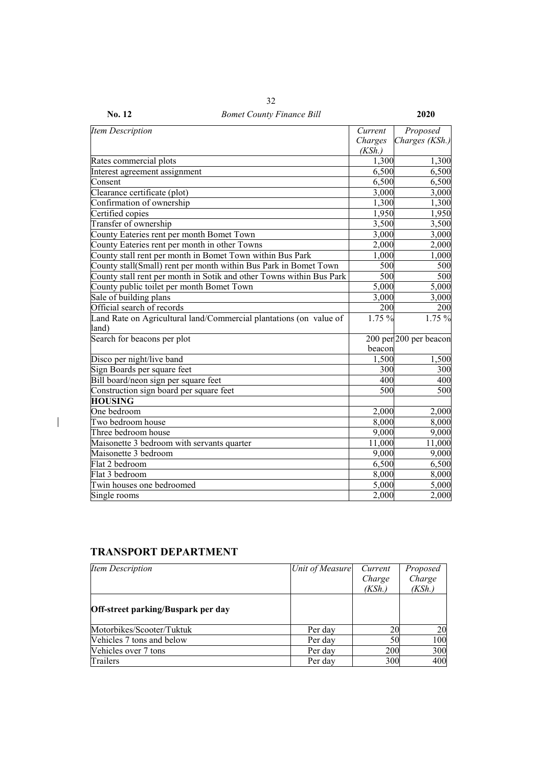| <b>Item Description</b>                                              | Current | Proposed               |
|----------------------------------------------------------------------|---------|------------------------|
|                                                                      | Charges | Charges (KSh.)         |
|                                                                      | (KSh.)  |                        |
| Rates commercial plots                                               | 1,300   | 1,300                  |
| Interest agreement assignment                                        | 6,500   | 6,500                  |
| Consent                                                              | 6,500   | 6,500                  |
| Clearance certificate (plot)                                         | 3,000   | 3,000                  |
| Confirmation of ownership                                            | 1,300   | 1,300                  |
| Certified copies                                                     | 1,950   | 1,950                  |
| Transfer of ownership                                                | 3,500   | 3,500                  |
| County Eateries rent per month Bomet Town                            | 3,000   | 3,000                  |
| County Eateries rent per month in other Towns                        | 2,000   | 2,000                  |
| County stall rent per month in Bomet Town within Bus Park            | 1,000   | 1,000                  |
| County stall(Small) rent per month within Bus Park in Bomet Town     | 500     | 500                    |
| County stall rent per month in Sotik and other Towns within Bus Park | 500     | 500                    |
| County public toilet per month Bomet Town                            | 5,000   | 5,000                  |
| Sale of building plans                                               | 3,000   | 3,000                  |
| Official search of records                                           | 200     | 200                    |
| Land Rate on Agricultural land/Commercial plantations (on value of   | 1.75 %  | 1.75 %                 |
| land)                                                                |         |                        |
| Search for beacons per plot                                          |         | 200 per 200 per beacon |
|                                                                      | beacon  |                        |
| Disco per night/live band                                            | 1,500   | 1,500                  |
| Sign Boards per square feet                                          | 300     | 300                    |
| Bill board/neon sign per square feet                                 | 400     | 400                    |
| Construction sign board per square feet                              | 500     | 500                    |
| <b>HOUSING</b>                                                       |         |                        |
| One bedroom                                                          | 2,000   | 2,000                  |
| Two bedroom house                                                    | 8,000   | 8,000                  |
| Three bedroom house                                                  | 9,000   | 9,000                  |
| Maisonette 3 bedroom with servants quarter                           | 11,000  | 11,000                 |
| Maisonette 3 bedroom                                                 | 9,000   | 9,000                  |
| Flat 2 bedroom                                                       | 6,500   | 6,500                  |
| Flat 3 bedroom                                                       | 8,000   | 8,000                  |
| Twin houses one bedroomed                                            | 5,000   | 5,000                  |
| Single rooms                                                         | 2,000   | 2,000                  |

# **TRANSPORT DEPARTMENT**

 $\begin{array}{c} \hline \end{array}$ 

| <b>Item Description</b>                   | Unit of Measure | Current | Proposed |
|-------------------------------------------|-----------------|---------|----------|
|                                           |                 | Charge  | Charge   |
|                                           |                 | (KSh.)  | (KSh.)   |
| <b>Off-street parking/Buspark per day</b> |                 |         |          |
| Motorbikes/Scooter/Tuktuk                 | Per day         | 20      | 20       |
| Vehicles 7 tons and below                 | Per day         | 50      | 100      |
| Vehicles over 7 tons                      | Per day         | 200     | 300      |
| Trailers                                  | Per day         | 300     | 400      |

**No. 12** *Bomet County Finance Bill* **2020**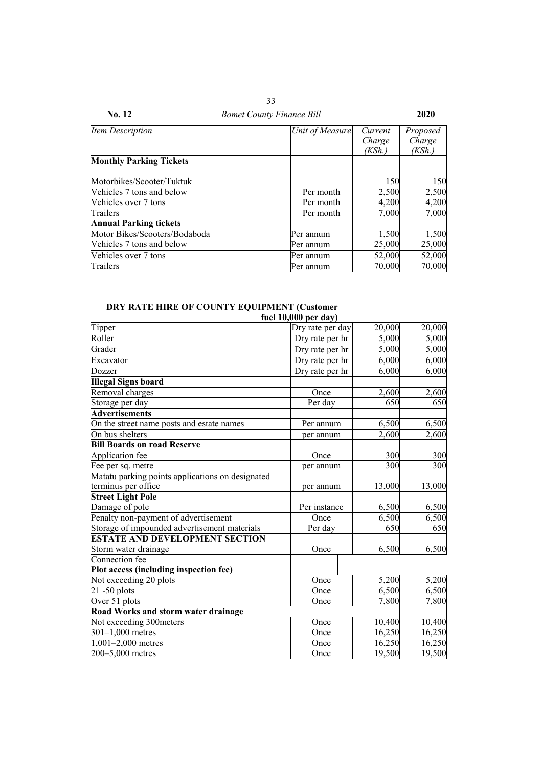| Item Description                 | Unit of Measure | Current | Proposed |
|----------------------------------|-----------------|---------|----------|
|                                  |                 | Charge  | Charge   |
|                                  |                 | (KSh.)  | (KSh.)   |
| <b>Monthly Parking Tickets</b>   |                 |         |          |
| Motorbikes/Scooter/Tuktuk        |                 | 150     | 150      |
| <b>Vehicles 7 tons and below</b> | Per month       | 2,500   | 2,500    |
| Vehicles over 7 tons             | Per month       | 4,200   | 4,200    |
| Trailers                         | Per month       | 7,000   | 7,000    |
| <b>Annual Parking tickets</b>    |                 |         |          |
| Motor Bikes/Scooters/Bodaboda    | Per annum       | 1,500   | 1,500    |
| Vehicles 7 tons and below        | Per annum       | 25,000  | 25,000   |
| Vehicles over 7 tons             | Per annum       | 52,000  | 52,000   |
| Trailers                         | Per annum       | 70,000  | 70,000   |

### **DRY RATE HIRE OF COUNTY EQUIPMENT (Customer**

|                                                  | fuel $10,000$ per day) |        |        |
|--------------------------------------------------|------------------------|--------|--------|
| Tipper                                           | Dry rate per day       | 20,000 | 20,000 |
| Roller                                           | Dry rate per hr        | 5,000  | 5,000  |
| Grader                                           | Dry rate per hr        | 5,000  | 5,000  |
| Excavator                                        | Dry rate per hr        | 6,000  | 6,000  |
| Dozzer                                           | Dry rate per hr        | 6,000  | 6,000  |
| <b>Illegal Signs board</b>                       |                        |        |        |
| Removal charges                                  | Once                   | 2,600  | 2,600  |
| Storage per day                                  | Per day                | 650    | 650    |
| <b>Advertisements</b>                            |                        |        |        |
| On the street name posts and estate names        | Per annum              | 6,500  | 6,500  |
| On bus shelters                                  | per annum              | 2,600  | 2,600  |
| <b>Bill Boards on road Reserve</b>               |                        |        |        |
| Application fee                                  | Once                   | 300    | 300    |
| Fee per sq. metre                                | per annum              | 300    | 300    |
| Matatu parking points applications on designated |                        |        |        |
| terminus per office                              | per annum              | 13,000 | 13,000 |
| <b>Street Light Pole</b>                         |                        |        |        |
| Damage of pole                                   | Per instance           | 6,500  | 6,500  |
| Penalty non-payment of advertisement             | Once                   | 6,500  | 6,500  |
| Storage of impounded advertisement materials     | Per day                | 650    | 650    |
| <b>ESTATE AND DEVELOPMENT SECTION</b>            |                        |        |        |
| Storm water drainage                             | Once                   | 6,500  | 6,500  |
| Connection fee                                   |                        |        |        |
| Plot access (including inspection fee)           |                        |        |        |
| Not exceeding 20 plots                           | Once                   | 5,200  | 5,200  |
| $21 - 50$ plots                                  | Once                   | 6,500  | 6,500  |
| Over 51 plots                                    | Once                   | 7,800  | 7,800  |
| <b>Road Works and storm water drainage</b>       |                        |        |        |
| Not exceeding 300meters                          | Once                   | 10,400 | 10,400 |
| 301-1,000 metres                                 | Once                   | 16,250 | 16,250 |
| $1,001-2,000$ metres                             | Once                   | 16,250 | 16,250 |
| 200-5,000 metres                                 | Once                   | 19,500 | 19,500 |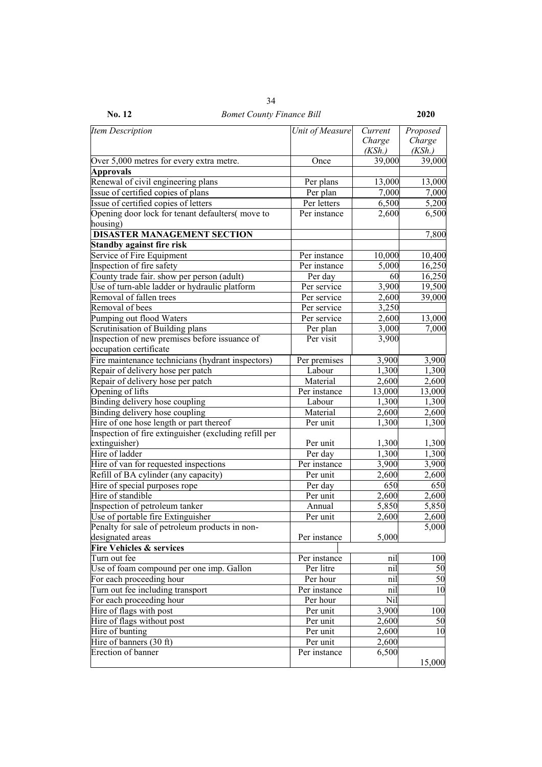| <b>Item Description</b>                               | Unit of Measure | Current             | Proposed           |
|-------------------------------------------------------|-----------------|---------------------|--------------------|
|                                                       |                 | Charge              | Charge             |
|                                                       |                 | (KSh.)              | (KSh.)             |
| Over 5,000 metres for every extra metre.              | Once            | $\overline{39,000}$ | 39,000             |
| <b>Approvals</b>                                      |                 |                     |                    |
| Renewal of civil engineering plans                    | Per plans       | 13,000              | 13,000             |
| Issue of certified copies of plans                    | Per plan        | 7,000               | 7,000              |
| Issue of certified copies of letters                  | Per letters     | 6,500               | 5,200              |
| Opening door lock for tenant defaulters(move to       | Per instance    | 2,600               | 6,500              |
| housing)                                              |                 |                     |                    |
| <b>DISASTER MANAGEMENT SECTION</b>                    |                 |                     | 7,800              |
| <b>Standby against fire risk</b>                      |                 |                     |                    |
| Service of Fire Equipment                             | Per instance    | 10,000              | 10,400             |
| Inspection of fire safety                             | Per instance    | 5,000               | 16,250             |
| County trade fair. show per person (adult)            | Per day         | 60                  | 16,250             |
| Use of turn-able ladder or hydraulic platform         | Per service     | $\overline{3,900}$  | 19,500             |
| Removal of fallen trees                               | Per service     | 2,600               | 39,000             |
| Removal of bees                                       | Per service     | 3,250               |                    |
| Pumping out flood Waters                              | Per service     | 2,600               | 13,000             |
| Scrutinisation of Building plans                      | Per plan        | 3,000               | 7,000              |
| Inspection of new premises before issuance of         | Per visit       | 3,900               |                    |
| occupation certificate                                |                 |                     |                    |
| Fire maintenance technicians (hydrant inspectors)     | Per premises    | 3,900               | 3,900              |
| Repair of delivery hose per patch                     | Labour          | 1,300               | 1,300              |
| Repair of delivery hose per patch                     | Material        | 2,600               | 2,600              |
| Opening of lifts                                      | Per instance    | 13,000              | 13,000             |
| Binding delivery hose coupling                        | Labour          | 1,300               | 1,300              |
| Binding delivery hose coupling                        | Material        | 2,600               | $\overline{2,}600$ |
| Hire of one hose length or part thereof               | Per unit        | 1,300               | 1,300              |
| Inspection of fire extinguisher (excluding refill per |                 |                     |                    |
| extinguisher)                                         | Per unit        | 1,300               | 1,300              |
| Hire of ladder                                        | Per day         | 1,300               | 1,300              |
| Hire of van for requested inspections                 | Per instance    | 3,900               | 3,900              |
| Refill of BA cylinder (any capacity)                  | Per unit        | 2,600               | 2,600              |
| Hire of special purposes rope                         | Per day         | 650                 | 650                |
| Hire of standible                                     | Per unit        | 2,600               | 2,600              |
| Inspection of petroleum tanker                        | Annual          | 5,850               | 5,850              |
| Use of portable fire Extinguisher                     | Per unit        | 2,600               | 2,600              |
| Penalty for sale of petroleum products in non-        |                 |                     | 5,000              |
| designated areas                                      | Per instance    | 5,000               |                    |
| <b>Fire Vehicles &amp; services</b>                   |                 |                     |                    |
| Turn out fee                                          | Per instance    | nil                 | 100                |
| Use of foam compound per one imp. Gallon              | Per litre       | nil                 | 50                 |
| For each proceeding hour                              | Per hour        | nil                 | 50                 |
| Turn out fee including transport                      | Per instance    | nil                 | 10                 |
| For each proceeding hour                              | Per hour        | Nil                 |                    |
| Hire of flags with post                               | Per unit        | 3,900               | 100                |
| Hire of flags without post                            | Per unit        | 2,600               | 50                 |
| Hire of bunting                                       | Per unit        | 2,600               | 10                 |
| Hire of banners (30 ft)                               | Per unit        | 2,600               |                    |
| Erection of banner                                    | Per instance    | 6,500               |                    |
|                                                       |                 |                     | 15,000             |

**No. 12** *Bomet County Finance Bill* **2020** 34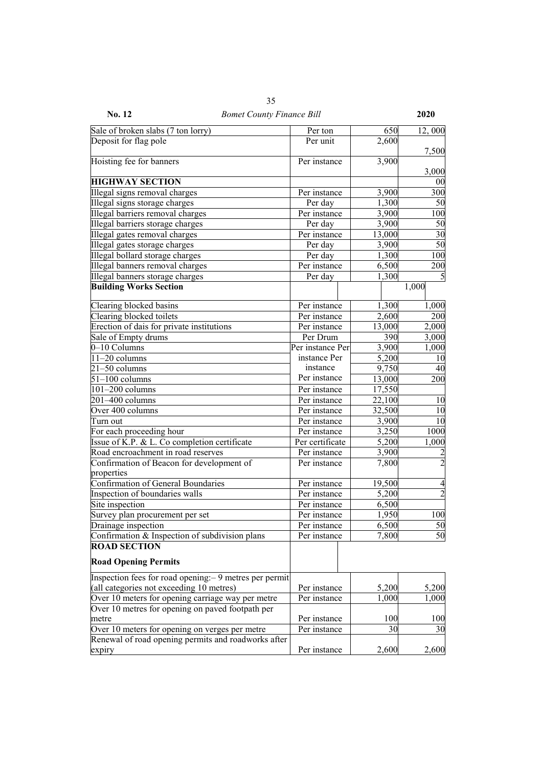| <b>No. 12</b><br><b>Bomet County Finance Bill</b>       |                  |        | 2020           |
|---------------------------------------------------------|------------------|--------|----------------|
| Sale of broken slabs (7 ton lorry)                      | Per ton          | 650    | 12,000         |
| Deposit for flag pole                                   | Per unit         | 2,600  |                |
|                                                         |                  |        | 7,500          |
| Hoisting fee for banners                                | Per instance     | 3,900  |                |
|                                                         |                  |        | 3,000          |
| <b>HIGHWAY SECTION</b>                                  |                  |        | 00             |
| Illegal signs removal charges                           | Per instance     | 3,900  | 300            |
| Illegal signs storage charges                           | Per day          | 1,300  | 50             |
| Illegal barriers removal charges                        | Per instance     | 3,900  | 100            |
| Illegal barriers storage charges                        | Per day          | 3,900  | 50             |
| Illegal gates removal charges                           | Per instance     | 13,000 | 30             |
| Illegal gates storage charges                           | Per day          | 3,900  | 50             |
| Illegal bollard storage charges                         | Per day          | 1,300  | 100            |
| Illegal banners removal charges                         | Per instance     | 6,500  | 200            |
| Illegal banners storage charges                         | Per day          | 1,300  | 5              |
| <b>Building Works Section</b>                           |                  |        | 1,000          |
| Clearing blocked basins                                 | Per instance     | 1,300  | 1,000          |
| Clearing blocked toilets                                | Per instance     | 2,600  | 200            |
| Erection of dais for private institutions               | Per instance     | 13,000 | 2,000          |
| Sale of Empty drums                                     | Per Drum         | 390    | 3,000          |
| 0-10 Columns                                            | Per instance Per | 3,900  | 1,000          |
| $11-20$ columns                                         | instance Per     | 5,200  | 10             |
| $21-50$ columns                                         | instance         | 9,750  | 40             |
| $51-100$ columns                                        | Per instance     | 13,000 | 200            |
| $\overline{101-200}$ columns                            | Per instance     | 17,550 |                |
| 201-400 columns                                         | Per instance     | 22,100 | 10             |
| Over 400 columns                                        | Per instance     | 32,500 | 10             |
| Turn out                                                | Per instance     | 3,900  | 10             |
| For each proceeding hour                                | Per instance     | 3,250  | 1000           |
| Issue of K.P. & L. Co completion certificate            | Per certificate  | 5,200  | 1,000          |
| Road encroachment in road reserves                      | Per instance     | 3,900  | $\overline{c}$ |
| Confirmation of Beacon for development of               | Per instance     | 7,800  | $\overline{2}$ |
| properties                                              |                  |        |                |
| <b>Confirmation of General Boundaries</b>               | Per instance     | 19,500 | 4              |
| Inspection of boundaries walls                          | Per instance     | 5,200  | $\overline{2}$ |
| Site inspection                                         | Per instance     | 6,500  |                |
| Survey plan procurement per set                         | Per instance     | 1,950  | 100            |
| Drainage inspection                                     | Per instance     | 6,500  | 50             |
| Confirmation & Inspection of subdivision plans          | Per instance     | 7,800  | 50             |
| <b>ROAD SECTION</b>                                     |                  |        |                |
| <b>Road Opening Permits</b>                             |                  |        |                |
| Inspection fees for road opening: – 9 metres per permit |                  |        |                |
| (all categories not exceeding 10 metres)                | Per instance     | 5,200  | 5,200          |
| Over 10 meters for opening carriage way per metre       | Per instance     | 1,000  | 1,000          |
| Over 10 metres for opening on paved footpath per        |                  |        |                |
| metre                                                   | Per instance     | 100    | 100            |
| Over 10 meters for opening on verges per metre          | Per instance     | 30     | 30             |
| Renewal of road opening permits and roadworks after     |                  |        |                |
| expiry                                                  | Per instance     | 2,600  | 2,600          |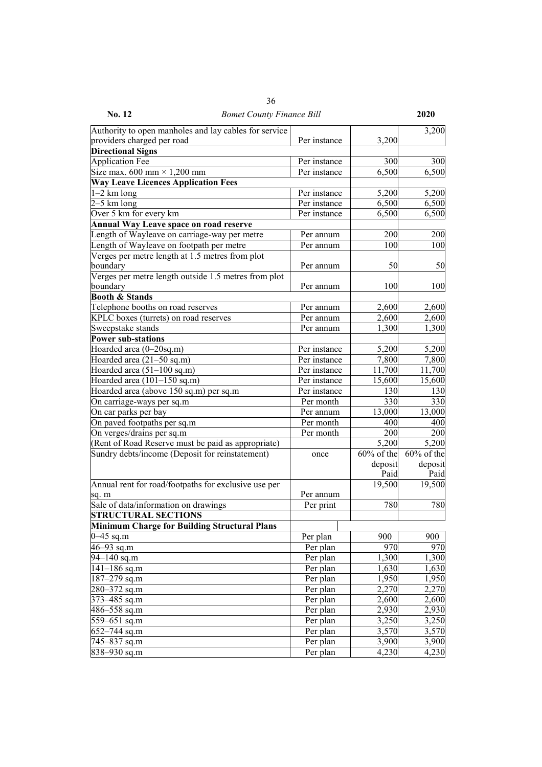| No. 12                                                | <b>Bomet County Finance Bill</b> |              |               | 2020           |
|-------------------------------------------------------|----------------------------------|--------------|---------------|----------------|
| Authority to open manholes and lay cables for service |                                  |              |               | 3,200          |
| providers charged per road                            |                                  | Per instance | 3,200         |                |
| <b>Directional Signs</b>                              |                                  |              |               |                |
| <b>Application Fee</b>                                |                                  | Per instance | 300           | 300            |
| Size max. 600 mm $\times$ 1,200 mm                    |                                  | Per instance | 6,500         | 6,500          |
| <b>Way Leave Licences Application Fees</b>            |                                  |              |               |                |
| $-2$ km long                                          |                                  | Per instance | 5,200         | 5,200          |
| $2-5$ km long                                         |                                  | Per instance | 6,500         | 6,500          |
| Over 5 km for every km                                |                                  | Per instance | 6,500         | 6,500          |
| <b>Annual Way Leave space on road reserve</b>         |                                  |              |               |                |
| Length of Wayleave on carriage-way per metre          |                                  | Per annum    | 200           | 200            |
| Length of Wayleave on footpath per metre              |                                  | Per annum    | 100           | 100            |
| Verges per metre length at 1.5 metres from plot       |                                  |              |               |                |
| boundary                                              |                                  | Per annum    | 50            | 50             |
| Verges per metre length outside 1.5 metres from plot  |                                  |              |               |                |
| boundary                                              |                                  | Per annum    | 100           | 100            |
| <b>Booth &amp; Stands</b>                             |                                  |              |               |                |
| Telephone booths on road reserves                     |                                  | Per annum    | 2,600         | 2,600          |
| KPLC boxes (turrets) on road reserves                 |                                  | Per annum    | 2,600         | 2,600          |
| Sweepstake stands                                     |                                  | Per annum    | 1,300         | 1,300          |
| <b>Power sub-stations</b>                             |                                  |              |               |                |
| Hoarded area (0-20sq.m)                               |                                  | Per instance | 5,200         |                |
|                                                       |                                  |              |               | 5,200<br>7,800 |
| Hoarded area (21–50 sq.m)                             |                                  | Per instance | 7,800         |                |
| Hoarded area $(51-100 \text{ sq.m})$                  |                                  | Per instance | 11,700        | 11,700         |
| Hoarded area (101-150 sq.m)                           |                                  | Per instance | 15,600        | 15,600         |
| Hoarded area (above 150 sq.m) per sq.m                |                                  | Per instance | 130           | 130            |
| On carriage-ways per sq.m                             |                                  | Per month    | 330           | 330            |
| On car parks per bay                                  |                                  | Per annum    | 13,000        | 13,000         |
| On paved footpaths per sq.m                           |                                  | Per month    | 400           | 400            |
| On verges/drains per sq.m                             |                                  | Per month    | 200           | 200            |
| (Rent of Road Reserve must be paid as appropriate)    |                                  |              | 5,200         | 5,200          |
| Sundry debts/income (Deposit for reinstatement)       |                                  | once         | $60\%$ of the | 60% of the     |
|                                                       |                                  |              | deposit       | deposit        |
|                                                       |                                  |              | Paid          | Paid           |
| Annual rent for road/footpaths for exclusive use per  |                                  |              | 19,500        | 19,500         |
| sq. m                                                 |                                  | Per annum    |               |                |
| Sale of data/information on drawings                  |                                  | Per print    | 780           | 780            |
| <b>STRUCTURAL SECTIONS</b>                            |                                  |              |               |                |
| <b>Minimum Charge for Building Structural Plans</b>   |                                  |              |               |                |
| $0 - 45$ sq.m                                         |                                  | Per plan     | 900           | 900            |
| $46 - 93$ sq.m                                        |                                  | Per plan     | 970           | 970            |
| $\frac{94-140}{94}$ sq.m                              |                                  | Per plan     | 1,300         | 1,300          |
| $141 - 186$ sq.m                                      |                                  | Per plan     | 1,630         | 1,630          |
| 187-279 sq.m                                          |                                  | Per plan     | 1,950         | 1,950          |
| 280–372 sq.m                                          |                                  | Per plan     | 2,270         | 2,270          |
| 373–485 sq.m                                          |                                  | Per plan     | 2,600         | 2,600          |
| 486–558 sq.m                                          |                                  | Per plan     | 2,930         | 2,930          |
| 559-651 sq.m                                          |                                  | Per plan     | 3,250         | 3,250          |
| $652 - 744$ sq.m                                      |                                  | Per plan     | 3,570         | 3,570          |
| 745–837 sq.m                                          |                                  | Per plan     | 3,900         | 3,900          |
| 838-930 sq.m                                          |                                  | Per plan     | 4,230         | 4,230          |

36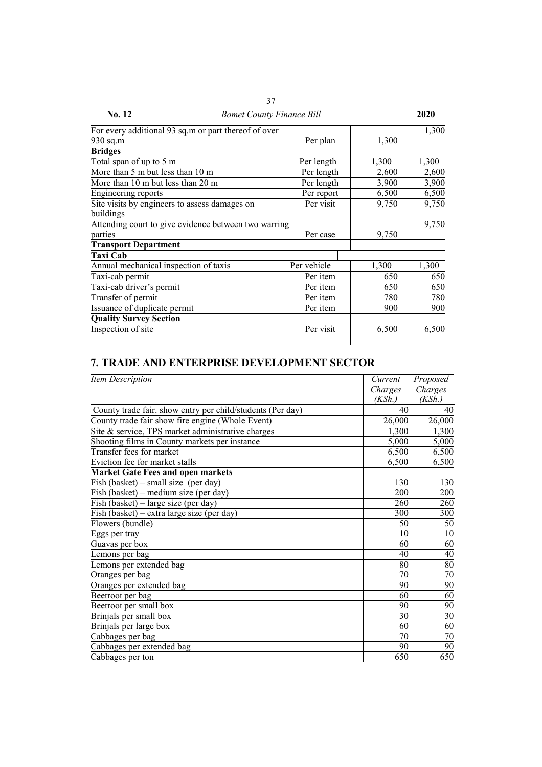| No. 12<br><b>Bomet County Finance Bill</b>           |             |       | 2020  |
|------------------------------------------------------|-------------|-------|-------|
| For every additional 93 sq.m or part thereof of over |             |       | 1,300 |
| 930 sq.m                                             | Per plan    | 1,300 |       |
| <b>Bridges</b>                                       |             |       |       |
| Total span of up to 5 m                              | Per length  | 1,300 | 1,300 |
| More than 5 m but less than 10 m                     | Per length  | 2,600 | 2,600 |
| More than 10 m but less than 20 m                    | Per length  | 3,900 | 3,900 |
| <b>Engineering reports</b>                           | Per report  | 6,500 | 6,500 |
| Site visits by engineers to assess damages on        | Per visit   | 9,750 | 9,750 |
| buildings                                            |             |       |       |
| Attending court to give evidence between two warring |             |       | 9,750 |
| parties                                              | Per case    | 9,750 |       |
| <b>Transport Department</b>                          |             |       |       |
| Taxi Cab                                             |             |       |       |
| Annual mechanical inspection of taxis                | Per vehicle | 1,300 | 1,300 |
| Taxi-cab permit                                      | Per item    | 650   | 650   |
| Taxi-cab driver's permit                             | Per item    | 650   | 650   |
| Transfer of permit                                   | Per item    | 780   | 780   |
| Issuance of duplicate permit                         | Per item    | 900   | 900   |
| <b>Quality Survey Section</b>                        |             |       |       |
| Inspection of site                                   | Per visit   | 6,500 | 6,500 |
|                                                      |             |       |       |

 $\overline{\phantom{a}}$ 

# **7. TRADE AND ENTERPRISE DEVELOPMENT SECTOR**

| <b>Item Description</b>                                    | Current | Proposed        |
|------------------------------------------------------------|---------|-----------------|
|                                                            | Charges | Charges         |
|                                                            | (KSh.)  | (KSh.)          |
| County trade fair. show entry per child/students (Per day) | 40      | 40              |
| County trade fair show fire engine (Whole Event)           | 26,000  | 26,000          |
| Site & service, TPS market administrative charges          | 1,300   | 1,300           |
| Shooting films in County markets per instance              | 5,000   | 5,000           |
| Transfer fees for market                                   | 6,500   | 6,500           |
| Eviction fee for market stalls                             | 6,500   | 6,500           |
| <b>Market Gate Fees and open markets</b>                   |         |                 |
| Fish (basket) – small size (per day)                       | 130     | 130             |
| Fish (basket) – medium size (per day)                      | 200     | 200             |
| Fish (basket) – large size (per day)                       | 260     | 260             |
| Fish (basket) – extra large size (per day)                 | 300     | 300             |
| Flowers (bundle)                                           | 50      | 50              |
| Eggs per tray                                              | 10      | $\overline{10}$ |
| Guavas per box                                             | 60      | 60              |
| Lemons per bag                                             | 40      | 40              |
| Lemons per extended bag                                    | 80      | 80              |
| Oranges per bag                                            | 70      | 70              |
| Oranges per extended bag                                   | 90      | 90              |
| Beetroot per bag                                           | 60      | 60              |
| Beetroot per small box                                     | 90      | 90              |
| Brinjals per small box                                     | 30      | $\overline{30}$ |
| Brinjals per large box                                     | 60      | 60              |
| Cabbages per bag                                           | 70      | 70              |
| Cabbages per extended bag                                  | 90      | 90              |
| Cabbages per ton                                           | 650     | 650             |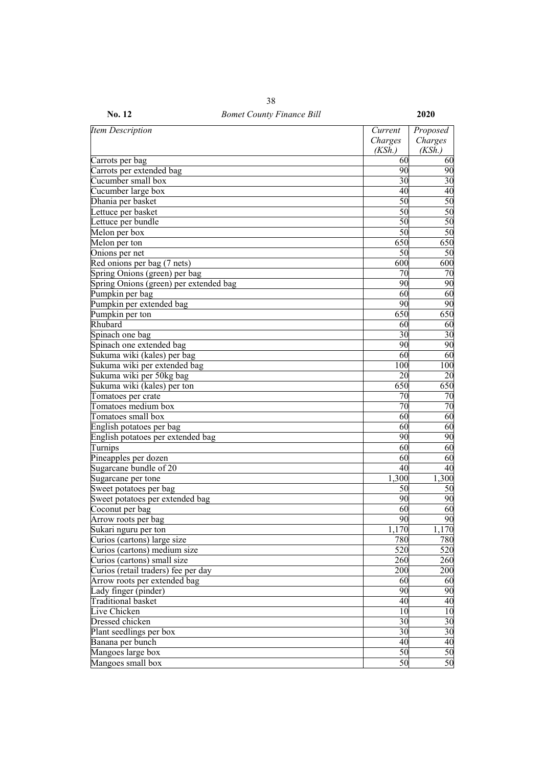| Item Description                       | Current<br>Charges | Proposed<br>Charges |
|----------------------------------------|--------------------|---------------------|
|                                        | (KSh.)             | (KSh.)              |
| Carrots per bag                        | 60                 | 60                  |
| Carrots per extended bag               | 90                 | 90                  |
| Cucumber small box                     | 30                 | 30                  |
| Cucumber large box                     | 40                 | $\overline{40}$     |
| Dhania per basket                      | 50                 | 50                  |
| Lettuce per basket                     | 50                 | 50                  |
| Lettuce per bundle                     | 50                 | 50                  |
| Melon per box                          | $\overline{50}$    | 50                  |
| Melon per ton                          | 650                | 650                 |
| Onions per net                         | 50                 | $\overline{50}$     |
| Red onions per bag (7 nets)            | 600                | 600                 |
| Spring Onions (green) per bag          | 70                 | 70                  |
| Spring Onions (green) per extended bag | 90                 | 90                  |
| Pumpkin per bag                        | 60                 | 60                  |
| Pumpkin per extended bag               | 90                 | 90                  |
| Pumpkin per ton                        | 650                | 650                 |
| Rhubard                                | 60                 | 60                  |
| Spinach one bag                        | 30                 | $\overline{30}$     |
| Spinach one extended bag               | 90                 | 90                  |
| Sukuma wiki (kales) per bag            | 60                 | 60                  |
| Sukuma wiki per extended bag           | 100                | 100                 |
| Sukuma wiki per 50kg bag               | 20                 | 20                  |
| Sukuma wiki (kales) per ton            | 650                | 650                 |
| Tomatoes per crate                     | 70                 | 70                  |
| Tomatoes medium box                    | 70                 | $\overline{70}$     |
| Tomatoes small box                     | 60                 | 60                  |
| English potatoes per bag               | 60                 | 60                  |
| English potatoes per extended bag      | 90                 | 90                  |
| Turnips                                | 60                 | 60                  |
| Pineapples per dozen                   | 60                 | $\overline{60}$     |
| Sugarcane bundle of 20                 | 40                 | 40                  |
| Sugarcane per tone                     | 1,300              | 1,300               |
| Sweet potatoes per bag                 | 50                 | 50                  |
| Sweet potatoes per extended bag        | 90                 | 90                  |
| Coconut per bag                        | 60                 | 60                  |
| Arrow roots per bag                    | 90                 | 90                  |
| Sukari nguru per ton                   | 1,170              | 1,170               |
| Curios (cartons) large size            | 780                | 780                 |
| Curios (cartons) medium size           | 520                | 520                 |
| Curios (cartons) small size            | 260                | 260                 |
| Curios (retail traders) fee per day    | 200                | 200                 |
| Arrow roots per extended bag           | 60                 | 60                  |
| Lady finger (pinder)                   | 90                 | 90                  |
| Traditional basket                     | 40                 | 40                  |
| Live Chicken                           | 10                 | 10                  |
| Dressed chicken                        | 30                 |                     |
| Plant seedlings per box                | 30                 | $\frac{30}{30}$     |
| Banana per bunch                       | 40                 | 40                  |
| Mangoes large box                      | 50                 | 50                  |
| Mangoes small box                      | 50                 | 50                  |
|                                        |                    |                     |

**No. 12** *Bomet County Finance Bill* **2020**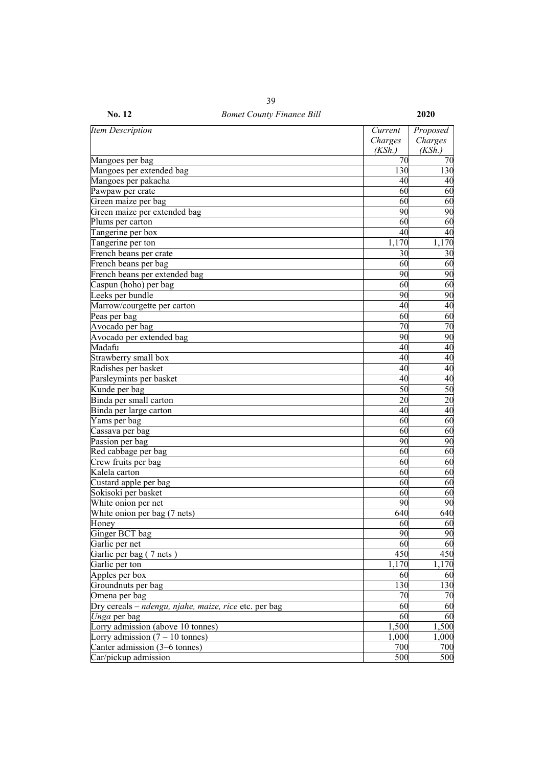| <b>No. 12</b>                                         | <b>Bomet County Finance Bill</b> |                  | 2020            |
|-------------------------------------------------------|----------------------------------|------------------|-----------------|
| <b>Item Description</b>                               |                                  | Current          | Proposed        |
|                                                       |                                  | Charges          | Charges         |
|                                                       |                                  | (KSh.)           | (KSh.)          |
| Mangoes per bag                                       |                                  | 70               | 70              |
| Mangoes per extended bag                              |                                  | 130              | 130             |
| Mangoes per pakacha                                   |                                  | 40               | 40              |
| Pawpaw per crate                                      |                                  | 60               | 60              |
| Green maize per bag                                   |                                  | 60               | 60              |
| Green maize per extended bag                          |                                  | 90               | 90              |
| Plums per carton                                      |                                  | 60               | 60              |
| Tangerine per box                                     |                                  | 40               | 40              |
| Tangerine per ton                                     |                                  | 1,170            | 1,170           |
| French beans per crate                                |                                  | 30               | 30              |
| French beans per bag                                  |                                  | 60               | 60              |
| French beans per extended bag                         |                                  | 90               | 90              |
| Caspun (hoho) per bag                                 |                                  | 60               | 60              |
| Leeks per bundle                                      |                                  | 90               | 90              |
| Marrow/courgette per carton                           |                                  | 40               | $\overline{40}$ |
| Peas per bag                                          |                                  | 60               | 60              |
| Avocado per bag                                       |                                  | 70               | 70              |
| Avocado per extended bag                              |                                  | 90               | 90              |
| Madafu                                                |                                  | 40               | 40              |
| Strawberry small box                                  |                                  | 40               | 40              |
| Radishes per basket                                   |                                  | 40               | 40              |
| Parsleymints per basket                               |                                  | 40               | $\overline{40}$ |
| Kunde per bag                                         |                                  | 50               | 50              |
| Binda per small carton                                |                                  | 20               | 20              |
| Binda per large carton                                |                                  | 40               | $\overline{40}$ |
| Yams per bag                                          |                                  | 60               | 60              |
| Cassava per bag                                       |                                  | 60               | 60              |
| Passion per bag                                       |                                  | 90               | 90              |
| Red cabbage per bag                                   |                                  | 60               | 60              |
| Crew fruits per bag                                   |                                  | 60               | 60              |
| Kalela carton                                         |                                  | 60               | 60              |
| Custard apple per bag                                 |                                  | 60               | 60              |
| Sokisoki per basket                                   |                                  | 60               | 60              |
| White onion per net                                   |                                  | 90               | 90              |
| White onion per bag (7 nets)                          |                                  | 640              | 640             |
| Honey                                                 |                                  | 60               | 60              |
| Ginger BCT bag                                        |                                  | 90               | 90              |
| Garlic per net                                        |                                  | 60               | 60              |
| Garlic per bag (7 nets)                               |                                  | 450              | 450             |
| Garlic per ton                                        |                                  | 1,170            | 1,170           |
| Apples per box                                        |                                  | 60               | 60              |
| Groundnuts per bag                                    |                                  | 130              | 130             |
| Omena per bag                                         |                                  | 70               | 70              |
| Dry cereals – ndengu, njahe, maize, rice etc. per bag |                                  | 60               | $\overline{60}$ |
| Unga per bag                                          |                                  | 60               | 60              |
| Lorry admission (above 10 tonnes)                     |                                  | 1,500            | 1,500           |
| Lorry admission $(7 - 10 \text{ tonnes})$             |                                  | 1,000            | 1,000           |
| Canter admission (3–6 tonnes)                         |                                  | 700              | 700             |
| Car/pickup admission                                  |                                  | $\overline{500}$ | 500             |
|                                                       |                                  |                  |                 |

39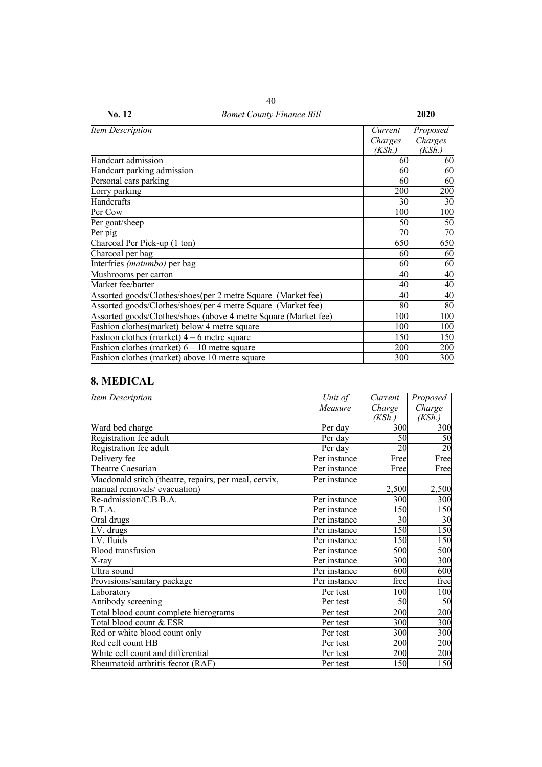| Item Description                                                | Current | Proposed |
|-----------------------------------------------------------------|---------|----------|
|                                                                 | Charges | Charges  |
|                                                                 | (KSh.)  | (KSh.)   |
| Handcart admission                                              | 60      | 60       |
| Handcart parking admission                                      | 60      | 60       |
| Personal cars parking                                           | 60      | 60       |
| Lorry parking                                                   | 200     | 200      |
| Handcrafts                                                      | 30      | 30       |
| Per Cow                                                         | 100     | 100      |
| Per goat/sheep                                                  | 50      | 50       |
| Per pig                                                         | 70      | 70       |
| Charcoal Per Pick-up (1 ton)                                    | 650     | 650      |
| Charcoal per bag                                                | 60      | 60       |
| Interfries (matumbo) per bag                                    | 60      | 60       |
| Mushrooms per carton                                            | 40      | 40       |
| Market fee/barter                                               | 40      | 40       |
| Assorted goods/Clothes/shoes(per 2 metre Square (Market fee)    | 40      | 40       |
| Assorted goods/Clothes/shoes(per 4 metre Square (Market fee)    | 80      | 80       |
| Assorted goods/Clothes/shoes (above 4 metre Square (Market fee) | 100     | 100      |
| Fashion clothes(market) below 4 metre square                    | 100     | 100      |
| Fashion clothes (market) $4 - 6$ metre square                   | 150     | 150      |
| Fashion clothes (market) $6 - 10$ metre square                  | 200     | 200      |
| Fashion clothes (market) above 10 metre square                  | 300     | 300      |

# **8. MEDICAL**

| <b>Item Description</b>                               | Unit of      | Current | Proposed        |
|-------------------------------------------------------|--------------|---------|-----------------|
|                                                       | Measure      | Charge  | Charge          |
|                                                       |              | (KSh.)  | (KSh.)          |
| Ward bed charge                                       | Per day      | 300     | 300             |
| Registration fee adult                                | Per day      | 50      | 50              |
| Registration fee adult                                | Per day      | 20      | $\overline{20}$ |
| Delivery fee                                          | Per instance | Free    | Free            |
| Theatre Caesarian                                     | Per instance | Free    | Free            |
| Macdonald stitch (theatre, repairs, per meal, cervix, | Per instance |         |                 |
| manual removals/ evacuation)                          |              | 2,500   | 2,500           |
| Re-admission/C.B.B.A.                                 | Per instance | 300     | 300             |
| B.T.A.                                                | Per instance | 150     | 150             |
| Oral drugs                                            | Per instance | 30      | 30              |
| I.V. drugs                                            | Per instance | 150     | 150             |
| I.V. fluids                                           | Per instance | 150     | 150             |
| <b>Blood</b> transfusion                              | Per instance | 500     | 500             |
| X-rav                                                 | Per instance | 300     | 300             |
| Ultra sound                                           | Per instance | 600     | 600             |
| Provisions/sanitary package                           | Per instance | free    | free            |
| Laboratory                                            | Per test     | 100     | 100             |
| Antibody screening                                    | Per test     | 50      | 50              |
| Total blood count complete hierograms                 | Per test     | 200     | 200             |
| Total blood count & ESR                               | Per test     | 300     | 300             |
| Red or white blood count only                         | Per test     | 300     | 300             |
| Red cell count HB                                     | Per test     | 200     | 200             |
| White cell count and differential                     | Per test     | 200     | 200             |
| Rheumatoid arthritis fector (RAF)                     | Per test     | 150     | 150             |

40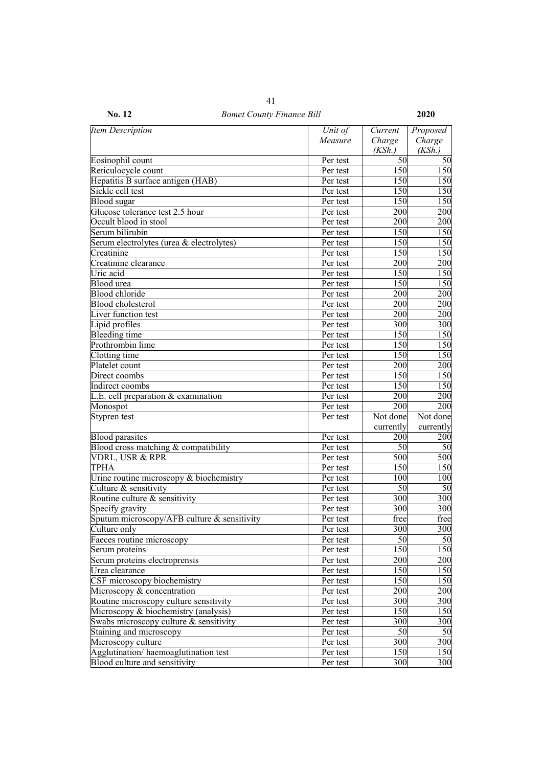| <b>Item Description</b>                     | Unit of  | Current          | Proposed  |
|---------------------------------------------|----------|------------------|-----------|
|                                             | Measure  | Charge           | Charge    |
|                                             |          | (KSh.)           | (KSh.)    |
| Eosinophil count                            | Per test | 50               | 50        |
| Reticulocycle count                         | Per test | 150              | 150       |
| Hepatitis B surface antigen (HAB)           | Per test | 150              | 150       |
| Sickle cell test                            | Per test | 150              | 150       |
| <b>Blood</b> sugar                          | Per test | 150              | 150       |
| Glucose tolerance test 2.5 hour             | Per test | 200              | 200       |
| Occult blood in stool                       | Per test | 200              | 200       |
| Serum bilirubin                             | Per test | 150              | 150       |
| Serum electrolytes (urea & electrolytes)    | Per test | 150              | 150       |
| Creatinine                                  | Per test | 150              | 150       |
| Creatinine clearance                        | Per test | 200              | 200       |
| Uric acid                                   | Per test | 150              | 150       |
| Blood urea                                  | Per test | 150              | 150       |
| <b>Blood</b> chloride                       | Per test | 200              | 200       |
| <b>Blood</b> cholesterol                    | Per test | 200              | 200       |
| Liver function test                         | Per test | 200              | 200       |
| Lipid profiles                              | Per test | 300              | 300       |
| Bleeding time                               | Per test | 150              | 150       |
| Prothrombin lime                            | Per test | 150              | 150       |
| Clotting time                               | Per test | 150              | 150       |
| Platelet count                              | Per test | 200              | 200       |
| Direct coombs                               | Per test | 150              | 150       |
| Indirect coombs                             | Per test | 150              | 150       |
| L.E. cell preparation & examination         | Per test | 200              | 200       |
| Monospot                                    | Per test | 200              | 200       |
| Stypren test                                | Per test | Not done         | Not done  |
|                                             |          | currently        | currently |
| <b>Blood parasites</b>                      | Per test | 200              | 200       |
| Blood cross matching & compatibility        | Per test | 50               | 50        |
| VDRL, USR & RPR                             | Per test | 500              | 500       |
| TPHA                                        | Per test | 150              | 150       |
|                                             |          |                  |           |
| Urine routine microscopy $&$ biochemistry   | Per test | 100              | 100       |
| Culture & sensitivity                       | Per test | 50               | 50        |
| Routine culture & sensitivity               | Per test | 300              | 300       |
| Specify gravity                             | Per test | 300              | 300       |
| Sputum microscopy/AFB culture & sensitivity | Per test | free             | free      |
| Culture only                                | Per test | 300              | 300       |
| Faeces routine microscopy                   | Per test | 50               | 50        |
| Serum proteins                              | Per test | 150              | 150       |
| Serum proteins electroprensis               | Per test | 200              | 200       |
| Urea clearance                              | Per test | 150              | 150       |
| CSF microscopy biochemistry                 | Per test | 150              | 150       |
| Microscopy & concentration                  | Per test | 200              | 200       |
| Routine microscopy culture sensitivity      | Per test | 300              | 300       |
| Microscopy & biochemistry (analysis)        | Per test | $15\overline{0}$ | 150       |
| Swabs microscopy culture & sensitivity      | Per test | 300              | 300       |
| Staining and microscopy                     | Per test | 50               | 50        |
| Microscopy culture                          | Per test | 300              | 300       |
| Agglutination/haemoaglutination test        | Per test | 150              | 150       |
| Blood culture and sensitivity               | Per test | 300              | 300       |

**No. 12** *Bomet County Finance Bill* **2020** 41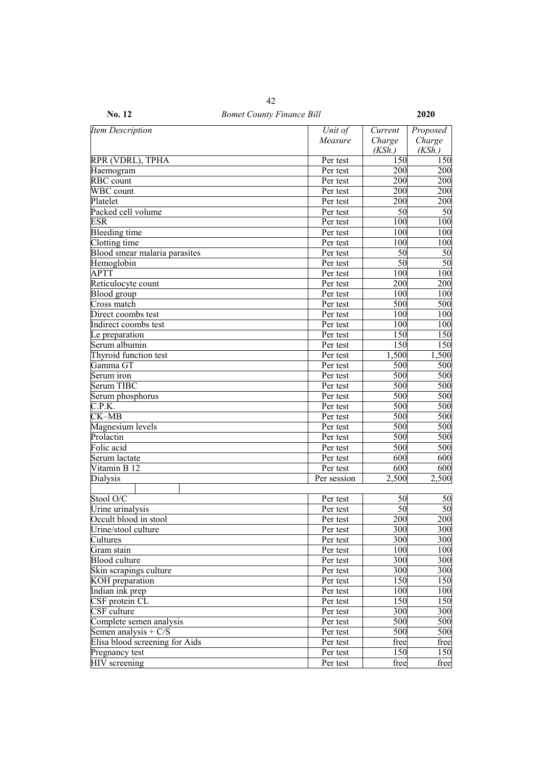| Item Description               | Unit of     | Current         | Proposed        |
|--------------------------------|-------------|-----------------|-----------------|
|                                | Measure     | Charge          | Charge          |
|                                |             | (KSh.)          | (KSh.)          |
| RPR (VDRL), TPHA               | Per test    | 150             | 150             |
| Haemogram                      | Per test    | 200             | 200             |
| <b>RBC</b> count               | Per test    | 200             | 200             |
| WBC count                      | Per test    | 200             | 200             |
| Platelet                       | Per test    | 200             | 200             |
| Packed cell volume             | Per test    | 50              | 50              |
| <b>ESR</b>                     | Per test    | 100             | 100             |
| Bleeding time                  | Per test    | 100             | 100             |
| Clotting time                  | Per test    | 100             | 100             |
| Blood smear malaria parasites  | Per test    | $5\overline{0}$ | 50              |
| Hemoglobin                     | Per test    | 50              | $\overline{50}$ |
| <b>APTT</b>                    | Per test    | 100             | 100             |
| Reticulocyte count             | Per test    | 200             | 200             |
| Blood group                    | Per test    | 100             | 100             |
| Cross match                    | Per test    | 500             | 500             |
| Direct coombs test             | Per test    | 100             | 100             |
| Indirect coombs test           | Per test    | 100             | 100             |
| Le preparation                 | Per test    | 150             | 150             |
| Serum albumin                  | Per test    | 150             | 150             |
| Thyroid function test          | Per test    | 1,500           | 1,500           |
| Gamma GT                       |             | 500             | 500             |
|                                | Per test    |                 |                 |
| Serum iron                     | Per test    | 500             | 500             |
| <b>Serum TIBC</b>              | Per test    | 500             | 500             |
| Serum phosphorus               | Per test    | 500             | 500             |
| C.P.K.                         | Per test    | 500             | 500             |
| CK-MB                          | Per test    | 500             | 500             |
| Magnesium levels               | Per test    | 500             | 500             |
| Prolactin                      | Per test    | 500             | 500             |
| Folic acid                     | Per test    | 500             | 500             |
| Serum lactate                  | Per test    | 600             | 600             |
| Vitamin B $12$                 | Per test    | 600             | 600             |
| Dialysis                       | Per session | 2,500           | 2,500           |
|                                |             |                 |                 |
| Stool O/C                      | Per test    | 50              | 50              |
| Urine urinalysis               | Per test    | 50              | $\overline{50}$ |
| Occult blood in stool          | Per test    | 200             | 200             |
| Urine/stool culture            | Per test    | 300             | 300             |
| Cultures                       | Per test    | 300             | 300             |
| Gram stain                     | Per test    | 100             | 100             |
| <b>Blood</b> culture           | Per test    | 300             | 300             |
| Skin scrapings culture         | Per test    | 300             | 300             |
| KOH preparation                | Per test    | 150             | 150             |
| Indian ink prep                | Per test    | 100             | 100             |
| CSF protein CL                 | Per test    | 150             | 150             |
| CSF culture                    | Per test    | 300             | 300             |
| Complete semen analysis        | Per test    | 500             | 500             |
| Semen analysis + $C/S$         | Per test    | 500             | 500             |
| Elisa blood screening for Aids | Per test    | free            | free            |
| Pregnancy test                 | Per test    | 150             | 150             |
| <b>HIV</b> screening           | Per test    | free            | free            |

**No. 12** *Bomet County Finance Bill* **2020**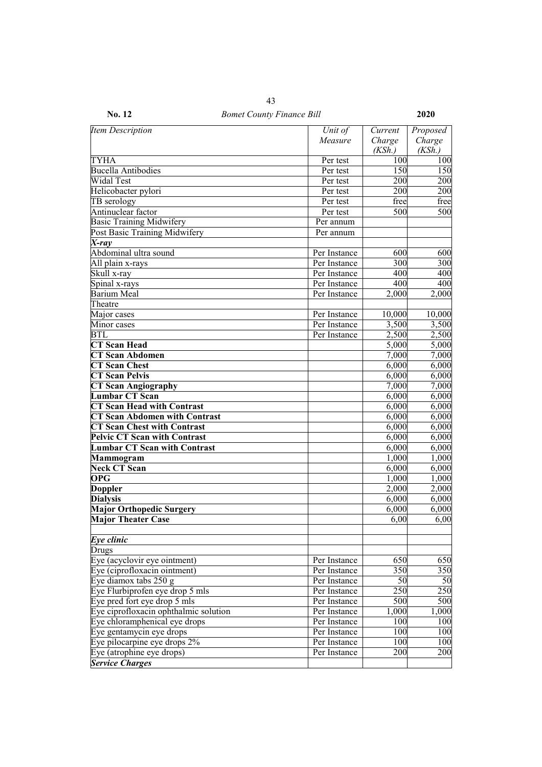| <b>Item Description</b>               | Unit of      | Current | Proposed |
|---------------------------------------|--------------|---------|----------|
|                                       | Measure      | Charge  | Charge   |
|                                       |              | (KSh.)  | (KSh.)   |
| TYHA                                  | Per test     | 100     | 100      |
| <b>Bucella Antibodies</b>             | Per test     | 150     | 150      |
| Widal Test                            | Per test     | 200     | 200      |
| Helicobacter pylori                   | Per test     | 200     | 200      |
| TB serology                           | Per test     | free    | free     |
| Antinuclear factor                    | Per test     | 500     | 500      |
| <b>Basic Training Midwifery</b>       | Per annum    |         |          |
| Post Basic Training Midwifery         | Per annum    |         |          |
| X-ray                                 |              |         |          |
| Abdominal ultra sound                 | Per Instance | 600     | 600      |
| All plain x-rays                      | Per Instance | 300     | 300      |
| Skull x-ray                           | Per Instance | 400     | 400      |
| Spinal x-rays                         | Per Instance | 400     | 400      |
| <b>Barium Meal</b>                    | Per Instance | 2,000   | 2,000    |
| Theatre                               |              |         |          |
| Major cases                           | Per Instance | 10,000  | 10,000   |
| Minor cases                           | Per Instance | 3,500   | 3,500    |
| BTL                                   | Per Instance | 2,500   | 2,500    |
| <b>CT</b> Scan Head                   |              | 5,000   | 5,000    |
| <b>CT Scan Abdomen</b>                |              | 7,000   | 7,000    |
| <b>CT</b> Scan Chest                  |              | 6,000   | 6,000    |
| <b>CT Scan Pelvis</b>                 |              | 6,000   | 6,000    |
| <b>CT Scan Angiography</b>            |              | 7,000   | 7,000    |
| <b>Lumbar CT Scan</b>                 |              | 6,000   | 6,000    |
| <b>CT Scan Head with Contrast</b>     |              | 6,000   | 6,000    |
| <b>CT Scan Abdomen with Contrast</b>  |              | 6,000   | 6,000    |
| <b>CT Scan Chest with Contrast</b>    |              | 6,000   | 6,000    |
| <b>Pelvic CT Scan with Contrast</b>   |              | 6,000   | 6,000    |
| <b>Lumbar CT Scan with Contrast</b>   |              | 6,000   | 6,000    |
| Mammogram                             |              | 1,000   | 1,000    |
| <b>Neck CT Scan</b>                   |              | 6,000   | 6,000    |
| <b>OPG</b>                            |              | 1,000   | 1,000    |
| <b>Doppler</b>                        |              | 2,000   | 2,000    |
| <b>Dialysis</b>                       |              | 6,000   | 6,000    |
| Major Orthopedic Surgery              |              | 6,000   | 6,000    |
| <b>Major Theater Case</b>             |              | 6,00    | 6,00     |
|                                       |              |         |          |
| $Eye$ clinic                          |              |         |          |
| Drugs                                 |              |         |          |
| Eye (acyclovir eye ointment)          | Per Instance | 650     | 650      |
| Eye (ciprofloxacin ointment)          | Per Instance | 350     | 350      |
| Eye diamox tabs $250 g$               | Per Instance | 50      | 50       |
| Eye Flurbiprofen eye drop 5 mls       | Per Instance | 250     | 250      |
| Eye pred fort eye drop 5 mls          | Per Instance | 500     | 500      |
| Eye ciprofloxacin ophthalmic solution | Per Instance | 1,000   | 1,000    |
| Eye chloramphenical eye drops         | Per Instance | 100     | 100      |
| Eye gentamycin eye drops              | Per Instance | 100     | 100      |
| Eye pilocarpine eye drops 2%          | Per Instance | 100     | 100      |
| Eye (atrophine eye drops)             | Per Instance | 200     | 200      |
| <b>Service Charges</b>                |              |         |          |
|                                       |              |         |          |

**No. 12** *Bomet County Finance Bill* **2020** 43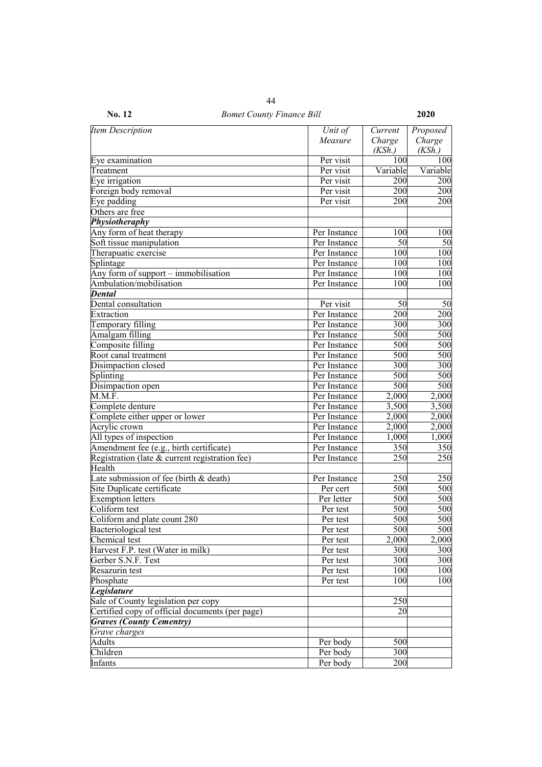| <b>Item Description</b>                         | Unit of      | Current  | Proposed |
|-------------------------------------------------|--------------|----------|----------|
|                                                 | Measure      | Charge   | Charge   |
|                                                 |              | (KSh.)   | (KSh.)   |
| Eye examination                                 | Per visit    | 100      | 100      |
| Treatment                                       | Per visit    | Variable | Variable |
| Eye irrigation                                  | Per visit    | 200      | 200      |
| Foreign body removal                            | Per visit    | 200      | 200      |
| Eye padding                                     | Per visit    | 200      | 200      |
| Others are free                                 |              |          |          |
| Physiotheraphy                                  |              |          |          |
| Any form of heat therapy                        | Per Instance | 100      | 100      |
| Soft tissue manipulation                        | Per Instance | 50       | 50       |
| Therapuatic exercise                            | Per Instance | 100      | 100      |
| Splintage                                       | Per Instance | 100      | 100      |
| Any form of support - immobilisation            | Per Instance | 100      | 100      |
| Ambulation/mobilisation                         | Per Instance | 100      | 100      |
| <b>Dental</b>                                   |              |          |          |
| Dental consultation                             | Per visit    | 50       | 50       |
| Extraction                                      | Per Instance | 200      | 200      |
| Temporary filling                               | Per Instance | 300      | 300      |
| Amalgam filling                                 | Per Instance | 500      | 500      |
| Composite filling                               | Per Instance | 500      | 500      |
| Root canal treatment                            | Per Instance | 500      | 500      |
| Disimpaction closed                             | Per Instance | 300      | 300      |
| Splinting                                       | Per Instance | 500      | 500      |
| Disimpaction open                               | Per Instance | 500      | 500      |
| M.M.F.                                          | Per Instance | 2,000    | 2,000    |
| Complete denture                                | Per Instance | 3,500    | 3,500    |
| Complete either upper or lower                  | Per Instance | 2,000    | 2,000    |
| Acrylic crown                                   | Per Instance | 2,000    | 2,000    |
| All types of inspection                         | Per Instance | 1,000    | 1,000    |
| Amendment fee (e.g., birth certificate)         | Per Instance | 350      | 350      |
| Registration (late & current registration fee)  | Per Instance | 250      | 250      |
| Health                                          |              |          |          |
| Late submission of fee (birth $&$ death)        | Per Instance | 250      | 250      |
| Site Duplicate certificate                      | Per cert     | 500      | 500      |
| <b>Exemption letters</b>                        | Per letter   | 500      | 500      |
| Coliform test                                   | Per test     | 500      | 500      |
| Coliform and plate count 280                    | Per test     | 500      | 500      |
| Bacteriological test                            | Per test     | 500      | 500      |
| Chemical test                                   | Per test     | 2,000    | 2,000    |
| Harvest F.P. test (Water in milk)               | Per test     | 300      | 300      |
| Gerber S.N.F. Test                              | Per test     | 300      | 300      |
| Resazurin test                                  | Per test     | 100      | 100      |
| Phosphate                                       | Per test     | 100      | 100      |
| <b>Legislature</b>                              |              |          |          |
| Sale of County legislation per copy             |              | 250      |          |
| Certified copy of official documents (per page) |              | 20       |          |
| <b>Graves (County Cementry)</b>                 |              |          |          |
| Grave charges                                   |              |          |          |
| Adults                                          | Per body     | 500      |          |
| Children                                        | Per body     | 300      |          |
| Infants                                         | Per body     | 200      |          |
|                                                 |              |          |          |

**No. 12** *Bomet County Finance Bill* **2020** 44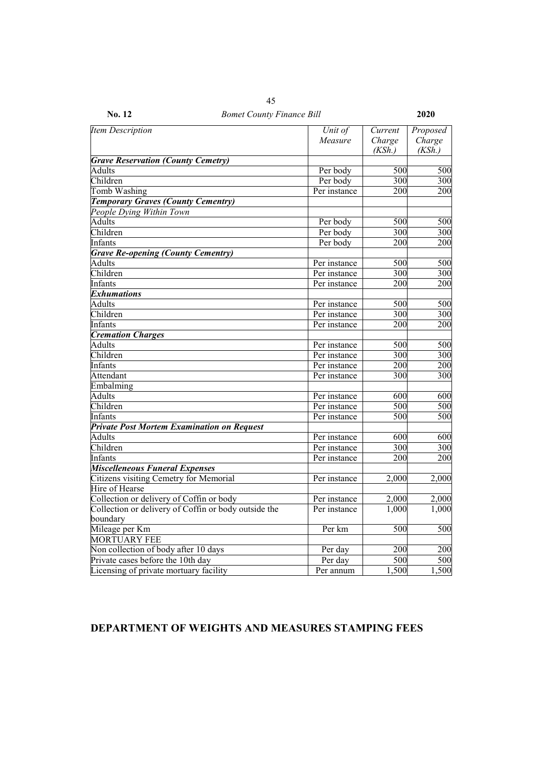| <b>Item Description</b>                              | Unit of              | Current | Proposed |
|------------------------------------------------------|----------------------|---------|----------|
|                                                      | Measure              | Charge  | Charge   |
| <b>Grave Reservation (County Cemetry)</b>            |                      | (KSh.)  | (KSh.)   |
| <b>Adults</b>                                        |                      | 500     | 500      |
| Children                                             | Per body<br>Per body | 300     | 300      |
| Tomb Washing                                         | Per instance         | 200     | 200      |
|                                                      |                      |         |          |
| <b>Temporary Graves (County Cementry)</b>            |                      |         |          |
| People Dying Within Town<br><b>Adults</b>            |                      |         |          |
|                                                      | Per body             | 500     | 500      |
| Children                                             | Per body             | 300     | 300      |
| <b>Infants</b>                                       | Per body             | 200     | 200      |
| <b>Grave Re-opening (County Cementry)</b>            |                      |         |          |
| <b>Adults</b>                                        | Per instance         | 500     | 500      |
| Children                                             | Per instance         | 300     | 300      |
| Infants                                              | Per instance         | 200     | 200      |
| <b>Exhumations</b>                                   |                      |         |          |
| <b>Adults</b>                                        | Per instance         | 500     | 500      |
| Children                                             | Per instance         | 300     | 300      |
| Infants                                              | Per instance         | 200     | 200      |
| <b>Cremation Charges</b>                             |                      |         |          |
| <b>Adults</b>                                        | Per instance         | 500     | 500      |
| Children                                             | Per instance         | 300     | 300      |
| Infants                                              | Per instance         | 200     | 200      |
| Attendant                                            | Per instance         | 300     | 300      |
| Embalming                                            |                      |         |          |
| <b>Adults</b>                                        | Per instance         | 600     | 600      |
| Children                                             | Per instance         | 500     | 500      |
| Infants                                              | Per instance         | 500     | 500      |
| <b>Private Post Mortem Examination on Request</b>    |                      |         |          |
| <b>Adults</b>                                        | Per instance         | 600     | 600      |
| Children                                             | Per instance         | 300     | 300      |
| Infants                                              | Per instance         | 200     | 200      |
| <b>Miscelleneous Funeral Expenses</b>                |                      |         |          |
| Citizens visiting Cemetry for Memorial               | Per instance         | 2,000   | 2,000    |
| Hire of Hearse                                       |                      |         |          |
| Collection or delivery of Coffin or body             | Per instance         | 2,000   | 2,000    |
| Collection or delivery of Coffin or body outside the | Per instance         | 1,000   | 1,000    |
| boundary                                             |                      |         |          |
| Mileage per Km                                       | Per km               | 500     | 500      |
| <b>MORTUARY FEE</b>                                  |                      |         |          |
| Non collection of body after 10 days                 | Per day              | 200     | 200      |
| Private cases before the 10th day                    | Per day              | 500     | 500      |
| Licensing of private mortuary facility               | Per annum            | 1,500   | 1,500    |

# **DEPARTMENT OF WEIGHTS AND MEASURES STAMPING FEES**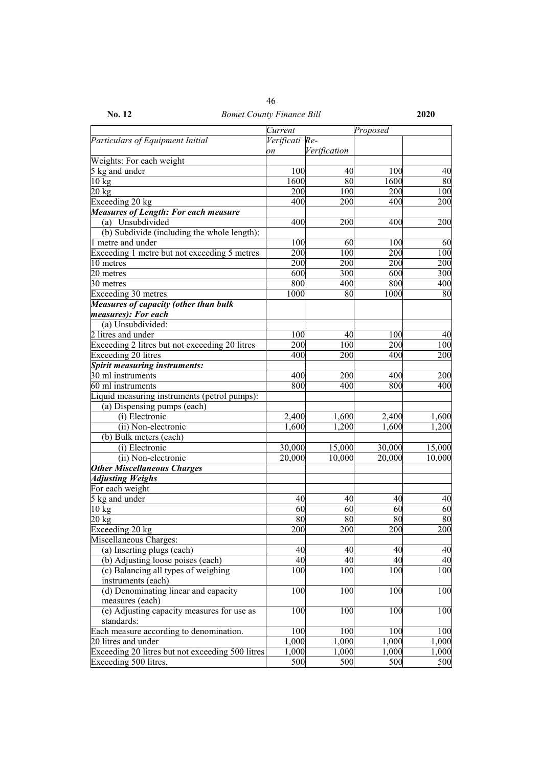|                                              | Current        |              | Proposed |     |
|----------------------------------------------|----------------|--------------|----------|-----|
| Particulars of Equipment Initial             | Verificati Re- |              |          |     |
|                                              | on             | Verification |          |     |
| Weights: For each weight                     |                |              |          |     |
| 5 kg and under                               | 100            | 40           | 100      | 40  |
| $10 \text{ kg}$                              | 1600           | 80           | 1600     | 80  |
| $20 \text{ kg}$                              | 200            | 100          | 200      | 100 |
| Exceeding 20 kg                              | 400            | 200          | 400      | 200 |
| <b>Measures of Length: For each measure</b>  |                |              |          |     |
| Unsubdivided<br>(a)                          | 400            | 200          | 400      | 200 |
| (b) Subdivide (including the whole length):  |                |              |          |     |
| 1 metre and under                            | 100            | 60           | 100      | 60  |
| Exceeding 1 metre but not exceeding 5 metres | 200            | 100          | 200      | 100 |
| 10 metres                                    | 200            | 200          | 200      | 200 |
| 20 metres                                    | 600            | 300          | 600      | 300 |
| 30 metres                                    | 800            | 400          | 800      | 400 |
| Exceeding 30 metres                          | 1000           | 80           | 1000     | 80  |
| <b>Measures of capacity (other than bulk</b> |                |              |          |     |
| measures): For each                          |                |              |          |     |
| (a) Unsubdivided:                            |                |              |          |     |

 $\frac{2 \text{ litres and under}}{\text{Exceeding 2 litres but not exceeding 20 litres}}$   $\frac{100}{200}$   $\frac{40}{100}$   $\frac{100}{200}$   $\frac{40}{100}$ Exceeding 2 litres but not exceeding 20 litres 200 100 200 100<br>Exceeding 20 litres 400 200 400 200

30 ml instruments 100 and instruments 100 and instruments 100 and instruments 100 and instruments 100 and instruments 100 and 100 and 100 and 100 and 100 and 100 and 100 and 100 and 100 and 100 and 100 and 100 and 100 and

(i) Electronic 2,400 1,600 2,400 1,600 (ii) Non-electronic  $1,600$   $1,200$   $1,600$   $1,200$ 

(i) Electronic 30,000 15,000 30,000 15,000 (ii) Non-electronic  $\begin{array}{|c|c|c|c|c|c|c|c|} \hline \end{array}$  20,000  $\begin{array}{|c|c|c|c|c|c|c|c|} \hline \end{array}$  20,000  $\begin{array}{|c|c|c|c|c|c|} \hline \end{array}$  10,000  $\begin{array}{|c|c|c|c|c|c|c|c|c|} \hline \end{array}$ 

5 kg and under  $\begin{pmatrix} 40 & 40 \\ 40 & 40 \end{pmatrix}$  40  $\begin{pmatrix} 40 & 40 \\ 40 & 40 \end{pmatrix}$  $10 \text{ kg}$  60 60 60 60 60 20 kg 80 80 80 80 Exceeding 20 kg  $200 \t 200 \t 200$  200 200

(a) Inserting plugs (each)  $40 \t\t 40 \t\t 40$ (b) Adjusting loose poises (each)  $40 \t\t 40 \t\t 40$ 

Each measure according to denomination.  $100$  100 100 100 100 20 litres and under 1,000 1,000 1,000 1,000 1,000 1,000 1,000 1,000 1,000 1,000 1,000 1,000 1,000 1,000 1,000 Exceeding  $20$  litres but not exceeding 500 litres 1,000 1,000 1,000 1,000 1,000 Exceeding 500 litres.  $\begin{array}{ccc} 500 & 500 & 500 \\ \end{array}$  500 500

100 100 100 100

100 100 100 100

100 100 100 100

Exceeding 20 litres  $\begin{array}{|c|c|c|c|c|c|} \hline 400 & 200 & 400 \end{array}$ 

*Spirit measuring instruments:*

(a) Dispensing pumps (each)

(b) Bulk meters (each)

*Other Miscellaneous Charges*

Liquid measuring instruments (petrol pumps):

60 ml instruments

*Adjusting Weighs* For each weight

Miscellaneous Charges:

instruments (each)

measures (each)

standards:

(c) Balancing all types of weighing

(d) Denominating linear and capacity

(e) Adjusting capacity measures for use as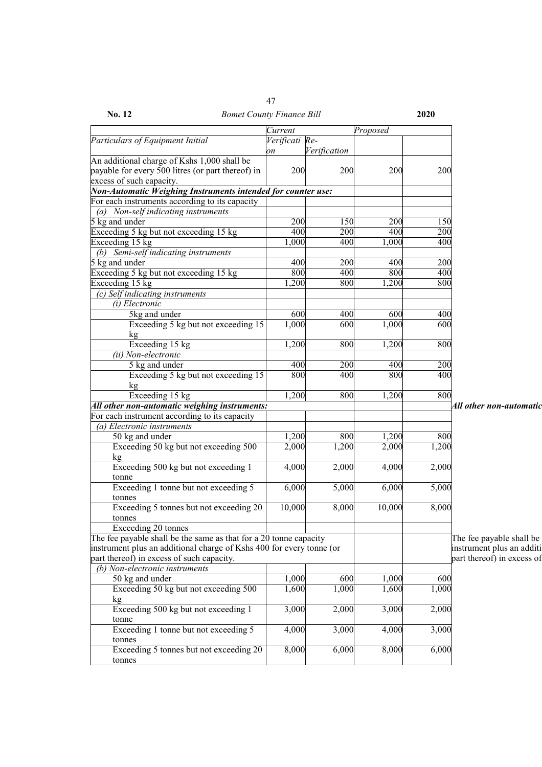| No. 12                                                               | <b>Bomet County Finance Bill</b> |              |          | 2020  |                            |
|----------------------------------------------------------------------|----------------------------------|--------------|----------|-------|----------------------------|
|                                                                      | Current                          |              | Proposed |       |                            |
| Particulars of Equipment Initial                                     | Verificati Re-                   |              |          |       |                            |
|                                                                      | on                               | Verification |          |       |                            |
| An additional charge of Kshs 1,000 shall be                          |                                  |              |          |       |                            |
| payable for every 500 litres (or part thereof) in                    | 200                              | 200          | 200      | 200   |                            |
| excess of such capacity.                                             |                                  |              |          |       |                            |
| Non-Automatic Weighing Instruments intended for counter use:         |                                  |              |          |       |                            |
| For each instruments according to its capacity                       |                                  |              |          |       |                            |
| (a) Non-self indicating instruments                                  |                                  |              |          |       |                            |
| 5 kg and under                                                       | 200                              | 150          | 200      | 150   |                            |
| Exceeding 5 kg but not exceeding 15 kg                               | 400                              | 200          | 400      | 200   |                            |
| Exceeding 15 kg                                                      | 1,000                            | 400          | 1,000    | 400   |                            |
| (b) Semi-self indicating instruments                                 |                                  |              |          |       |                            |
| 5 kg and under                                                       | 400                              | 200          | 400      | 200   |                            |
| Exceeding 5 kg but not exceeding 15 kg                               | 800                              | 400          | 800      | 400   |                            |
| Exceeding 15 kg                                                      | 1,200                            | 800          | ,200     | 800   |                            |
| (c) Self indicating instruments                                      |                                  |              |          |       |                            |
| (i) Electronic                                                       |                                  |              |          |       |                            |
| 5kg and under                                                        | 600                              | 400          | 600      | 400   |                            |
| Exceeding 5 kg but not exceeding 15                                  | 1,000                            | 600          | 1,000    | 600   |                            |
| kg                                                                   |                                  |              |          |       |                            |
| Exceeding 15 kg                                                      | 1,200                            | 800          | 1,200    | 800   |                            |
| (ii) Non-electronic                                                  |                                  |              |          |       |                            |
| 5 kg and under                                                       | 400                              | 200          | 400      | 200   |                            |
| Exceeding 5 kg but not exceeding 15                                  | 800                              | 400          | 800      | 400   |                            |
| kg                                                                   |                                  |              |          |       |                            |
| Exceeding 15 kg                                                      | 1,200                            | 800          | 1,200    | 800   |                            |
| All other non-automatic weighing instruments:                        |                                  |              |          |       | All other non-automatic    |
| For each instrument according to its capacity                        |                                  |              |          |       |                            |
| (a) Electronic instruments                                           |                                  |              |          |       |                            |
| 50 kg and under                                                      | 1,200                            | 800          | 1,200    | 800   |                            |
| Exceeding 50 kg but not exceeding 500                                | 2,000                            | 1,200        | 2,000    | 1,200 |                            |
| kg                                                                   |                                  |              |          |       |                            |
| Exceeding 500 kg but not exceeding 1                                 | 4,000                            | 2,000        | 4,000    | 2,000 |                            |
| tonne                                                                |                                  |              |          |       |                            |
| Exceeding 1 tonne but not exceeding 5                                | 6,000                            | 5,000        | 6,000    | 5,000 |                            |
| tonnes                                                               |                                  |              |          |       |                            |
| Exceeding 5 tonnes but not exceeding 20                              | 10,000                           | 8,000        | 10,000   | 8,000 |                            |
| tonnes                                                               |                                  |              |          |       |                            |
| Exceeding 20 tonnes                                                  |                                  |              |          |       |                            |
| The fee payable shall be the same as that for a 20 tonne capacity    |                                  |              |          |       | The fee payable shall be   |
| instrument plus an additional charge of Kshs 400 for every tonne (or |                                  |              |          |       | instrument plus an additi  |
| part thereof) in excess of such capacity.                            |                                  |              |          |       | part thereof) in excess of |
| (b) Non-electronic instruments                                       |                                  |              |          |       |                            |
| 50 kg and under                                                      | 1,000                            | 600          | 1,000    | 600   |                            |
| Exceeding 50 kg but not exceeding 500                                | 1,600                            | 1,000        | 1,600    | 1,000 |                            |
| kg                                                                   |                                  |              |          |       |                            |
| Exceeding 500 kg but not exceeding 1                                 | 3,000                            | 2,000        | 3,000    | 2,000 |                            |
| tonne                                                                |                                  |              |          |       |                            |
| Exceeding 1 tonne but not exceeding 5                                | 4,000                            | 3,000        | 4,000    | 3,000 |                            |
| tonnes                                                               |                                  |              |          |       |                            |
| Exceeding 5 tonnes but not exceeding 20                              | 8,000                            | 6,000        | 8,000    | 6,000 |                            |
| tonnes                                                               |                                  |              |          |       |                            |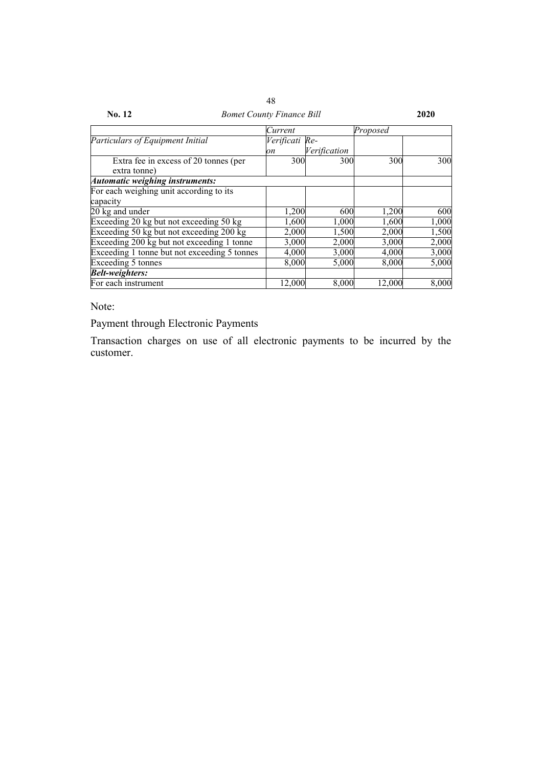| No. 12                                       | <b>Bomet County Finance Bill</b> |              |          |       |  |
|----------------------------------------------|----------------------------------|--------------|----------|-------|--|
|                                              | Current                          |              | Proposed |       |  |
| Particulars of Equipment Initial             | Verificati Re-                   |              |          |       |  |
|                                              | on                               | Verification |          |       |  |
| Extra fee in excess of 20 tonnes (per        | 300                              | 300          | 300      | 300   |  |
| extra tonne)                                 |                                  |              |          |       |  |
| Automatic weighing instruments:              |                                  |              |          |       |  |
| For each weighing unit according to its      |                                  |              |          |       |  |
| capacity                                     |                                  |              |          |       |  |
| 20 kg and under                              | 1,200                            | 600          | 1,200    | 600   |  |
| Exceeding 20 kg but not exceeding 50 kg      | 1,600                            | 1,000        | 1,600    | 1,000 |  |
| Exceeding 50 kg but not exceeding 200 kg     | 2,000                            | 1,500        | 2,000    | 1,500 |  |
| Exceeding 200 kg but not exceeding 1 tonne   | 3,000                            | 2,000        | 3,000    | 2,000 |  |
| Exceeding 1 tonne but not exceeding 5 tonnes | 4,000                            | 3,000        | 4,000    | 3,000 |  |
| Exceeding 5 tonnes                           | 8,000                            | 5,000        | 8,000    | 5,000 |  |
| <b>Belt-weighters:</b>                       |                                  |              |          |       |  |
| For each instrument                          | 12,000                           | 8,000        | 12,000   | 8,000 |  |

Note:

Payment through Electronic Payments

Transaction charges on use of all electronic payments to be incurred by the customer.